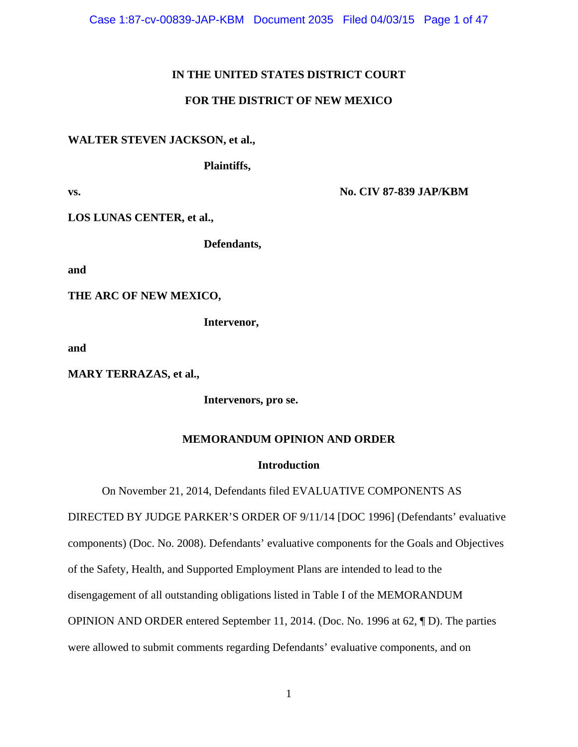Case 1:87-cv-00839-JAP-KBM Document 2035 Filed 04/03/15 Page 1 of 47

### **IN THE UNITED STATES DISTRICT COURT**

## **FOR THE DISTRICT OF NEW MEXICO**

#### **WALTER STEVEN JACKSON, et al.,**

**Plaintiffs,** 

**vs. No. CIV 87-839 JAP/KBM** 

**LOS LUNAS CENTER, et al.,** 

**Defendants,** 

**and** 

**THE ARC OF NEW MEXICO,** 

**Intervenor,** 

**and** 

**MARY TERRAZAS, et al.,** 

 **Intervenors, pro se.** 

#### **MEMORANDUM OPINION AND ORDER**

#### **Introduction**

On November 21, 2014, Defendants filed EVALUATIVE COMPONENTS AS

DIRECTED BY JUDGE PARKER'S ORDER OF 9/11/14 [DOC 1996] (Defendants' evaluative components) (Doc. No. 2008). Defendants' evaluative components for the Goals and Objectives of the Safety, Health, and Supported Employment Plans are intended to lead to the disengagement of all outstanding obligations listed in Table I of the MEMORANDUM OPINION AND ORDER entered September 11, 2014. (Doc. No. 1996 at 62, ¶ D). The parties were allowed to submit comments regarding Defendants' evaluative components, and on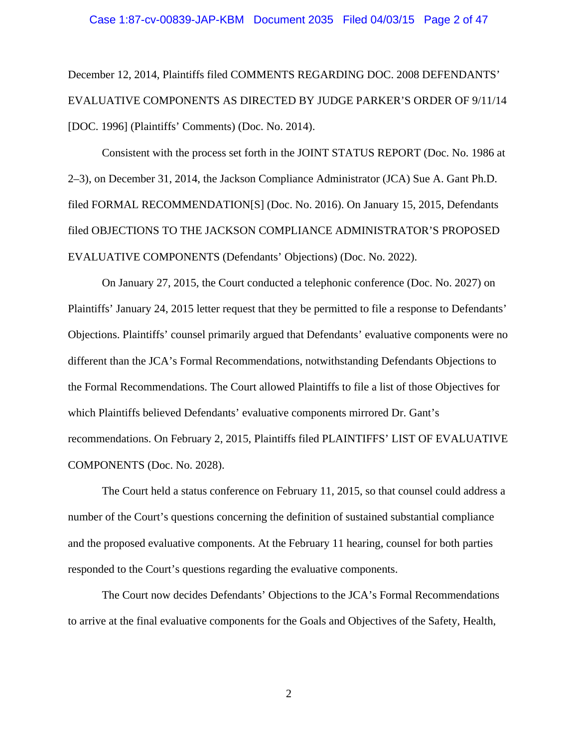December 12, 2014, Plaintiffs filed COMMENTS REGARDING DOC. 2008 DEFENDANTS' EVALUATIVE COMPONENTS AS DIRECTED BY JUDGE PARKER'S ORDER OF 9/11/14 [DOC. 1996] (Plaintiffs' Comments) (Doc. No. 2014).

Consistent with the process set forth in the JOINT STATUS REPORT (Doc. No. 1986 at 2–3), on December 31, 2014, the Jackson Compliance Administrator (JCA) Sue A. Gant Ph.D. filed FORMAL RECOMMENDATION[S] (Doc. No. 2016). On January 15, 2015, Defendants filed OBJECTIONS TO THE JACKSON COMPLIANCE ADMINISTRATOR'S PROPOSED EVALUATIVE COMPONENTS (Defendants' Objections) (Doc. No. 2022).

On January 27, 2015, the Court conducted a telephonic conference (Doc. No. 2027) on Plaintiffs' January 24, 2015 letter request that they be permitted to file a response to Defendants' Objections. Plaintiffs' counsel primarily argued that Defendants' evaluative components were no different than the JCA's Formal Recommendations, notwithstanding Defendants Objections to the Formal Recommendations. The Court allowed Plaintiffs to file a list of those Objectives for which Plaintiffs believed Defendants' evaluative components mirrored Dr. Gant's recommendations. On February 2, 2015, Plaintiffs filed PLAINTIFFS' LIST OF EVALUATIVE COMPONENTS (Doc. No. 2028).

The Court held a status conference on February 11, 2015, so that counsel could address a number of the Court's questions concerning the definition of sustained substantial compliance and the proposed evaluative components. At the February 11 hearing, counsel for both parties responded to the Court's questions regarding the evaluative components.

The Court now decides Defendants' Objections to the JCA's Formal Recommendations to arrive at the final evaluative components for the Goals and Objectives of the Safety, Health,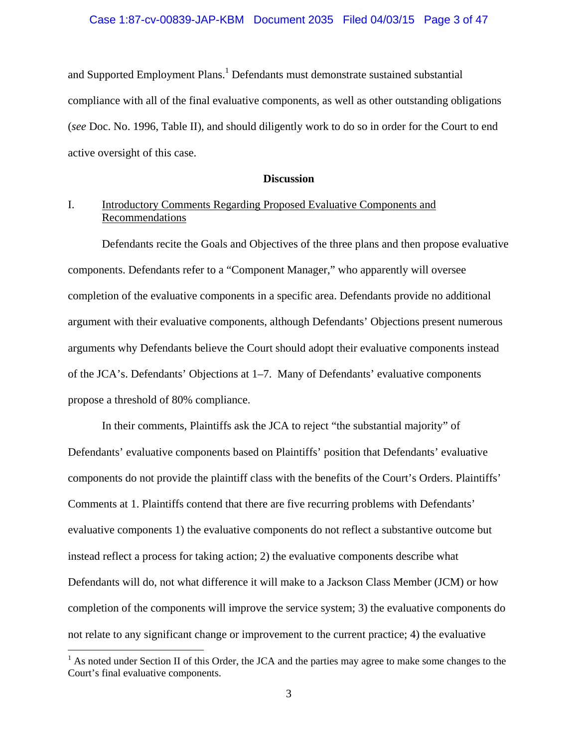#### Case 1:87-cv-00839-JAP-KBM Document 2035 Filed 04/03/15 Page 3 of 47

and Supported Employment Plans.<sup>1</sup> Defendants must demonstrate sustained substantial compliance with all of the final evaluative components, as well as other outstanding obligations (*see* Doc. No. 1996, Table II), and should diligently work to do so in order for the Court to end active oversight of this case.

#### **Discussion**

## I. Introductory Comments Regarding Proposed Evaluative Components and Recommendations

 Defendants recite the Goals and Objectives of the three plans and then propose evaluative components. Defendants refer to a "Component Manager," who apparently will oversee completion of the evaluative components in a specific area. Defendants provide no additional argument with their evaluative components, although Defendants' Objections present numerous arguments why Defendants believe the Court should adopt their evaluative components instead of the JCA's. Defendants' Objections at 1–7. Many of Defendants' evaluative components propose a threshold of 80% compliance.

 In their comments, Plaintiffs ask the JCA to reject "the substantial majority" of Defendants' evaluative components based on Plaintiffs' position that Defendants' evaluative components do not provide the plaintiff class with the benefits of the Court's Orders. Plaintiffs' Comments at 1. Plaintiffs contend that there are five recurring problems with Defendants' evaluative components 1) the evaluative components do not reflect a substantive outcome but instead reflect a process for taking action; 2) the evaluative components describe what Defendants will do, not what difference it will make to a Jackson Class Member (JCM) or how completion of the components will improve the service system; 3) the evaluative components do not relate to any significant change or improvement to the current practice; 4) the evaluative

 $<sup>1</sup>$  As noted under Section II of this Order, the JCA and the parties may agree to make some changes to the</sup> Court's final evaluative components.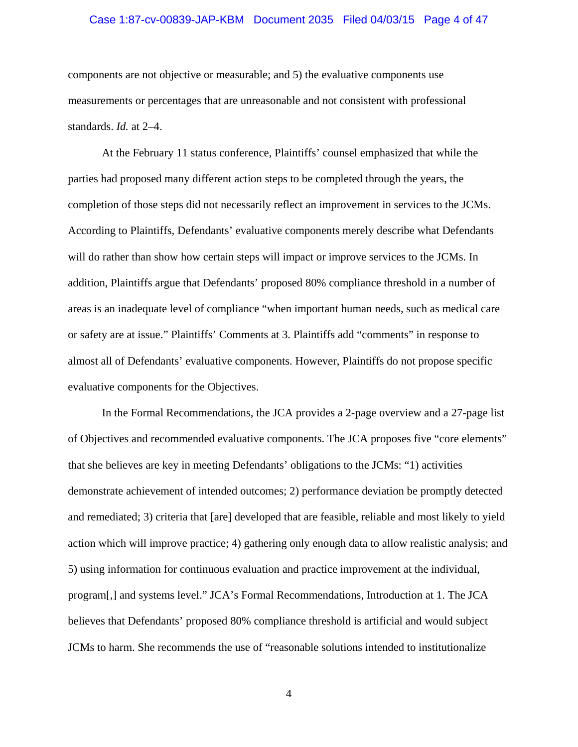## Case 1:87-cv-00839-JAP-KBM Document 2035 Filed 04/03/15 Page 4 of 47

components are not objective or measurable; and 5) the evaluative components use measurements or percentages that are unreasonable and not consistent with professional standards. *Id.* at 2–4.

At the February 11 status conference, Plaintiffs' counsel emphasized that while the parties had proposed many different action steps to be completed through the years, the completion of those steps did not necessarily reflect an improvement in services to the JCMs. According to Plaintiffs, Defendants' evaluative components merely describe what Defendants will do rather than show how certain steps will impact or improve services to the JCMs. In addition, Plaintiffs argue that Defendants' proposed 80% compliance threshold in a number of areas is an inadequate level of compliance "when important human needs, such as medical care or safety are at issue." Plaintiffs' Comments at 3. Plaintiffs add "comments" in response to almost all of Defendants' evaluative components. However, Plaintiffs do not propose specific evaluative components for the Objectives.

In the Formal Recommendations, the JCA provides a 2-page overview and a 27-page list of Objectives and recommended evaluative components. The JCA proposes five "core elements" that she believes are key in meeting Defendants' obligations to the JCMs: "1) activities demonstrate achievement of intended outcomes; 2) performance deviation be promptly detected and remediated; 3) criteria that [are] developed that are feasible, reliable and most likely to yield action which will improve practice; 4) gathering only enough data to allow realistic analysis; and 5) using information for continuous evaluation and practice improvement at the individual, program[,] and systems level." JCA's Formal Recommendations, Introduction at 1. The JCA believes that Defendants' proposed 80% compliance threshold is artificial and would subject JCMs to harm. She recommends the use of "reasonable solutions intended to institutionalize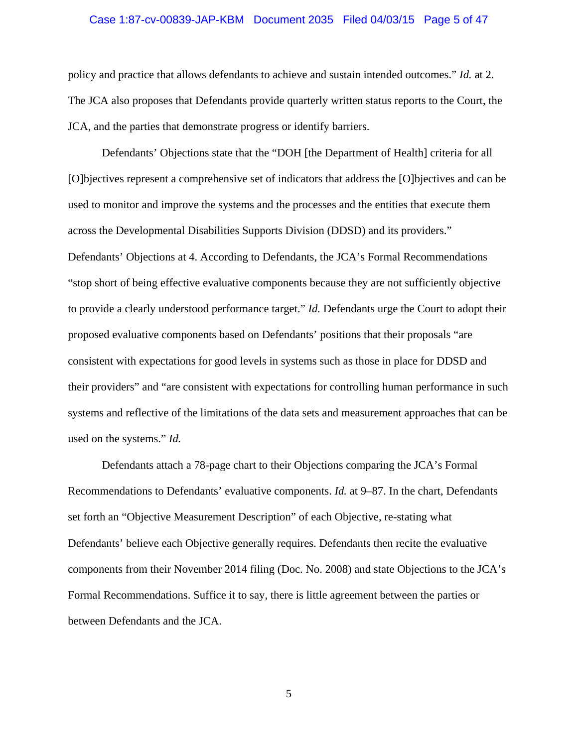## Case 1:87-cv-00839-JAP-KBM Document 2035 Filed 04/03/15 Page 5 of 47

policy and practice that allows defendants to achieve and sustain intended outcomes." *Id.* at 2. The JCA also proposes that Defendants provide quarterly written status reports to the Court, the JCA, and the parties that demonstrate progress or identify barriers.

Defendants' Objections state that the "DOH [the Department of Health] criteria for all [O]bjectives represent a comprehensive set of indicators that address the [O]bjectives and can be used to monitor and improve the systems and the processes and the entities that execute them across the Developmental Disabilities Supports Division (DDSD) and its providers." Defendants' Objections at 4. According to Defendants, the JCA's Formal Recommendations "stop short of being effective evaluative components because they are not sufficiently objective to provide a clearly understood performance target." *Id.* Defendants urge the Court to adopt their proposed evaluative components based on Defendants' positions that their proposals "are consistent with expectations for good levels in systems such as those in place for DDSD and their providers" and "are consistent with expectations for controlling human performance in such systems and reflective of the limitations of the data sets and measurement approaches that can be used on the systems." *Id.*

Defendants attach a 78-page chart to their Objections comparing the JCA's Formal Recommendations to Defendants' evaluative components. *Id.* at 9–87. In the chart, Defendants set forth an "Objective Measurement Description" of each Objective, re-stating what Defendants' believe each Objective generally requires. Defendants then recite the evaluative components from their November 2014 filing (Doc. No. 2008) and state Objections to the JCA's Formal Recommendations. Suffice it to say, there is little agreement between the parties or between Defendants and the JCA.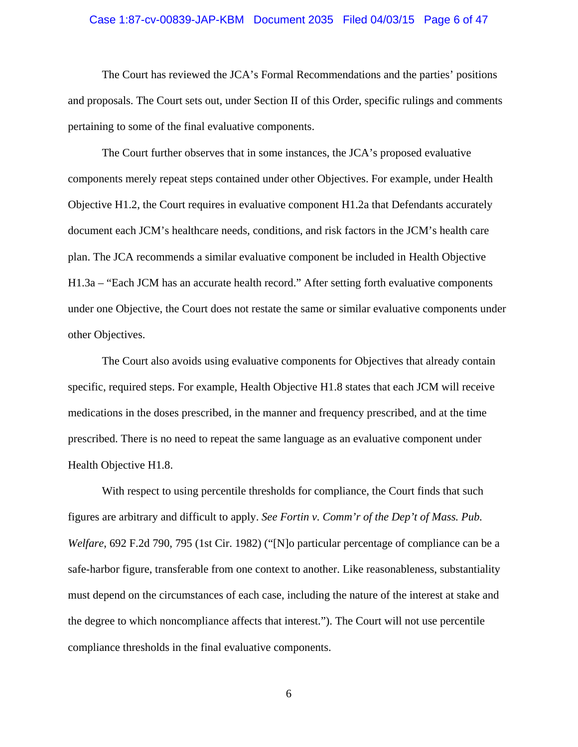#### Case 1:87-cv-00839-JAP-KBM Document 2035 Filed 04/03/15 Page 6 of 47

 The Court has reviewed the JCA's Formal Recommendations and the parties' positions and proposals. The Court sets out, under Section II of this Order, specific rulings and comments pertaining to some of the final evaluative components.

 The Court further observes that in some instances, the JCA's proposed evaluative components merely repeat steps contained under other Objectives. For example, under Health Objective H1.2, the Court requires in evaluative component H1.2a that Defendants accurately document each JCM's healthcare needs, conditions, and risk factors in the JCM's health care plan. The JCA recommends a similar evaluative component be included in Health Objective H1.3a – "Each JCM has an accurate health record." After setting forth evaluative components under one Objective, the Court does not restate the same or similar evaluative components under other Objectives.

 The Court also avoids using evaluative components for Objectives that already contain specific, required steps. For example, Health Objective H1.8 states that each JCM will receive medications in the doses prescribed, in the manner and frequency prescribed, and at the time prescribed. There is no need to repeat the same language as an evaluative component under Health Objective H1.8.

 With respect to using percentile thresholds for compliance, the Court finds that such figures are arbitrary and difficult to apply. *See Fortin v. Comm'r of the Dep't of Mass. Pub. Welfare*, 692 F.2d 790, 795 (1st Cir. 1982) ("[N]o particular percentage of compliance can be a safe-harbor figure, transferable from one context to another. Like reasonableness, substantiality must depend on the circumstances of each case, including the nature of the interest at stake and the degree to which noncompliance affects that interest."). The Court will not use percentile compliance thresholds in the final evaluative components.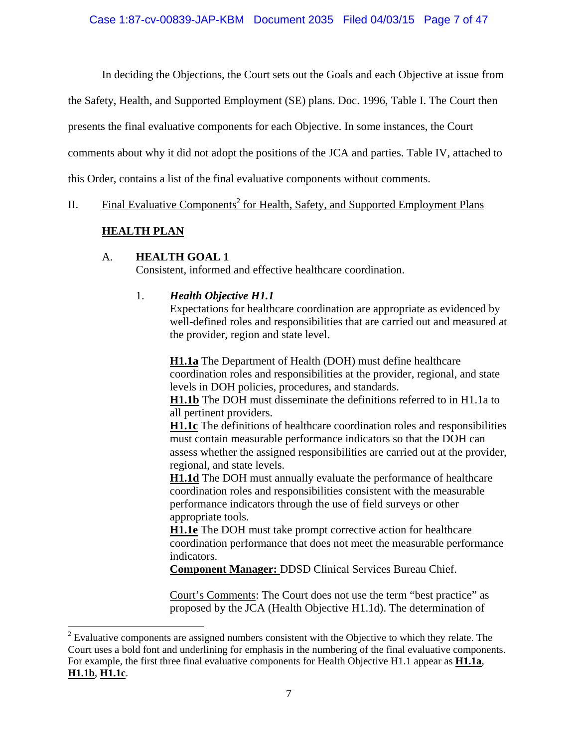In deciding the Objections, the Court sets out the Goals and each Objective at issue from

the Safety, Health, and Supported Employment (SE) plans. Doc. 1996, Table I. The Court then

presents the final evaluative components for each Objective. In some instances, the Court

comments about why it did not adopt the positions of the JCA and parties. Table IV, attached to

this Order, contains a list of the final evaluative components without comments.

II. Final Evaluative Components<sup>2</sup> for Health, Safety, and Supported Employment Plans

# **HEALTH PLAN**

## A. **HEALTH GOAL 1**

Consistent, informed and effective healthcare coordination.

## 1. *Health Objective H1.1*

Expectations for healthcare coordination are appropriate as evidenced by well-defined roles and responsibilities that are carried out and measured at the provider, region and state level.

**H1.1a** The Department of Health (DOH) must define healthcare coordination roles and responsibilities at the provider, regional, and state levels in DOH policies, procedures, and standards.

**H1.1b** The DOH must disseminate the definitions referred to in H1.1a to all pertinent providers.

**H1.1c** The definitions of healthcare coordination roles and responsibilities must contain measurable performance indicators so that the DOH can assess whether the assigned responsibilities are carried out at the provider, regional, and state levels.

**H1.1d** The DOH must annually evaluate the performance of healthcare coordination roles and responsibilities consistent with the measurable performance indicators through the use of field surveys or other appropriate tools.

**H1.1e** The DOH must take prompt corrective action for healthcare coordination performance that does not meet the measurable performance indicators.

**Component Manager:** DDSD Clinical Services Bureau Chief.

Court's Comments: The Court does not use the term "best practice" as proposed by the JCA (Health Objective H1.1d). The determination of

 $2^{2}$  Evaluative components are assigned numbers consistent with the Objective to which they relate. The Court uses a bold font and underlining for emphasis in the numbering of the final evaluative components. For example, the first three final evaluative components for Health Objective H1.1 appear as **H1.1a**, **H1.1b**, **H1.1c**.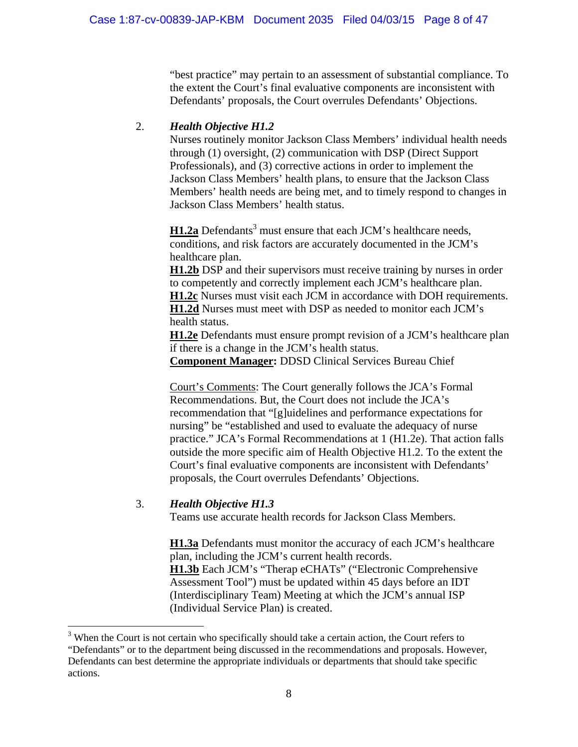"best practice" may pertain to an assessment of substantial compliance. To the extent the Court's final evaluative components are inconsistent with Defendants' proposals, the Court overrules Defendants' Objections.

# 2. *Health Objective H1.2*

Nurses routinely monitor Jackson Class Members' individual health needs through (1) oversight, (2) communication with DSP (Direct Support Professionals), and (3) corrective actions in order to implement the Jackson Class Members' health plans, to ensure that the Jackson Class Members' health needs are being met, and to timely respond to changes in Jackson Class Members' health status.

**H1.2a** Defendants<sup>3</sup> must ensure that each JCM's healthcare needs, conditions, and risk factors are accurately documented in the JCM's healthcare plan.

**H1.2b** DSP and their supervisors must receive training by nurses in order to competently and correctly implement each JCM's healthcare plan. **H1.2c** Nurses must visit each JCM in accordance with DOH requirements. **H1.2d** Nurses must meet with DSP as needed to monitor each JCM's health status.

**H1.2e** Defendants must ensure prompt revision of a JCM's healthcare plan if there is a change in the JCM's health status.

**Component Manager:** DDSD Clinical Services Bureau Chief

Court's Comments: The Court generally follows the JCA's Formal Recommendations. But, the Court does not include the JCA's recommendation that "[g]uidelines and performance expectations for nursing" be "established and used to evaluate the adequacy of nurse practice." JCA's Formal Recommendations at 1 (H1.2e). That action falls outside the more specific aim of Health Objective H1.2. To the extent the Court's final evaluative components are inconsistent with Defendants' proposals, the Court overrules Defendants' Objections.

## 3. *Health Objective H1.3*

Teams use accurate health records for Jackson Class Members.

**H1.3a** Defendants must monitor the accuracy of each JCM's healthcare plan, including the JCM's current health records.

**H1.3b** Each JCM's "Therap eCHATs" ("Electronic Comprehensive Assessment Tool") must be updated within 45 days before an IDT (Interdisciplinary Team) Meeting at which the JCM's annual ISP (Individual Service Plan) is created.

<sup>&</sup>lt;sup>3</sup> When the Court is not certain who specifically should take a certain action, the Court refers to "Defendants" or to the department being discussed in the recommendations and proposals. However, Defendants can best determine the appropriate individuals or departments that should take specific actions.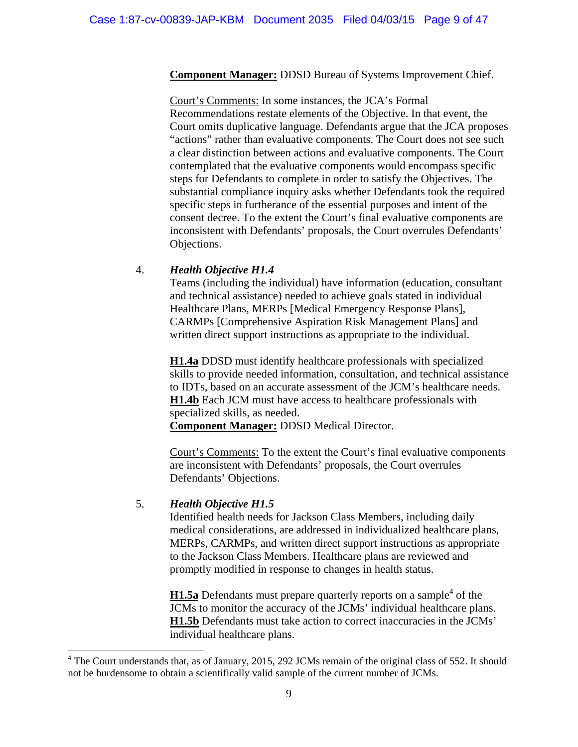**Component Manager:** DDSD Bureau of Systems Improvement Chief.

Court's Comments: In some instances, the JCA's Formal Recommendations restate elements of the Objective. In that event, the Court omits duplicative language. Defendants argue that the JCA proposes "actions" rather than evaluative components. The Court does not see such a clear distinction between actions and evaluative components. The Court contemplated that the evaluative components would encompass specific steps for Defendants to complete in order to satisfy the Objectives. The substantial compliance inquiry asks whether Defendants took the required specific steps in furtherance of the essential purposes and intent of the consent decree. To the extent the Court's final evaluative components are inconsistent with Defendants' proposals, the Court overrules Defendants' Objections.

## 4. *Health Objective H1.4*

Teams (including the individual) have information (education, consultant and technical assistance) needed to achieve goals stated in individual Healthcare Plans, MERPs [Medical Emergency Response Plans], CARMPs [Comprehensive Aspiration Risk Management Plans] and written direct support instructions as appropriate to the individual.

**H1.4a** DDSD must identify healthcare professionals with specialized skills to provide needed information, consultation, and technical assistance to IDTs, based on an accurate assessment of the JCM's healthcare needs. **H1.4b** Each JCM must have access to healthcare professionals with specialized skills, as needed. **Component Manager:** DDSD Medical Director.

Court's Comments: To the extent the Court's final evaluative components are inconsistent with Defendants' proposals, the Court overrules Defendants' Objections.

## 5. *Health Objective H1.5*

 Identified health needs for Jackson Class Members, including daily medical considerations, are addressed in individualized healthcare plans, MERPs, CARMPs, and written direct support instructions as appropriate to the Jackson Class Members. Healthcare plans are reviewed and promptly modified in response to changes in health status.

**H1.5a** Defendants must prepare quarterly reports on a sample<sup>4</sup> of the JCMs to monitor the accuracy of the JCMs' individual healthcare plans. **H1.5b** Defendants must take action to correct inaccuracies in the JCMs' individual healthcare plans.

<sup>&</sup>lt;sup>4</sup> The Court understands that, as of January, 2015, 292 JCMs remain of the original class of 552. It should not be burdensome to obtain a scientifically valid sample of the current number of JCMs.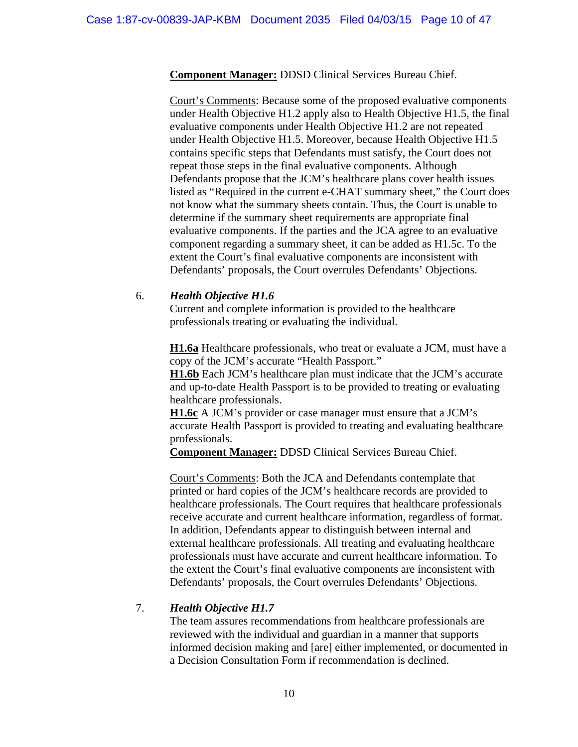**Component Manager:** DDSD Clinical Services Bureau Chief.

 Court's Comments: Because some of the proposed evaluative components under Health Objective H1.2 apply also to Health Objective H1.5, the final evaluative components under Health Objective H1.2 are not repeated under Health Objective H1.5. Moreover, because Health Objective H1.5 contains specific steps that Defendants must satisfy, the Court does not repeat those steps in the final evaluative components. Although Defendants propose that the JCM's healthcare plans cover health issues listed as "Required in the current e-CHAT summary sheet," the Court does not know what the summary sheets contain. Thus, the Court is unable to determine if the summary sheet requirements are appropriate final evaluative components. If the parties and the JCA agree to an evaluative component regarding a summary sheet, it can be added as H1.5c. To the extent the Court's final evaluative components are inconsistent with Defendants' proposals, the Court overrules Defendants' Objections.

#### 6. *Health Objective H1.6*

 Current and complete information is provided to the healthcare professionals treating or evaluating the individual.

**H1.6a** Healthcare professionals, who treat or evaluate a JCM, must have a copy of the JCM's accurate "Health Passport."

 **H1.6b** Each JCM's healthcare plan must indicate that the JCM's accurate and up-to-date Health Passport is to be provided to treating or evaluating healthcare professionals.

 **H1.6c** A JCM's provider or case manager must ensure that a JCM's accurate Health Passport is provided to treating and evaluating healthcare professionals.

 **Component Manager:** DDSD Clinical Services Bureau Chief.

 Court's Comments: Both the JCA and Defendants contemplate that printed or hard copies of the JCM's healthcare records are provided to healthcare professionals. The Court requires that healthcare professionals receive accurate and current healthcare information, regardless of format. In addition, Defendants appear to distinguish between internal and external healthcare professionals. All treating and evaluating healthcare professionals must have accurate and current healthcare information. To the extent the Court's final evaluative components are inconsistent with Defendants' proposals, the Court overrules Defendants' Objections.

## 7. *Health Objective H1.7*

 The team assures recommendations from healthcare professionals are reviewed with the individual and guardian in a manner that supports informed decision making and [are] either implemented, or documented in a Decision Consultation Form if recommendation is declined.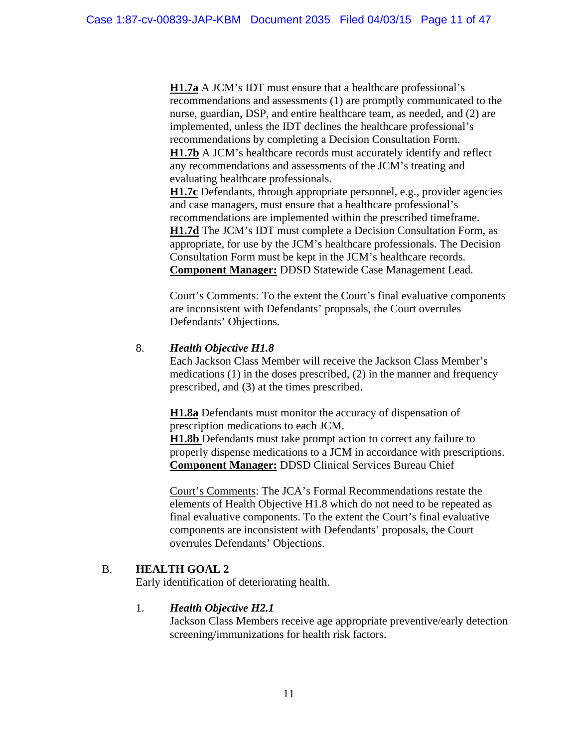**H1.7a** A JCM's IDT must ensure that a healthcare professional's recommendations and assessments (1) are promptly communicated to the nurse, guardian, DSP, and entire healthcare team, as needed, and (2) are implemented, unless the IDT declines the healthcare professional's recommendations by completing a Decision Consultation Form. **H1.7b** A JCM's healthcare records must accurately identify and reflect any recommendations and assessments of the JCM's treating and evaluating healthcare professionals.

**H1.7c** Defendants, through appropriate personnel, e.g., provider agencies and case managers, must ensure that a healthcare professional's recommendations are implemented within the prescribed timeframe. **H1.7d** The JCM's IDT must complete a Decision Consultation Form, as appropriate, for use by the JCM's healthcare professionals. The Decision Consultation Form must be kept in the JCM's healthcare records. **Component Manager:** DDSD Statewide Case Management Lead.

 Court's Comments: To the extent the Court's final evaluative components are inconsistent with Defendants' proposals, the Court overrules Defendants' Objections.

## 8. *Health Objective H1.8*

Each Jackson Class Member will receive the Jackson Class Member's medications (1) in the doses prescribed, (2) in the manner and frequency prescribed, and (3) at the times prescribed.

**H1.8a** Defendants must monitor the accuracy of dispensation of prescription medications to each JCM.

**H1.8b** Defendants must take prompt action to correct any failure to properly dispense medications to a JCM in accordance with prescriptions. **Component Manager:** DDSD Clinical Services Bureau Chief

Court's Comments: The JCA's Formal Recommendations restate the elements of Health Objective H1.8 which do not need to be repeated as final evaluative components. To the extent the Court's final evaluative components are inconsistent with Defendants' proposals, the Court overrules Defendants' Objections.

# B. **HEALTH GOAL 2**

Early identification of deteriorating health.

# 1. *Health Objective H2.1*

Jackson Class Members receive age appropriate preventive/early detection screening/immunizations for health risk factors.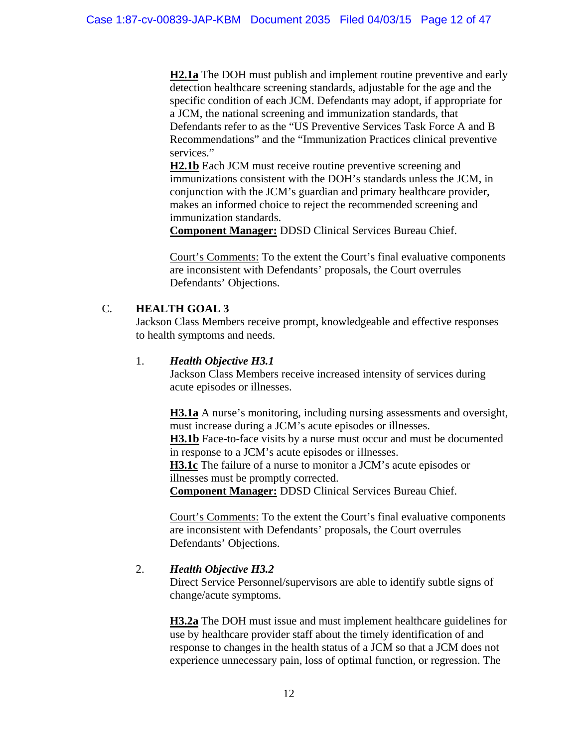**H2.1a** The DOH must publish and implement routine preventive and early detection healthcare screening standards, adjustable for the age and the specific condition of each JCM. Defendants may adopt, if appropriate for a JCM, the national screening and immunization standards, that Defendants refer to as the "US Preventive Services Task Force A and B Recommendations" and the "Immunization Practices clinical preventive services."

**H2.1b** Each JCM must receive routine preventive screening and immunizations consistent with the DOH's standards unless the JCM, in conjunction with the JCM's guardian and primary healthcare provider, makes an informed choice to reject the recommended screening and immunization standards.

**Component Manager:** DDSD Clinical Services Bureau Chief.

Court's Comments: To the extent the Court's final evaluative components are inconsistent with Defendants' proposals, the Court overrules Defendants' Objections.

# C. **HEALTH GOAL 3**

Jackson Class Members receive prompt, knowledgeable and effective responses to health symptoms and needs.

## 1. *Health Objective H3.1*

Jackson Class Members receive increased intensity of services during acute episodes or illnesses.

**H3.1a** A nurse's monitoring, including nursing assessments and oversight, must increase during a JCM's acute episodes or illnesses.

**H3.1b** Face-to-face visits by a nurse must occur and must be documented in response to a JCM's acute episodes or illnesses.

**H3.1c** The failure of a nurse to monitor a JCM's acute episodes or illnesses must be promptly corrected.

**Component Manager:** DDSD Clinical Services Bureau Chief.

Court's Comments: To the extent the Court's final evaluative components are inconsistent with Defendants' proposals, the Court overrules Defendants' Objections.

# 2. *Health Objective H3.2*

Direct Service Personnel/supervisors are able to identify subtle signs of change/acute symptoms.

**H3.2a** The DOH must issue and must implement healthcare guidelines for use by healthcare provider staff about the timely identification of and response to changes in the health status of a JCM so that a JCM does not experience unnecessary pain, loss of optimal function, or regression. The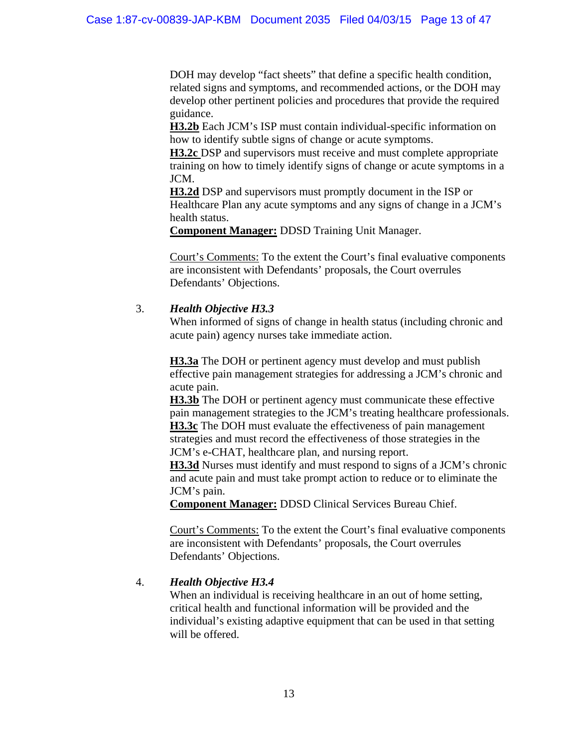DOH may develop "fact sheets" that define a specific health condition, related signs and symptoms, and recommended actions, or the DOH may develop other pertinent policies and procedures that provide the required guidance.

**H3.2b** Each JCM's ISP must contain individual-specific information on how to identify subtle signs of change or acute symptoms.

**H3.2c** DSP and supervisors must receive and must complete appropriate training on how to timely identify signs of change or acute symptoms in a JCM.

**H3.2d** DSP and supervisors must promptly document in the ISP or Healthcare Plan any acute symptoms and any signs of change in a JCM's health status.

**Component Manager:** DDSD Training Unit Manager.

Court's Comments: To the extent the Court's final evaluative components are inconsistent with Defendants' proposals, the Court overrules Defendants' Objections.

## 3. *Health Objective H3.3*

When informed of signs of change in health status (including chronic and acute pain) agency nurses take immediate action.

**H3.3a** The DOH or pertinent agency must develop and must publish effective pain management strategies for addressing a JCM's chronic and acute pain.

**H3.3b** The DOH or pertinent agency must communicate these effective pain management strategies to the JCM's treating healthcare professionals. **H3.3c** The DOH must evaluate the effectiveness of pain management strategies and must record the effectiveness of those strategies in the JCM's e-CHAT, healthcare plan, and nursing report.

**H3.3d** Nurses must identify and must respond to signs of a JCM's chronic and acute pain and must take prompt action to reduce or to eliminate the JCM's pain.

**Component Manager:** DDSD Clinical Services Bureau Chief.

Court's Comments: To the extent the Court's final evaluative components are inconsistent with Defendants' proposals, the Court overrules Defendants' Objections.

# 4. *Health Objective H3.4*

When an individual is receiving healthcare in an out of home setting, critical health and functional information will be provided and the individual's existing adaptive equipment that can be used in that setting will be offered.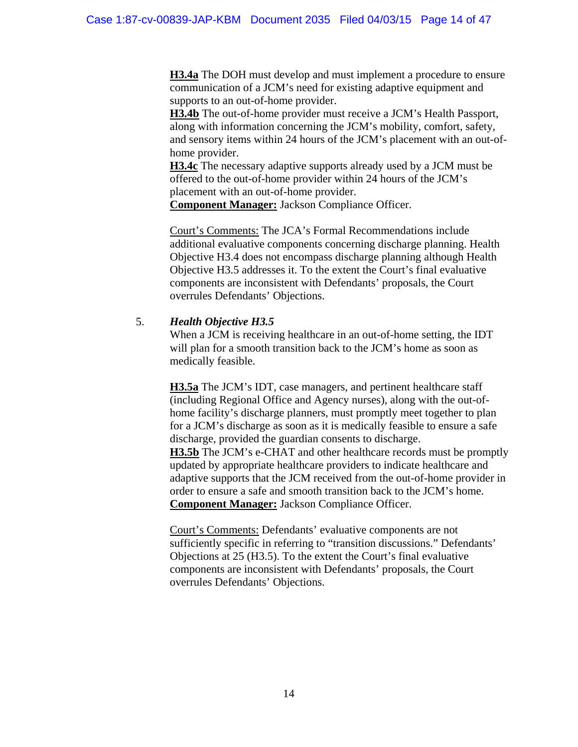**H3.4a** The DOH must develop and must implement a procedure to ensure communication of a JCM's need for existing adaptive equipment and supports to an out-of-home provider.

**H3.4b** The out-of-home provider must receive a JCM's Health Passport, along with information concerning the JCM's mobility, comfort, safety, and sensory items within 24 hours of the JCM's placement with an out-ofhome provider.

**H3.4c** The necessary adaptive supports already used by a JCM must be offered to the out-of-home provider within 24 hours of the JCM's placement with an out-of-home provider.

**Component Manager:** Jackson Compliance Officer.

Court's Comments: The JCA's Formal Recommendations include additional evaluative components concerning discharge planning. Health Objective H3.4 does not encompass discharge planning although Health Objective H3.5 addresses it. To the extent the Court's final evaluative components are inconsistent with Defendants' proposals, the Court overrules Defendants' Objections.

## 5. *Health Objective H3.5*

 When a JCM is receiving healthcare in an out-of-home setting, the IDT will plan for a smooth transition back to the JCM's home as soon as medically feasible.

**H3.5a** The JCM's IDT, case managers, and pertinent healthcare staff (including Regional Office and Agency nurses), along with the out-ofhome facility's discharge planners, must promptly meet together to plan for a JCM's discharge as soon as it is medically feasible to ensure a safe discharge, provided the guardian consents to discharge.

**H3.5b** The JCM's e-CHAT and other healthcare records must be promptly updated by appropriate healthcare providers to indicate healthcare and adaptive supports that the JCM received from the out-of-home provider in order to ensure a safe and smooth transition back to the JCM's home.  **Component Manager:** Jackson Compliance Officer.

 Court's Comments: Defendants' evaluative components are not sufficiently specific in referring to "transition discussions." Defendants' Objections at 25 (H3.5). To the extent the Court's final evaluative components are inconsistent with Defendants' proposals, the Court overrules Defendants' Objections.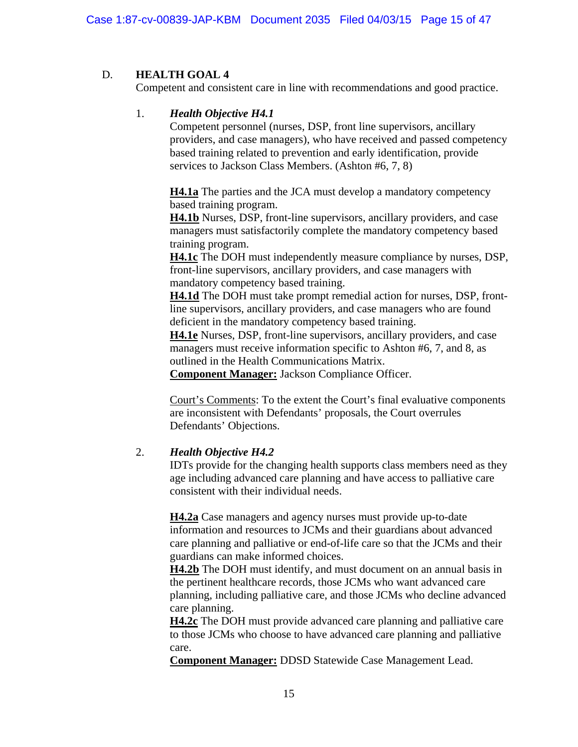# D. **HEALTH GOAL 4**

Competent and consistent care in line with recommendations and good practice.

# 1. *Health Objective H4.1*

Competent personnel (nurses, DSP, front line supervisors, ancillary providers, and case managers), who have received and passed competency based training related to prevention and early identification, provide services to Jackson Class Members. (Ashton #6, 7, 8)

**H4.1a** The parties and the JCA must develop a mandatory competency based training program.

**H4.1b** Nurses, DSP, front-line supervisors, ancillary providers, and case managers must satisfactorily complete the mandatory competency based training program.

**H4.1c** The DOH must independently measure compliance by nurses, DSP, front-line supervisors, ancillary providers, and case managers with mandatory competency based training.

**H4.1d** The DOH must take prompt remedial action for nurses, DSP, frontline supervisors, ancillary providers, and case managers who are found deficient in the mandatory competency based training.

**H4.1e** Nurses, DSP, front-line supervisors, ancillary providers, and case managers must receive information specific to Ashton #6, 7, and 8, as outlined in the Health Communications Matrix.

**Component Manager:** Jackson Compliance Officer.

Court's Comments: To the extent the Court's final evaluative components are inconsistent with Defendants' proposals, the Court overrules Defendants' Objections.

# 2. *Health Objective H4.2*

IDTs provide for the changing health supports class members need as they age including advanced care planning and have access to palliative care consistent with their individual needs.

**H4.2a** Case managers and agency nurses must provide up-to-date information and resources to JCMs and their guardians about advanced care planning and palliative or end-of-life care so that the JCMs and their guardians can make informed choices.

**H4.2b** The DOH must identify, and must document on an annual basis in the pertinent healthcare records, those JCMs who want advanced care planning, including palliative care, and those JCMs who decline advanced care planning.

**H4.2c** The DOH must provide advanced care planning and palliative care to those JCMs who choose to have advanced care planning and palliative care.

**Component Manager:** DDSD Statewide Case Management Lead.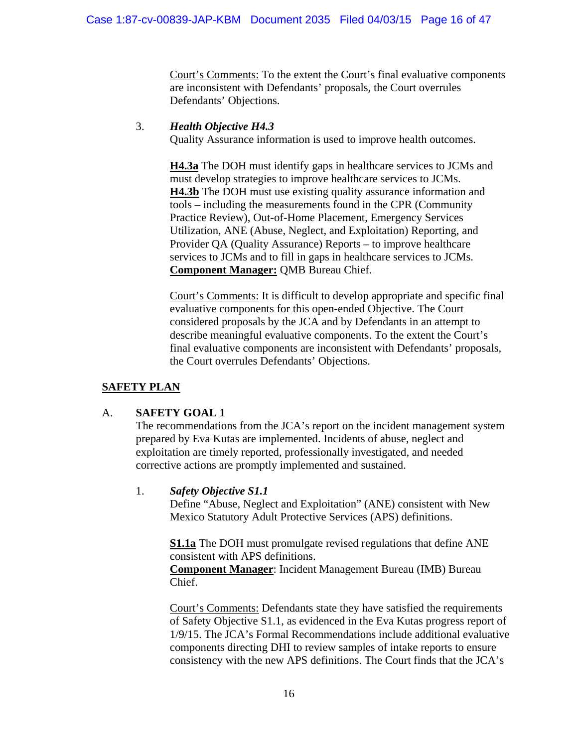Court's Comments: To the extent the Court's final evaluative components are inconsistent with Defendants' proposals, the Court overrules Defendants' Objections.

## 3. *Health Objective H4.3*

Quality Assurance information is used to improve health outcomes.

**H4.3a** The DOH must identify gaps in healthcare services to JCMs and must develop strategies to improve healthcare services to JCMs. **H4.3b** The DOH must use existing quality assurance information and tools – including the measurements found in the CPR (Community Practice Review), Out-of-Home Placement, Emergency Services Utilization, ANE (Abuse, Neglect, and Exploitation) Reporting, and Provider QA (Quality Assurance) Reports – to improve healthcare services to JCMs and to fill in gaps in healthcare services to JCMs. **Component Manager:** QMB Bureau Chief.

Court's Comments: It is difficult to develop appropriate and specific final evaluative components for this open-ended Objective. The Court considered proposals by the JCA and by Defendants in an attempt to describe meaningful evaluative components. To the extent the Court's final evaluative components are inconsistent with Defendants' proposals, the Court overrules Defendants' Objections.

# **SAFETY PLAN**

# A. **SAFETY GOAL 1**

The recommendations from the JCA's report on the incident management system prepared by Eva Kutas are implemented. Incidents of abuse, neglect and exploitation are timely reported, professionally investigated, and needed corrective actions are promptly implemented and sustained.

# 1. *Safety Objective S1.1*

Define "Abuse, Neglect and Exploitation" (ANE) consistent with New Mexico Statutory Adult Protective Services (APS) definitions.

**S1.1a** The DOH must promulgate revised regulations that define ANE consistent with APS definitions.

**Component Manager**: Incident Management Bureau (IMB) Bureau Chief.

Court's Comments: Defendants state they have satisfied the requirements of Safety Objective S1.1, as evidenced in the Eva Kutas progress report of 1/9/15. The JCA's Formal Recommendations include additional evaluative components directing DHI to review samples of intake reports to ensure consistency with the new APS definitions. The Court finds that the JCA's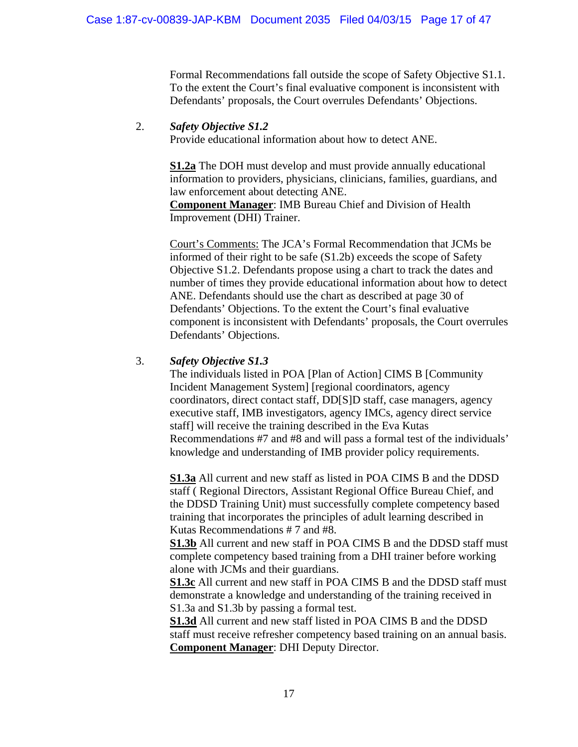Formal Recommendations fall outside the scope of Safety Objective S1.1. To the extent the Court's final evaluative component is inconsistent with Defendants' proposals, the Court overrules Defendants' Objections.

## 2. *Safety Objective S1.2*

Provide educational information about how to detect ANE.

**S1.2a** The DOH must develop and must provide annually educational information to providers, physicians, clinicians, families, guardians, and law enforcement about detecting ANE.

**Component Manager**: IMB Bureau Chief and Division of Health Improvement (DHI) Trainer.

Court's Comments: The JCA's Formal Recommendation that JCMs be informed of their right to be safe (S1.2b) exceeds the scope of Safety Objective S1.2. Defendants propose using a chart to track the dates and number of times they provide educational information about how to detect ANE. Defendants should use the chart as described at page 30 of Defendants' Objections. To the extent the Court's final evaluative component is inconsistent with Defendants' proposals, the Court overrules Defendants' Objections.

## 3. *Safety Objective S1.3*

The individuals listed in POA [Plan of Action] CIMS B [Community Incident Management System] [regional coordinators, agency coordinators, direct contact staff, DD[S]D staff, case managers, agency executive staff, IMB investigators, agency IMCs, agency direct service staff] will receive the training described in the Eva Kutas Recommendations #7 and #8 and will pass a formal test of the individuals' knowledge and understanding of IMB provider policy requirements.

**S1.3a** All current and new staff as listed in POA CIMS B and the DDSD staff ( Regional Directors, Assistant Regional Office Bureau Chief, and the DDSD Training Unit) must successfully complete competency based training that incorporates the principles of adult learning described in Kutas Recommendations # 7 and #8.

**S1.3b** All current and new staff in POA CIMS B and the DDSD staff must complete competency based training from a DHI trainer before working alone with JCMs and their guardians.

**S1.3c** All current and new staff in POA CIMS B and the DDSD staff must demonstrate a knowledge and understanding of the training received in S1.3a and S1.3b by passing a formal test.

**S1.3d** All current and new staff listed in POA CIMS B and the DDSD staff must receive refresher competency based training on an annual basis. **Component Manager**: DHI Deputy Director.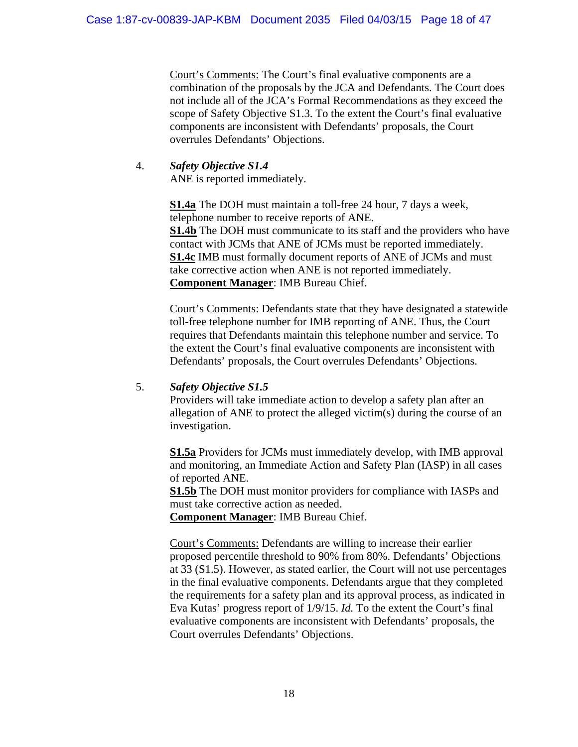Court's Comments: The Court's final evaluative components are a combination of the proposals by the JCA and Defendants. The Court does not include all of the JCA's Formal Recommendations as they exceed the scope of Safety Objective S1.3. To the extent the Court's final evaluative components are inconsistent with Defendants' proposals, the Court overrules Defendants' Objections.

# 4. *Safety Objective S1.4*

ANE is reported immediately.

**S1.4a** The DOH must maintain a toll-free 24 hour, 7 days a week, telephone number to receive reports of ANE. **S1.4b** The DOH must communicate to its staff and the providers who have contact with JCMs that ANE of JCMs must be reported immediately. **S1.4c** IMB must formally document reports of ANE of JCMs and must take corrective action when ANE is not reported immediately. **Component Manager**: IMB Bureau Chief.

Court's Comments: Defendants state that they have designated a statewide toll-free telephone number for IMB reporting of ANE. Thus, the Court requires that Defendants maintain this telephone number and service. To the extent the Court's final evaluative components are inconsistent with Defendants' proposals, the Court overrules Defendants' Objections.

# 5. *Safety Objective S1.5*

Providers will take immediate action to develop a safety plan after an allegation of ANE to protect the alleged victim(s) during the course of an investigation.

**S1.5a** Providers for JCMs must immediately develop, with IMB approval and monitoring, an Immediate Action and Safety Plan (IASP) in all cases of reported ANE.

**S1.5b** The DOH must monitor providers for compliance with IASPs and must take corrective action as needed.

**Component Manager**: IMB Bureau Chief.

Court's Comments: Defendants are willing to increase their earlier proposed percentile threshold to 90% from 80%. Defendants' Objections at 33 (S1.5). However, as stated earlier, the Court will not use percentages in the final evaluative components. Defendants argue that they completed the requirements for a safety plan and its approval process, as indicated in Eva Kutas' progress report of 1/9/15. *Id.* To the extent the Court's final evaluative components are inconsistent with Defendants' proposals, the Court overrules Defendants' Objections.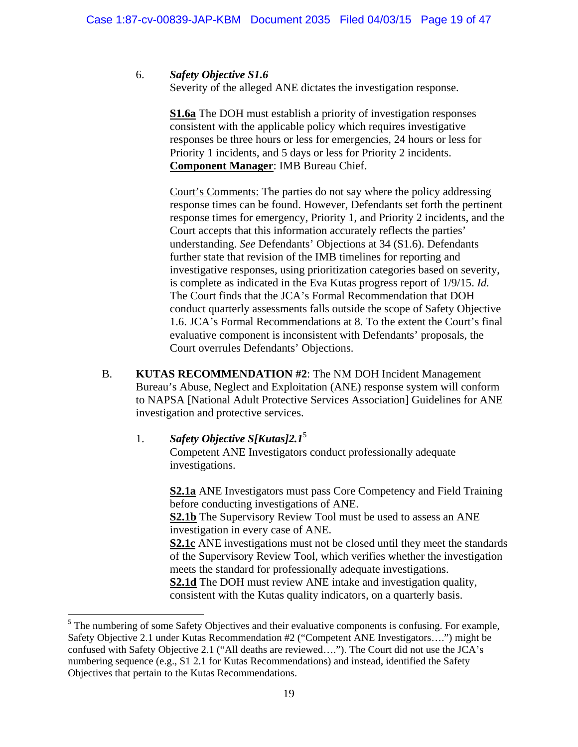6. *Safety Objective S1.6*

Severity of the alleged ANE dictates the investigation response.

**S1.6a** The DOH must establish a priority of investigation responses consistent with the applicable policy which requires investigative responses be three hours or less for emergencies, 24 hours or less for Priority 1 incidents, and 5 days or less for Priority 2 incidents. **Component Manager**: IMB Bureau Chief.

Court's Comments: The parties do not say where the policy addressing response times can be found. However, Defendants set forth the pertinent response times for emergency, Priority 1, and Priority 2 incidents, and the Court accepts that this information accurately reflects the parties' understanding. *See* Defendants' Objections at 34 (S1.6). Defendants further state that revision of the IMB timelines for reporting and investigative responses, using prioritization categories based on severity, is complete as indicated in the Eva Kutas progress report of 1/9/15. *Id.* The Court finds that the JCA's Formal Recommendation that DOH conduct quarterly assessments falls outside the scope of Safety Objective 1.6. JCA's Formal Recommendations at 8. To the extent the Court's final evaluative component is inconsistent with Defendants' proposals, the Court overrules Defendants' Objections.

- B. **KUTAS RECOMMENDATION #2**: The NM DOH Incident Management Bureau's Abuse, Neglect and Exploitation (ANE) response system will conform to NAPSA [National Adult Protective Services Association] Guidelines for ANE investigation and protective services.
	- 1. *Safety Objective S[Kutas]2.1*<sup>5</sup>

Competent ANE Investigators conduct professionally adequate investigations.

**S2.1a** ANE Investigators must pass Core Competency and Field Training before conducting investigations of ANE. **S2.1b** The Supervisory Review Tool must be used to assess an ANE investigation in every case of ANE. **S2.1c** ANE investigations must not be closed until they meet the standards of the Supervisory Review Tool, which verifies whether the investigation meets the standard for professionally adequate investigations. **S2.1d** The DOH must review ANE intake and investigation quality, consistent with the Kutas quality indicators, on a quarterly basis.

 $<sup>5</sup>$  The numbering of some Safety Objectives and their evaluative components is confusing. For example,</sup> Safety Objective 2.1 under Kutas Recommendation #2 ("Competent ANE Investigators….") might be confused with Safety Objective 2.1 ("All deaths are reviewed…."). The Court did not use the JCA's numbering sequence (e.g., S1 2.1 for Kutas Recommendations) and instead, identified the Safety Objectives that pertain to the Kutas Recommendations.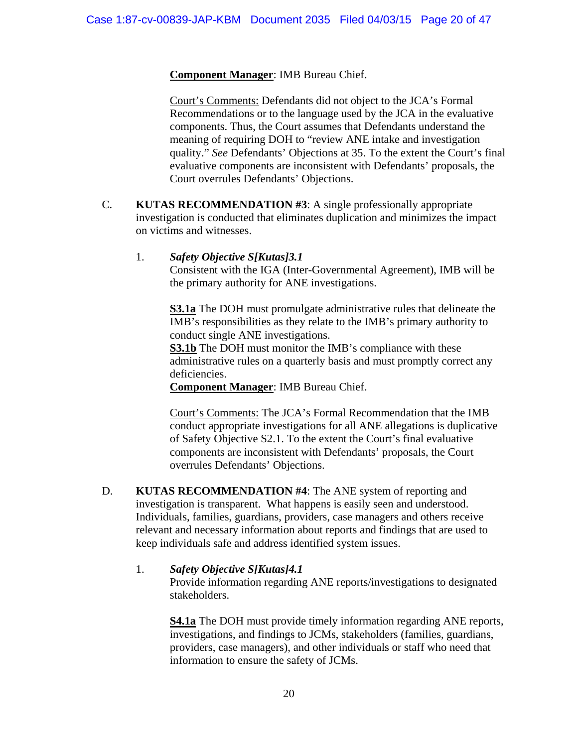# **Component Manager**: IMB Bureau Chief.

Court's Comments: Defendants did not object to the JCA's Formal Recommendations or to the language used by the JCA in the evaluative components. Thus, the Court assumes that Defendants understand the meaning of requiring DOH to "review ANE intake and investigation quality." *See* Defendants' Objections at 35. To the extent the Court's final evaluative components are inconsistent with Defendants' proposals, the Court overrules Defendants' Objections.

C. **KUTAS RECOMMENDATION #3**: A single professionally appropriate investigation is conducted that eliminates duplication and minimizes the impact on victims and witnesses.

# 1. *Safety Objective S[Kutas]3.1*

Consistent with the IGA (Inter-Governmental Agreement), IMB will be the primary authority for ANE investigations.

**S3.1a** The DOH must promulgate administrative rules that delineate the IMB's responsibilities as they relate to the IMB's primary authority to conduct single ANE investigations.

**S3.1b** The DOH must monitor the IMB's compliance with these administrative rules on a quarterly basis and must promptly correct any deficiencies.

**Component Manager**: IMB Bureau Chief.

Court's Comments: The JCA's Formal Recommendation that the IMB conduct appropriate investigations for all ANE allegations is duplicative of Safety Objective S2.1. To the extent the Court's final evaluative components are inconsistent with Defendants' proposals, the Court overrules Defendants' Objections.

D. **KUTAS RECOMMENDATION #4**: The ANE system of reporting and investigation is transparent. What happens is easily seen and understood. Individuals, families, guardians, providers, case managers and others receive relevant and necessary information about reports and findings that are used to keep individuals safe and address identified system issues.

# 1. *Safety Objective S[Kutas]4.1*

Provide information regarding ANE reports/investigations to designated stakeholders.

**S4.1a** The DOH must provide timely information regarding ANE reports, investigations, and findings to JCMs, stakeholders (families, guardians, providers, case managers), and other individuals or staff who need that information to ensure the safety of JCMs.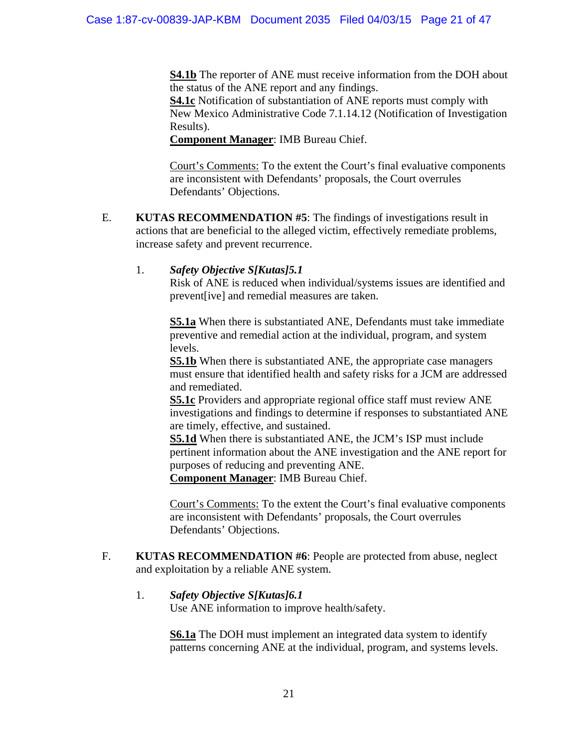**S4.1b** The reporter of ANE must receive information from the DOH about the status of the ANE report and any findings.

**S4.1c** Notification of substantiation of ANE reports must comply with New Mexico Administrative Code 7.1.14.12 (Notification of Investigation Results).

**Component Manager**: IMB Bureau Chief.

 Court's Comments: To the extent the Court's final evaluative components are inconsistent with Defendants' proposals, the Court overrules Defendants' Objections.

E. **KUTAS RECOMMENDATION #5**: The findings of investigations result in actions that are beneficial to the alleged victim, effectively remediate problems, increase safety and prevent recurrence.

# 1. *Safety Objective S[Kutas]5.1*

Risk of ANE is reduced when individual/systems issues are identified and prevent[ive] and remedial measures are taken.

**S5.1a** When there is substantiated ANE, Defendants must take immediate preventive and remedial action at the individual, program, and system levels.

**S5.1b** When there is substantiated ANE, the appropriate case managers must ensure that identified health and safety risks for a JCM are addressed and remediated.

**S5.1c** Providers and appropriate regional office staff must review ANE investigations and findings to determine if responses to substantiated ANE are timely, effective, and sustained.

**S5.1d** When there is substantiated ANE, the JCM's ISP must include pertinent information about the ANE investigation and the ANE report for purposes of reducing and preventing ANE.

**Component Manager**: IMB Bureau Chief.

Court's Comments: To the extent the Court's final evaluative components are inconsistent with Defendants' proposals, the Court overrules Defendants' Objections.

F. **KUTAS RECOMMENDATION #6**: People are protected from abuse, neglect and exploitation by a reliable ANE system.

# 1. *Safety Objective S[Kutas]6.1*

Use ANE information to improve health/safety.

**S6.1a** The DOH must implement an integrated data system to identify patterns concerning ANE at the individual, program, and systems levels.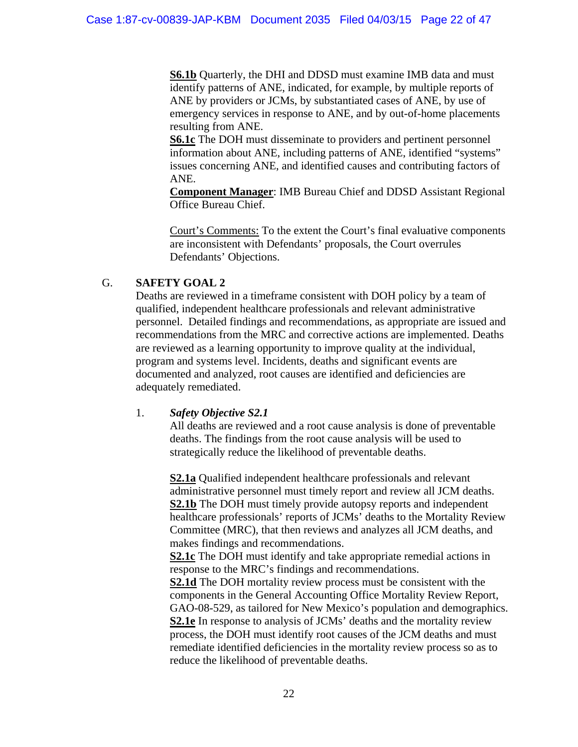**S6.1b** Quarterly, the DHI and DDSD must examine IMB data and must identify patterns of ANE, indicated, for example, by multiple reports of ANE by providers or JCMs, by substantiated cases of ANE, by use of emergency services in response to ANE, and by out-of-home placements resulting from ANE.

**S6.1c** The DOH must disseminate to providers and pertinent personnel information about ANE, including patterns of ANE, identified "systems" issues concerning ANE, and identified causes and contributing factors of ANE.

**Component Manager**: IMB Bureau Chief and DDSD Assistant Regional Office Bureau Chief.

Court's Comments: To the extent the Court's final evaluative components are inconsistent with Defendants' proposals, the Court overrules Defendants' Objections.

# G. **SAFETY GOAL 2**

 Deaths are reviewed in a timeframe consistent with DOH policy by a team of qualified, independent healthcare professionals and relevant administrative personnel. Detailed findings and recommendations, as appropriate are issued and recommendations from the MRC and corrective actions are implemented. Deaths are reviewed as a learning opportunity to improve quality at the individual, program and systems level. Incidents, deaths and significant events are documented and analyzed, root causes are identified and deficiencies are adequately remediated.

## 1. *Safety Objective S2.1*

All deaths are reviewed and a root cause analysis is done of preventable deaths. The findings from the root cause analysis will be used to strategically reduce the likelihood of preventable deaths.

**S2.1a** Qualified independent healthcare professionals and relevant administrative personnel must timely report and review all JCM deaths. **S2.1b** The DOH must timely provide autopsy reports and independent healthcare professionals' reports of JCMs' deaths to the Mortality Review Committee (MRC), that then reviews and analyzes all JCM deaths, and makes findings and recommendations.

**S2.1c** The DOH must identify and take appropriate remedial actions in response to the MRC's findings and recommendations.

**S2.1d** The DOH mortality review process must be consistent with the components in the General Accounting Office Mortality Review Report, GAO-08-529, as tailored for New Mexico's population and demographics. **S2.1e** In response to analysis of JCMs' deaths and the mortality review process, the DOH must identify root causes of the JCM deaths and must remediate identified deficiencies in the mortality review process so as to reduce the likelihood of preventable deaths.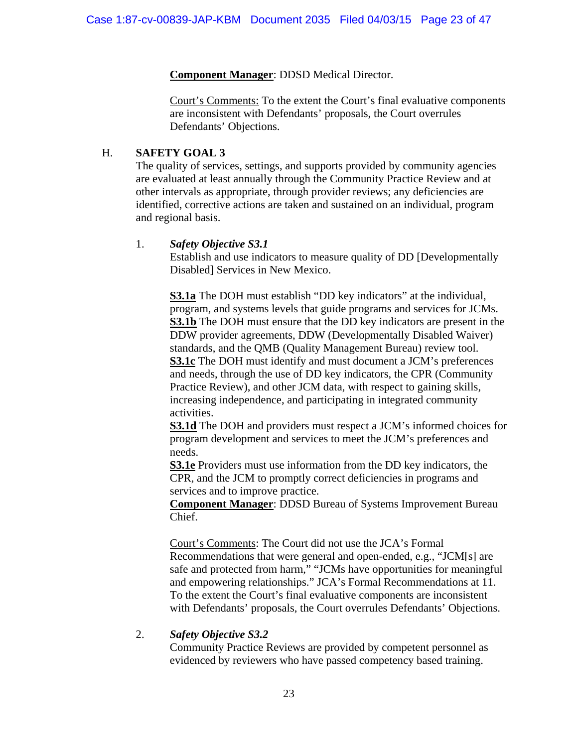# **Component Manager**: DDSD Medical Director.

Court's Comments: To the extent the Court's final evaluative components are inconsistent with Defendants' proposals, the Court overrules Defendants' Objections.

# H. **SAFETY GOAL 3**

The quality of services, settings, and supports provided by community agencies are evaluated at least annually through the Community Practice Review and at other intervals as appropriate, through provider reviews; any deficiencies are identified, corrective actions are taken and sustained on an individual, program and regional basis.

# 1. *Safety Objective S3.1*

Establish and use indicators to measure quality of DD [Developmentally Disabled] Services in New Mexico.

**S3.1a** The DOH must establish "DD key indicators" at the individual, program, and systems levels that guide programs and services for JCMs. **S3.1b** The DOH must ensure that the DD key indicators are present in the DDW provider agreements, DDW (Developmentally Disabled Waiver) standards, and the QMB (Quality Management Bureau) review tool. **S3.1c** The DOH must identify and must document a JCM's preferences and needs, through the use of DD key indicators, the CPR (Community Practice Review), and other JCM data, with respect to gaining skills, increasing independence, and participating in integrated community activities.

**S3.1d** The DOH and providers must respect a JCM's informed choices for program development and services to meet the JCM's preferences and needs.

**S3.1e** Providers must use information from the DD key indicators, the CPR, and the JCM to promptly correct deficiencies in programs and services and to improve practice.

**Component Manager**: DDSD Bureau of Systems Improvement Bureau Chief.

Court's Comments: The Court did not use the JCA's Formal Recommendations that were general and open-ended, e.g., "JCM[s] are safe and protected from harm," "JCMs have opportunities for meaningful and empowering relationships." JCA's Formal Recommendations at 11. To the extent the Court's final evaluative components are inconsistent with Defendants' proposals, the Court overrules Defendants' Objections.

# 2. *Safety Objective S3.2*

Community Practice Reviews are provided by competent personnel as evidenced by reviewers who have passed competency based training.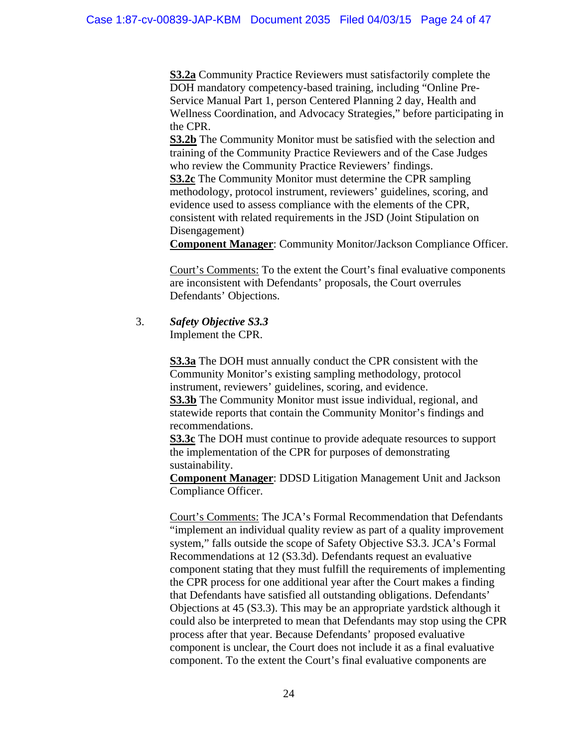**S3.2a** Community Practice Reviewers must satisfactorily complete the DOH mandatory competency-based training, including "Online Pre-Service Manual Part 1, person Centered Planning 2 day, Health and Wellness Coordination, and Advocacy Strategies," before participating in the CPR.

**S3.2b** The Community Monitor must be satisfied with the selection and training of the Community Practice Reviewers and of the Case Judges who review the Community Practice Reviewers' findings.

**S3.2c** The Community Monitor must determine the CPR sampling methodology, protocol instrument, reviewers' guidelines, scoring, and evidence used to assess compliance with the elements of the CPR, consistent with related requirements in the JSD (Joint Stipulation on Disengagement)

**Component Manager**: Community Monitor/Jackson Compliance Officer.

Court's Comments: To the extent the Court's final evaluative components are inconsistent with Defendants' proposals, the Court overrules Defendants' Objections.

3. *Safety Objective S3.3*

Implement the CPR.

**S3.3a** The DOH must annually conduct the CPR consistent with the Community Monitor's existing sampling methodology, protocol instrument, reviewers' guidelines, scoring, and evidence. **S3.3b** The Community Monitor must issue individual, regional, and

statewide reports that contain the Community Monitor's findings and recommendations.

**S3.3c** The DOH must continue to provide adequate resources to support the implementation of the CPR for purposes of demonstrating sustainability.

**Component Manager**: DDSD Litigation Management Unit and Jackson Compliance Officer.

Court's Comments: The JCA's Formal Recommendation that Defendants "implement an individual quality review as part of a quality improvement system," falls outside the scope of Safety Objective S3.3. JCA's Formal Recommendations at 12 (S3.3d). Defendants request an evaluative component stating that they must fulfill the requirements of implementing the CPR process for one additional year after the Court makes a finding that Defendants have satisfied all outstanding obligations. Defendants' Objections at 45 (S3.3). This may be an appropriate yardstick although it could also be interpreted to mean that Defendants may stop using the CPR process after that year. Because Defendants' proposed evaluative component is unclear, the Court does not include it as a final evaluative component. To the extent the Court's final evaluative components are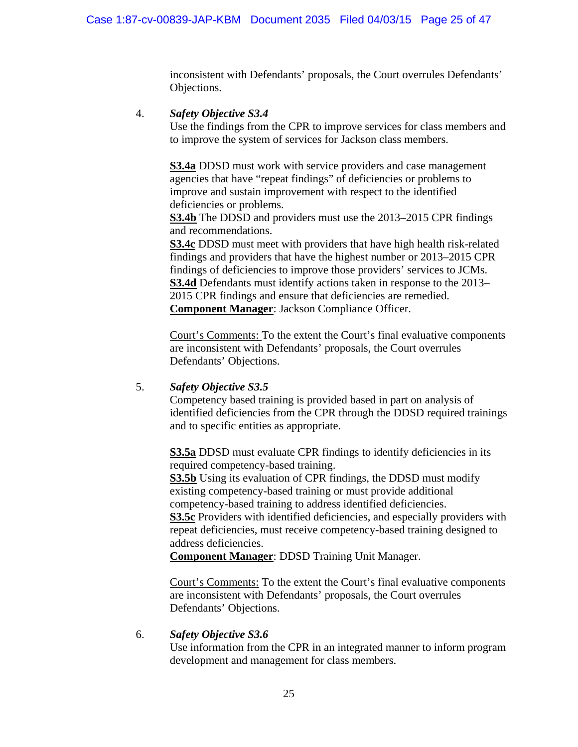inconsistent with Defendants' proposals, the Court overrules Defendants' Objections.

## 4. *Safety Objective S3.4*

Use the findings from the CPR to improve services for class members and to improve the system of services for Jackson class members.

**S3.4a** DDSD must work with service providers and case management agencies that have "repeat findings" of deficiencies or problems to improve and sustain improvement with respect to the identified deficiencies or problems.

**S3.4b** The DDSD and providers must use the 2013–2015 CPR findings and recommendations.

**S3.4c** DDSD must meet with providers that have high health risk-related findings and providers that have the highest number or 2013–2015 CPR findings of deficiencies to improve those providers' services to JCMs. **S3.4d** Defendants must identify actions taken in response to the 2013– 2015 CPR findings and ensure that deficiencies are remedied. **Component Manager**: Jackson Compliance Officer.

Court's Comments: To the extent the Court's final evaluative components are inconsistent with Defendants' proposals, the Court overrules Defendants' Objections.

# 5. *Safety Objective S3.5*

Competency based training is provided based in part on analysis of identified deficiencies from the CPR through the DDSD required trainings and to specific entities as appropriate.

**S3.5a** DDSD must evaluate CPR findings to identify deficiencies in its required competency-based training.

**S3.5b** Using its evaluation of CPR findings, the DDSD must modify existing competency-based training or must provide additional competency-based training to address identified deficiencies.

**S3.5c** Providers with identified deficiencies, and especially providers with repeat deficiencies, must receive competency-based training designed to address deficiencies.

**Component Manager**: DDSD Training Unit Manager.

Court's Comments: To the extent the Court's final evaluative components are inconsistent with Defendants' proposals, the Court overrules Defendants' Objections.

## 6. *Safety Objective S3.6*

Use information from the CPR in an integrated manner to inform program development and management for class members.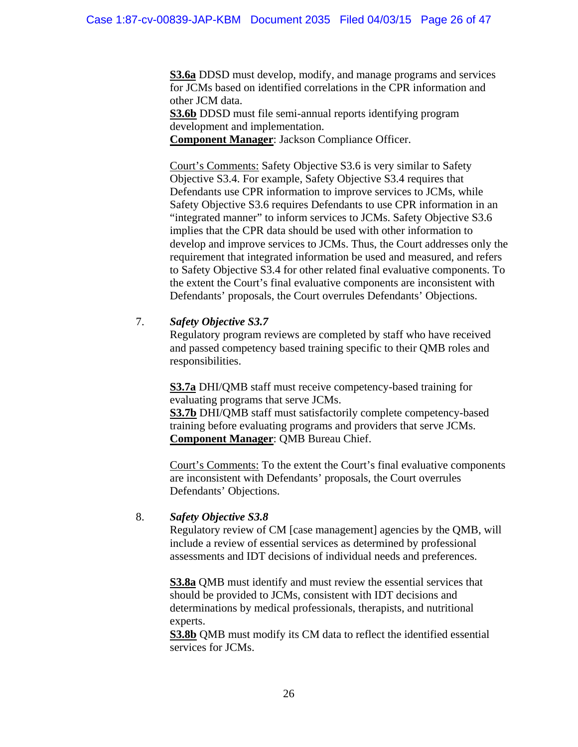**S3.6a** DDSD must develop, modify, and manage programs and services for JCMs based on identified correlations in the CPR information and other JCM data.

**S3.6b** DDSD must file semi-annual reports identifying program development and implementation.

**Component Manager**: Jackson Compliance Officer.

Court's Comments: Safety Objective S3.6 is very similar to Safety Objective S3.4. For example, Safety Objective S3.4 requires that Defendants use CPR information to improve services to JCMs, while Safety Objective S3.6 requires Defendants to use CPR information in an "integrated manner" to inform services to JCMs. Safety Objective S3.6 implies that the CPR data should be used with other information to develop and improve services to JCMs. Thus, the Court addresses only the requirement that integrated information be used and measured, and refers to Safety Objective S3.4 for other related final evaluative components. To the extent the Court's final evaluative components are inconsistent with Defendants' proposals, the Court overrules Defendants' Objections.

# 7. *Safety Objective S3.7*

Regulatory program reviews are completed by staff who have received and passed competency based training specific to their QMB roles and responsibilities.

**S3.7a** DHI/QMB staff must receive competency-based training for evaluating programs that serve JCMs.

**S3.7b** DHI/QMB staff must satisfactorily complete competency-based training before evaluating programs and providers that serve JCMs. **Component Manager**: QMB Bureau Chief.

Court's Comments: To the extent the Court's final evaluative components are inconsistent with Defendants' proposals, the Court overrules Defendants' Objections.

# 8. *Safety Objective S3.8*

Regulatory review of CM [case management] agencies by the QMB, will include a review of essential services as determined by professional assessments and IDT decisions of individual needs and preferences.

**S3.8a** QMB must identify and must review the essential services that should be provided to JCMs, consistent with IDT decisions and determinations by medical professionals, therapists, and nutritional experts.

**S3.8b** QMB must modify its CM data to reflect the identified essential services for JCMs.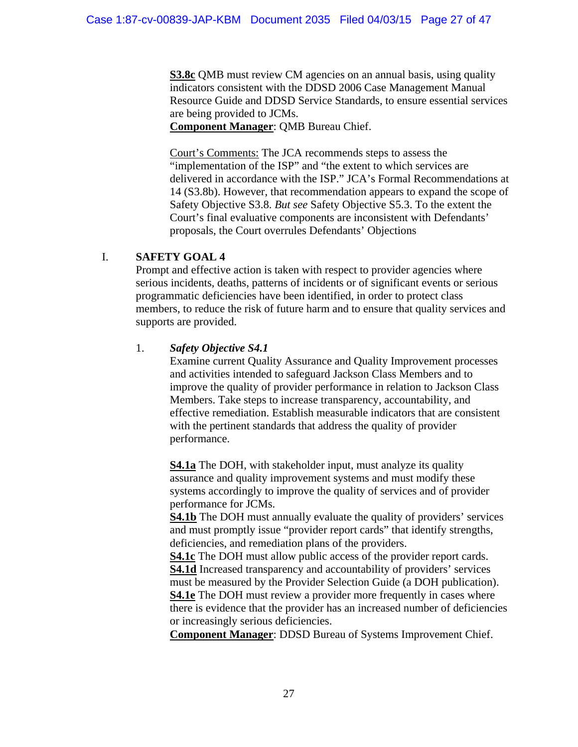**S3.8c** QMB must review CM agencies on an annual basis, using quality indicators consistent with the DDSD 2006 Case Management Manual Resource Guide and DDSD Service Standards, to ensure essential services are being provided to JCMs.

**Component Manager**: QMB Bureau Chief.

Court's Comments: The JCA recommends steps to assess the "implementation of the ISP" and "the extent to which services are delivered in accordance with the ISP." JCA's Formal Recommendations at 14 (S3.8b). However, that recommendation appears to expand the scope of Safety Objective S3.8. *But see* Safety Objective S5.3. To the extent the Court's final evaluative components are inconsistent with Defendants' proposals, the Court overrules Defendants' Objections

# I. **SAFETY GOAL 4**

Prompt and effective action is taken with respect to provider agencies where serious incidents, deaths, patterns of incidents or of significant events or serious programmatic deficiencies have been identified, in order to protect class members, to reduce the risk of future harm and to ensure that quality services and supports are provided.

# 1. *Safety Objective S4.1*

Examine current Quality Assurance and Quality Improvement processes and activities intended to safeguard Jackson Class Members and to improve the quality of provider performance in relation to Jackson Class Members. Take steps to increase transparency, accountability, and effective remediation. Establish measurable indicators that are consistent with the pertinent standards that address the quality of provider performance.

**S4.1a** The DOH, with stakeholder input, must analyze its quality assurance and quality improvement systems and must modify these systems accordingly to improve the quality of services and of provider performance for JCMs.

**S4.1b** The DOH must annually evaluate the quality of providers' services and must promptly issue "provider report cards" that identify strengths, deficiencies, and remediation plans of the providers.

**S4.1c** The DOH must allow public access of the provider report cards. **S4.1d** Increased transparency and accountability of providers' services must be measured by the Provider Selection Guide (a DOH publication). **S4.1e** The DOH must review a provider more frequently in cases where there is evidence that the provider has an increased number of deficiencies or increasingly serious deficiencies.

**Component Manager**: DDSD Bureau of Systems Improvement Chief.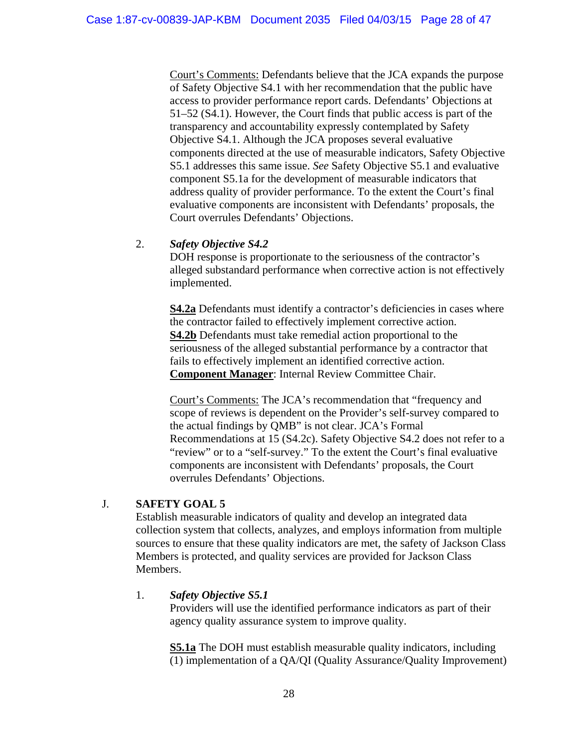Court's Comments: Defendants believe that the JCA expands the purpose of Safety Objective S4.1 with her recommendation that the public have access to provider performance report cards. Defendants' Objections at 51–52 (S4.1). However, the Court finds that public access is part of the transparency and accountability expressly contemplated by Safety Objective S4.1. Although the JCA proposes several evaluative components directed at the use of measurable indicators, Safety Objective S5.1 addresses this same issue. *See* Safety Objective S5.1 and evaluative component S5.1a for the development of measurable indicators that address quality of provider performance. To the extent the Court's final evaluative components are inconsistent with Defendants' proposals, the Court overrules Defendants' Objections.

# 2. *Safety Objective S4.2*

DOH response is proportionate to the seriousness of the contractor's alleged substandard performance when corrective action is not effectively implemented.

**S4.2a** Defendants must identify a contractor's deficiencies in cases where the contractor failed to effectively implement corrective action. **S4.2b** Defendants must take remedial action proportional to the seriousness of the alleged substantial performance by a contractor that fails to effectively implement an identified corrective action. **Component Manager**: Internal Review Committee Chair.

Court's Comments: The JCA's recommendation that "frequency and scope of reviews is dependent on the Provider's self-survey compared to the actual findings by QMB" is not clear. JCA's Formal Recommendations at 15 (S4.2c). Safety Objective S4.2 does not refer to a "review" or to a "self-survey." To the extent the Court's final evaluative components are inconsistent with Defendants' proposals, the Court overrules Defendants' Objections.

# J. **SAFETY GOAL 5**

Establish measurable indicators of quality and develop an integrated data collection system that collects, analyzes, and employs information from multiple sources to ensure that these quality indicators are met, the safety of Jackson Class Members is protected, and quality services are provided for Jackson Class Members.

# 1. *Safety Objective S5.1*

Providers will use the identified performance indicators as part of their agency quality assurance system to improve quality.

**S5.1a** The DOH must establish measurable quality indicators, including (1) implementation of a QA/QI (Quality Assurance/Quality Improvement)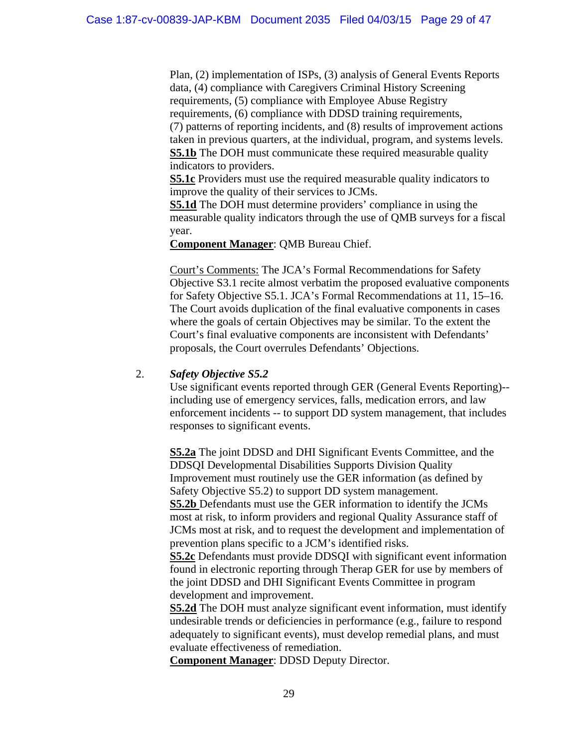Plan, (2) implementation of ISPs, (3) analysis of General Events Reports data, (4) compliance with Caregivers Criminal History Screening requirements, (5) compliance with Employee Abuse Registry requirements, (6) compliance with DDSD training requirements, (7) patterns of reporting incidents, and (8) results of improvement actions taken in previous quarters, at the individual, program, and systems levels. **S5.1b** The DOH must communicate these required measurable quality indicators to providers.

**S5.1c** Providers must use the required measurable quality indicators to improve the quality of their services to JCMs.

**S5.1d** The DOH must determine providers' compliance in using the measurable quality indicators through the use of QMB surveys for a fiscal year.

**Component Manager**: QMB Bureau Chief.

Court's Comments: The JCA's Formal Recommendations for Safety Objective S3.1 recite almost verbatim the proposed evaluative components for Safety Objective S5.1. JCA's Formal Recommendations at 11, 15–16. The Court avoids duplication of the final evaluative components in cases where the goals of certain Objectives may be similar. To the extent the Court's final evaluative components are inconsistent with Defendants' proposals, the Court overrules Defendants' Objections.

## 2. *Safety Objective S5.2*

Use significant events reported through GER (General Events Reporting)- including use of emergency services, falls, medication errors, and law enforcement incidents -- to support DD system management, that includes responses to significant events.

**S5.2a** The joint DDSD and DHI Significant Events Committee, and the DDSQI Developmental Disabilities Supports Division Quality Improvement must routinely use the GER information (as defined by Safety Objective S5.2) to support DD system management. **S5.2b** Defendants must use the GER information to identify the JCMs most at risk, to inform providers and regional Quality Assurance staff of JCMs most at risk, and to request the development and implementation of prevention plans specific to a JCM's identified risks. **S5.2c** Defendants must provide DDSQI with significant event information found in electronic reporting through Therap GER for use by members of

the joint DDSD and DHI Significant Events Committee in program development and improvement.

**S5.2d** The DOH must analyze significant event information, must identify undesirable trends or deficiencies in performance (e.g., failure to respond adequately to significant events), must develop remedial plans, and must evaluate effectiveness of remediation.

**Component Manager**: DDSD Deputy Director.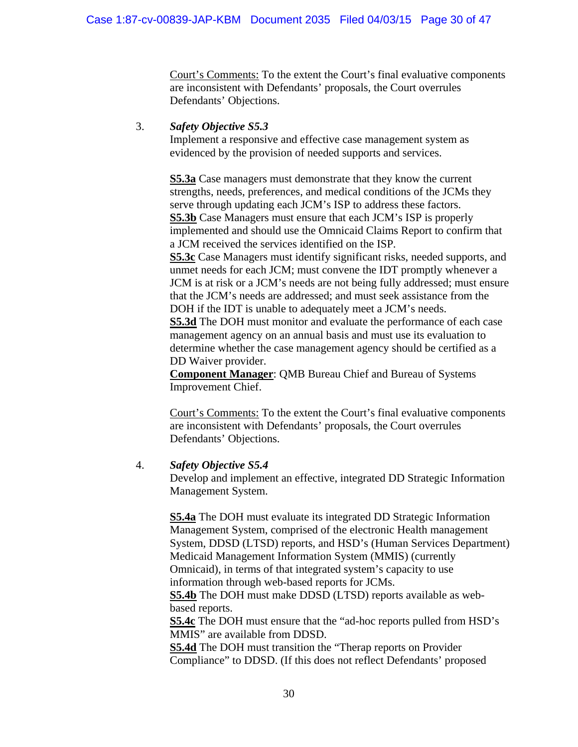Court's Comments: To the extent the Court's final evaluative components are inconsistent with Defendants' proposals, the Court overrules Defendants' Objections.

## 3. *Safety Objective S5.3*

Implement a responsive and effective case management system as evidenced by the provision of needed supports and services.

**S5.3a** Case managers must demonstrate that they know the current strengths, needs, preferences, and medical conditions of the JCMs they serve through updating each JCM's ISP to address these factors. **S5.3b** Case Managers must ensure that each JCM's ISP is properly implemented and should use the Omnicaid Claims Report to confirm that a JCM received the services identified on the ISP. **S5.3c** Case Managers must identify significant risks, needed supports, and unmet needs for each JCM; must convene the IDT promptly whenever a JCM is at risk or a JCM's needs are not being fully addressed; must ensure that the JCM's needs are addressed; and must seek assistance from the DOH if the IDT is unable to adequately meet a JCM's needs. **S5.3d** The DOH must monitor and evaluate the performance of each case management agency on an annual basis and must use its evaluation to determine whether the case management agency should be certified as a DD Waiver provider.

**Component Manager**: QMB Bureau Chief and Bureau of Systems Improvement Chief.

Court's Comments: To the extent the Court's final evaluative components are inconsistent with Defendants' proposals, the Court overrules Defendants' Objections.

## 4. *Safety Objective S5.4*

Develop and implement an effective, integrated DD Strategic Information Management System.

**S5.4a** The DOH must evaluate its integrated DD Strategic Information Management System, comprised of the electronic Health management System, DDSD (LTSD) reports, and HSD's (Human Services Department) Medicaid Management Information System (MMIS) (currently Omnicaid), in terms of that integrated system's capacity to use information through web-based reports for JCMs.

**S5.4b** The DOH must make DDSD (LTSD) reports available as webbased reports.

**S5.4c** The DOH must ensure that the "ad-hoc reports pulled from HSD's MMIS" are available from DDSD.

**S5.4d** The DOH must transition the "Therap reports on Provider Compliance" to DDSD. (If this does not reflect Defendants' proposed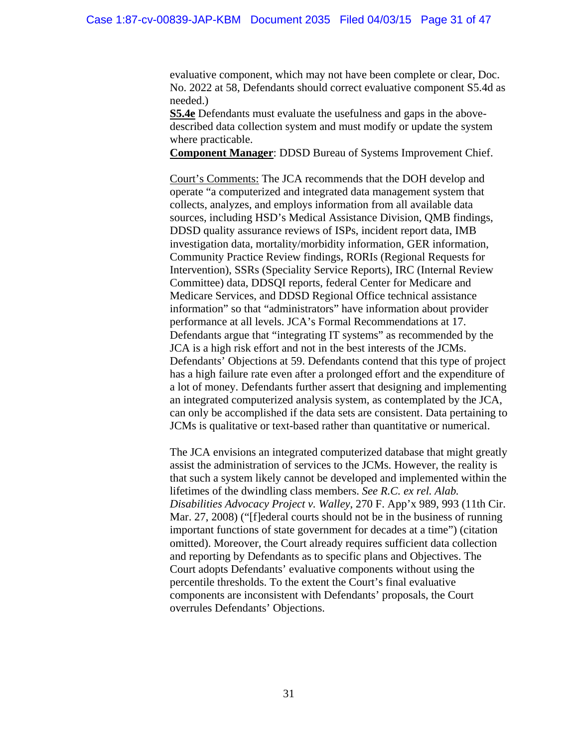evaluative component, which may not have been complete or clear, Doc. No. 2022 at 58, Defendants should correct evaluative component S5.4d as needed.)

**S5.4e** Defendants must evaluate the usefulness and gaps in the abovedescribed data collection system and must modify or update the system where practicable.

**Component Manager**: DDSD Bureau of Systems Improvement Chief.

Court's Comments: The JCA recommends that the DOH develop and operate "a computerized and integrated data management system that collects, analyzes, and employs information from all available data sources, including HSD's Medical Assistance Division, QMB findings, DDSD quality assurance reviews of ISPs, incident report data, IMB investigation data, mortality/morbidity information, GER information, Community Practice Review findings, RORIs (Regional Requests for Intervention), SSRs (Speciality Service Reports), IRC (Internal Review Committee) data, DDSQI reports, federal Center for Medicare and Medicare Services, and DDSD Regional Office technical assistance information" so that "administrators" have information about provider performance at all levels. JCA's Formal Recommendations at 17. Defendants argue that "integrating IT systems" as recommended by the JCA is a high risk effort and not in the best interests of the JCMs. Defendants' Objections at 59. Defendants contend that this type of project has a high failure rate even after a prolonged effort and the expenditure of a lot of money. Defendants further assert that designing and implementing an integrated computerized analysis system, as contemplated by the JCA, can only be accomplished if the data sets are consistent. Data pertaining to JCMs is qualitative or text-based rather than quantitative or numerical.

The JCA envisions an integrated computerized database that might greatly assist the administration of services to the JCMs. However, the reality is that such a system likely cannot be developed and implemented within the lifetimes of the dwindling class members. *See R.C. ex rel. Alab. Disabilities Advocacy Project v. Walley*, 270 F. App'x 989, 993 (11th Cir. Mar. 27, 2008) ("[f]ederal courts should not be in the business of running important functions of state government for decades at a time") (citation omitted). Moreover, the Court already requires sufficient data collection and reporting by Defendants as to specific plans and Objectives. The Court adopts Defendants' evaluative components without using the percentile thresholds. To the extent the Court's final evaluative components are inconsistent with Defendants' proposals, the Court overrules Defendants' Objections.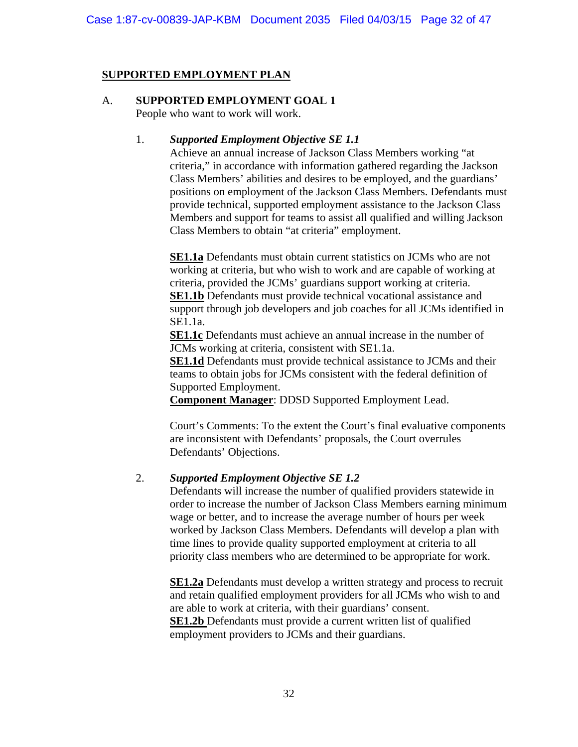# **SUPPORTED EMPLOYMENT PLAN**

#### A. **SUPPORTED EMPLOYMENT GOAL 1** People who want to work will work.

## 1. *Supported Employment Objective SE 1.1*

Achieve an annual increase of Jackson Class Members working "at criteria," in accordance with information gathered regarding the Jackson Class Members' abilities and desires to be employed, and the guardians' positions on employment of the Jackson Class Members. Defendants must provide technical, supported employment assistance to the Jackson Class Members and support for teams to assist all qualified and willing Jackson Class Members to obtain "at criteria" employment.

**SE1.1a** Defendants must obtain current statistics on JCMs who are not working at criteria, but who wish to work and are capable of working at criteria, provided the JCMs' guardians support working at criteria. **SE1.1b** Defendants must provide technical vocational assistance and support through job developers and job coaches for all JCMs identified in SE1.1a.

**SE1.1c** Defendants must achieve an annual increase in the number of JCMs working at criteria, consistent with SE1.1a.

**SE1.1d** Defendants must provide technical assistance to JCMs and their teams to obtain jobs for JCMs consistent with the federal definition of Supported Employment.

**Component Manager**: DDSD Supported Employment Lead.

Court's Comments: To the extent the Court's final evaluative components are inconsistent with Defendants' proposals, the Court overrules Defendants' Objections.

# 2. *Supported Employment Objective SE 1.2*

Defendants will increase the number of qualified providers statewide in order to increase the number of Jackson Class Members earning minimum wage or better, and to increase the average number of hours per week worked by Jackson Class Members. Defendants will develop a plan with time lines to provide quality supported employment at criteria to all priority class members who are determined to be appropriate for work.

**SE1.2a** Defendants must develop a written strategy and process to recruit and retain qualified employment providers for all JCMs who wish to and are able to work at criteria, with their guardians' consent. **SE1.2b** Defendants must provide a current written list of qualified employment providers to JCMs and their guardians.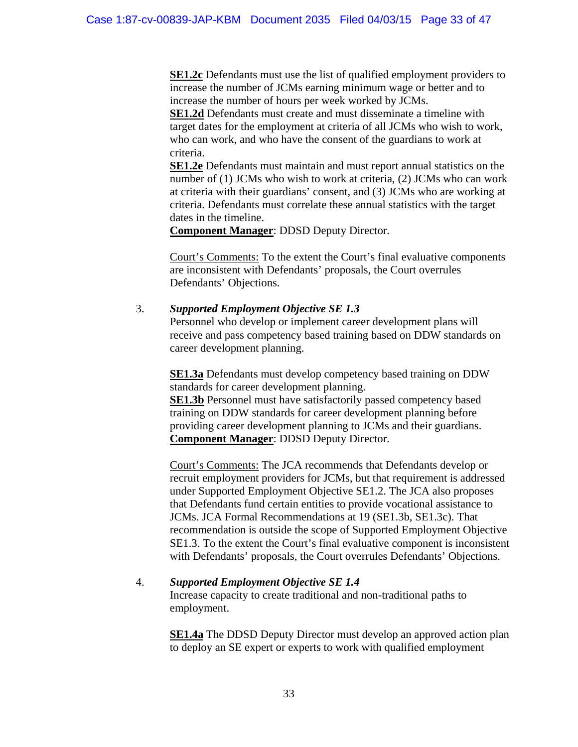**SE1.2c** Defendants must use the list of qualified employment providers to increase the number of JCMs earning minimum wage or better and to increase the number of hours per week worked by JCMs.

**SE1.2d** Defendants must create and must disseminate a timeline with target dates for the employment at criteria of all JCMs who wish to work, who can work, and who have the consent of the guardians to work at criteria.

**SE1.2e** Defendants must maintain and must report annual statistics on the number of (1) JCMs who wish to work at criteria, (2) JCMs who can work at criteria with their guardians' consent, and (3) JCMs who are working at criteria. Defendants must correlate these annual statistics with the target dates in the timeline.

**Component Manager**: DDSD Deputy Director.

Court's Comments: To the extent the Court's final evaluative components are inconsistent with Defendants' proposals, the Court overrules Defendants' Objections.

# 3. *Supported Employment Objective SE 1.3*

Personnel who develop or implement career development plans will receive and pass competency based training based on DDW standards on career development planning.

**SE1.3a** Defendants must develop competency based training on DDW standards for career development planning.

**SE1.3b** Personnel must have satisfactorily passed competency based training on DDW standards for career development planning before providing career development planning to JCMs and their guardians. **Component Manager**: DDSD Deputy Director.

Court's Comments: The JCA recommends that Defendants develop or recruit employment providers for JCMs, but that requirement is addressed under Supported Employment Objective SE1.2. The JCA also proposes that Defendants fund certain entities to provide vocational assistance to JCMs. JCA Formal Recommendations at 19 (SE1.3b, SE1.3c). That recommendation is outside the scope of Supported Employment Objective SE1.3. To the extent the Court's final evaluative component is inconsistent with Defendants' proposals, the Court overrules Defendants' Objections.

# 4. *Supported Employment Objective SE 1.4*

Increase capacity to create traditional and non-traditional paths to employment.

**SE1.4a** The DDSD Deputy Director must develop an approved action plan to deploy an SE expert or experts to work with qualified employment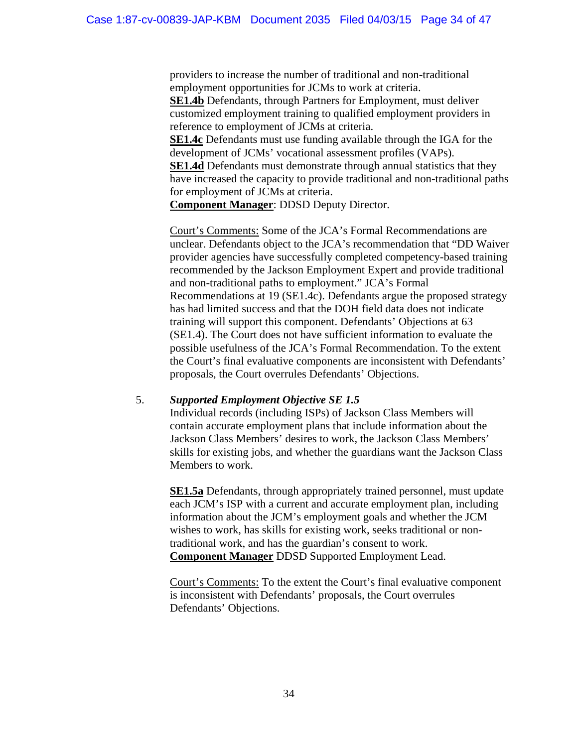providers to increase the number of traditional and non-traditional employment opportunities for JCMs to work at criteria. **SE1.4b** Defendants, through Partners for Employment, must deliver customized employment training to qualified employment providers in reference to employment of JCMs at criteria. **SE1.4c** Defendants must use funding available through the IGA for the

development of JCMs' vocational assessment profiles (VAPs). **SE1.4d** Defendants must demonstrate through annual statistics that they have increased the capacity to provide traditional and non-traditional paths for employment of JCMs at criteria.

**Component Manager**: DDSD Deputy Director.

Court's Comments: Some of the JCA's Formal Recommendations are unclear. Defendants object to the JCA's recommendation that "DD Waiver provider agencies have successfully completed competency-based training recommended by the Jackson Employment Expert and provide traditional and non-traditional paths to employment." JCA's Formal Recommendations at 19 (SE1.4c). Defendants argue the proposed strategy has had limited success and that the DOH field data does not indicate training will support this component. Defendants' Objections at 63 (SE1.4). The Court does not have sufficient information to evaluate the possible usefulness of the JCA's Formal Recommendation. To the extent the Court's final evaluative components are inconsistent with Defendants' proposals, the Court overrules Defendants' Objections.

# 5. *Supported Employment Objective SE 1.5*

Individual records (including ISPs) of Jackson Class Members will contain accurate employment plans that include information about the Jackson Class Members' desires to work, the Jackson Class Members' skills for existing jobs, and whether the guardians want the Jackson Class Members to work.

**SE1.5a** Defendants, through appropriately trained personnel, must update each JCM's ISP with a current and accurate employment plan, including information about the JCM's employment goals and whether the JCM wishes to work, has skills for existing work, seeks traditional or nontraditional work, and has the guardian's consent to work. **Component Manager** DDSD Supported Employment Lead.

Court's Comments: To the extent the Court's final evaluative component is inconsistent with Defendants' proposals, the Court overrules Defendants' Objections.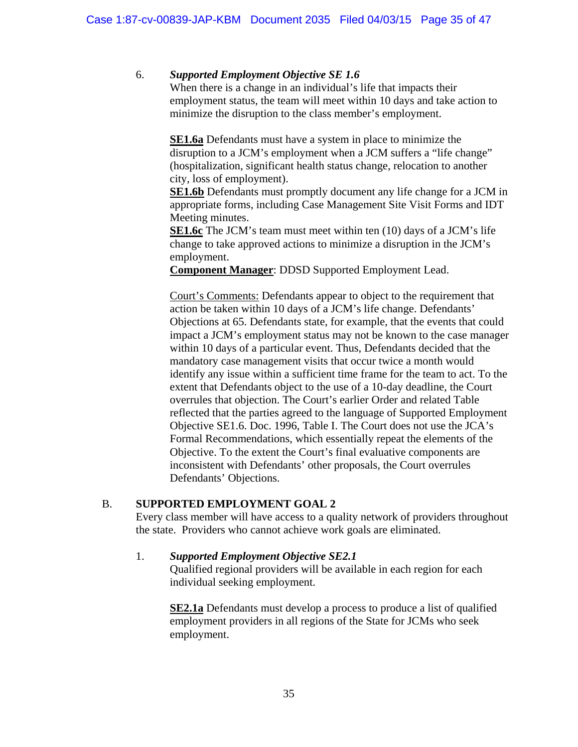# 6. *Supported Employment Objective SE 1.6*

 When there is a change in an individual's life that impacts their employment status, the team will meet within 10 days and take action to minimize the disruption to the class member's employment.

**SE1.6a** Defendants must have a system in place to minimize the disruption to a JCM's employment when a JCM suffers a "life change" (hospitalization, significant health status change, relocation to another city, loss of employment).

**SE1.6b** Defendants must promptly document any life change for a JCM in appropriate forms, including Case Management Site Visit Forms and IDT Meeting minutes.

**SE1.6c** The JCM's team must meet within ten (10) days of a JCM's life change to take approved actions to minimize a disruption in the JCM's employment.

**Component Manager**: DDSD Supported Employment Lead.

Court's Comments: Defendants appear to object to the requirement that action be taken within 10 days of a JCM's life change. Defendants' Objections at 65. Defendants state, for example, that the events that could impact a JCM's employment status may not be known to the case manager within 10 days of a particular event. Thus, Defendants decided that the mandatory case management visits that occur twice a month would identify any issue within a sufficient time frame for the team to act. To the extent that Defendants object to the use of a 10-day deadline, the Court overrules that objection. The Court's earlier Order and related Table reflected that the parties agreed to the language of Supported Employment Objective SE1.6. Doc. 1996, Table I. The Court does not use the JCA's Formal Recommendations, which essentially repeat the elements of the Objective. To the extent the Court's final evaluative components are inconsistent with Defendants' other proposals, the Court overrules Defendants' Objections.

## B. **SUPPORTED EMPLOYMENT GOAL 2**

Every class member will have access to a quality network of providers throughout the state. Providers who cannot achieve work goals are eliminated.

## 1. *Supported Employment Objective SE2.1*

Qualified regional providers will be available in each region for each individual seeking employment.

**SE2.1a** Defendants must develop a process to produce a list of qualified employment providers in all regions of the State for JCMs who seek employment.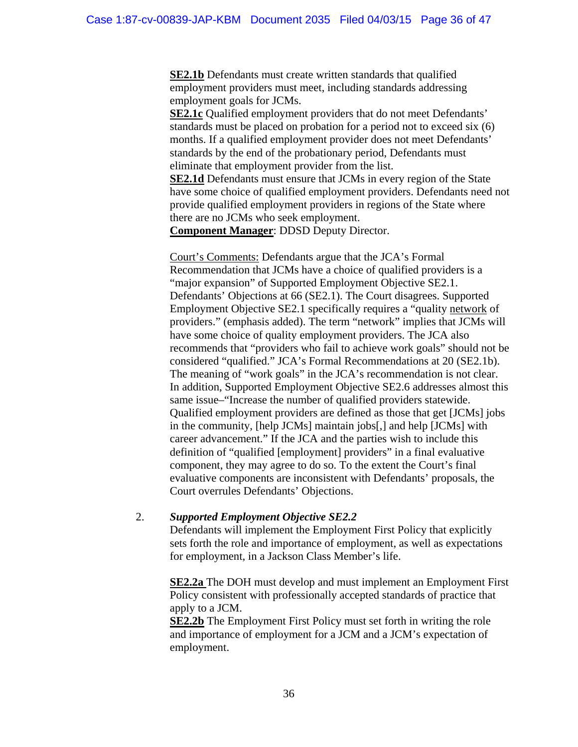**SE2.1b** Defendants must create written standards that qualified employment providers must meet, including standards addressing employment goals for JCMs.

**SE2.1c** Qualified employment providers that do not meet Defendants' standards must be placed on probation for a period not to exceed six (6) months. If a qualified employment provider does not meet Defendants' standards by the end of the probationary period, Defendants must eliminate that employment provider from the list.

**SE2.1d** Defendants must ensure that JCMs in every region of the State have some choice of qualified employment providers. Defendants need not provide qualified employment providers in regions of the State where there are no JCMs who seek employment.

**Component Manager**: DDSD Deputy Director.

Court's Comments: Defendants argue that the JCA's Formal Recommendation that JCMs have a choice of qualified providers is a "major expansion" of Supported Employment Objective SE2.1. Defendants' Objections at 66 (SE2.1). The Court disagrees. Supported Employment Objective SE2.1 specifically requires a "quality network of providers." (emphasis added). The term "network" implies that JCMs will have some choice of quality employment providers. The JCA also recommends that "providers who fail to achieve work goals" should not be considered "qualified." JCA's Formal Recommendations at 20 (SE2.1b). The meaning of "work goals" in the JCA's recommendation is not clear. In addition, Supported Employment Objective SE2.6 addresses almost this same issue–"Increase the number of qualified providers statewide. Qualified employment providers are defined as those that get [JCMs] jobs in the community, [help JCMs] maintain jobs[,] and help [JCMs] with career advancement." If the JCA and the parties wish to include this definition of "qualified [employment] providers" in a final evaluative component, they may agree to do so. To the extent the Court's final evaluative components are inconsistent with Defendants' proposals, the Court overrules Defendants' Objections.

## 2. *Supported Employment Objective SE2.2*

Defendants will implement the Employment First Policy that explicitly sets forth the role and importance of employment, as well as expectations for employment, in a Jackson Class Member's life.

**SE2.2a** The DOH must develop and must implement an Employment First Policy consistent with professionally accepted standards of practice that apply to a JCM.

**SE2.2b** The Employment First Policy must set forth in writing the role and importance of employment for a JCM and a JCM's expectation of employment.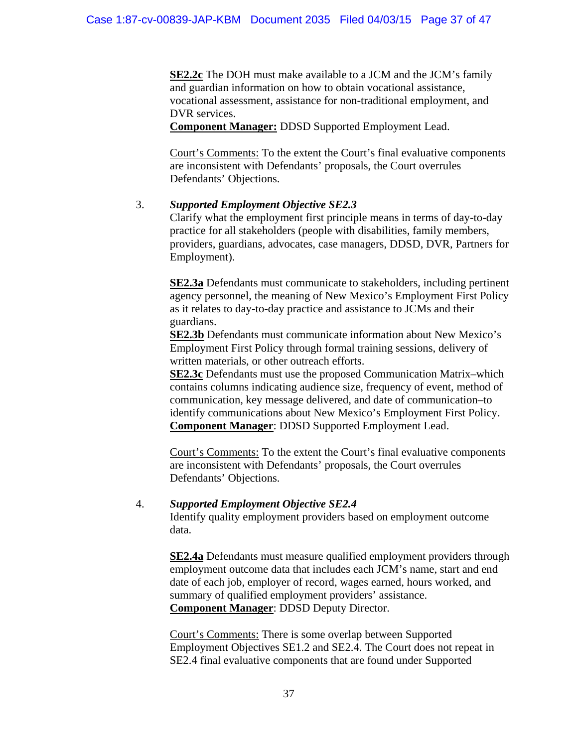**SE2.2c** The DOH must make available to a JCM and the JCM's family and guardian information on how to obtain vocational assistance, vocational assessment, assistance for non-traditional employment, and DVR services.

**Component Manager:** DDSD Supported Employment Lead.

Court's Comments: To the extent the Court's final evaluative components are inconsistent with Defendants' proposals, the Court overrules Defendants' Objections.

# 3. *Supported Employment Objective SE2.3*

Clarify what the employment first principle means in terms of day-to-day practice for all stakeholders (people with disabilities, family members, providers, guardians, advocates, case managers, DDSD, DVR, Partners for Employment).

**SE2.3a** Defendants must communicate to stakeholders, including pertinent agency personnel, the meaning of New Mexico's Employment First Policy as it relates to day-to-day practice and assistance to JCMs and their guardians.

**SE2.3b** Defendants must communicate information about New Mexico's Employment First Policy through formal training sessions, delivery of written materials, or other outreach efforts.

**SE2.3c** Defendants must use the proposed Communication Matrix–which contains columns indicating audience size, frequency of event, method of communication, key message delivered, and date of communication–to identify communications about New Mexico's Employment First Policy. **Component Manager**: DDSD Supported Employment Lead.

Court's Comments: To the extent the Court's final evaluative components are inconsistent with Defendants' proposals, the Court overrules Defendants' Objections.

# 4. *Supported Employment Objective SE2.4*

Identify quality employment providers based on employment outcome data.

**SE2.4a** Defendants must measure qualified employment providers through employment outcome data that includes each JCM's name, start and end date of each job, employer of record, wages earned, hours worked, and summary of qualified employment providers' assistance. **Component Manager**: DDSD Deputy Director.

Court's Comments: There is some overlap between Supported Employment Objectives SE1.2 and SE2.4. The Court does not repeat in SE2.4 final evaluative components that are found under Supported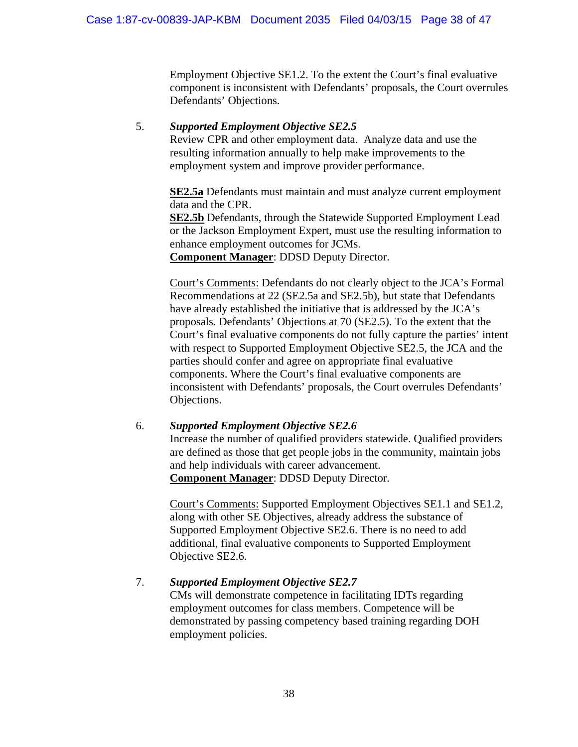Employment Objective SE1.2. To the extent the Court's final evaluative component is inconsistent with Defendants' proposals, the Court overrules Defendants' Objections.

# 5. *Supported Employment Objective SE2.5*

Review CPR and other employment data. Analyze data and use the resulting information annually to help make improvements to the employment system and improve provider performance.

**SE2.5a** Defendants must maintain and must analyze current employment data and the CPR.

**SE2.5b** Defendants, through the Statewide Supported Employment Lead or the Jackson Employment Expert, must use the resulting information to enhance employment outcomes for JCMs.

**Component Manager**: DDSD Deputy Director.

Court's Comments: Defendants do not clearly object to the JCA's Formal Recommendations at 22 (SE2.5a and SE2.5b), but state that Defendants have already established the initiative that is addressed by the JCA's proposals. Defendants' Objections at 70 (SE2.5). To the extent that the Court's final evaluative components do not fully capture the parties' intent with respect to Supported Employment Objective SE2.5, the JCA and the parties should confer and agree on appropriate final evaluative components. Where the Court's final evaluative components are inconsistent with Defendants' proposals, the Court overrules Defendants' Objections.

## 6. *Supported Employment Objective SE2.6* Increase the number of qualified providers statewide. Qualified providers are defined as those that get people jobs in the community, maintain jobs and help individuals with career advancement. **Component Manager**: DDSD Deputy Director.

Court's Comments: Supported Employment Objectives SE1.1 and SE1.2, along with other SE Objectives, already address the substance of Supported Employment Objective SE2.6. There is no need to add additional, final evaluative components to Supported Employment Objective SE2.6.

# 7. *Supported Employment Objective SE2.7*

CMs will demonstrate competence in facilitating IDTs regarding employment outcomes for class members. Competence will be demonstrated by passing competency based training regarding DOH employment policies.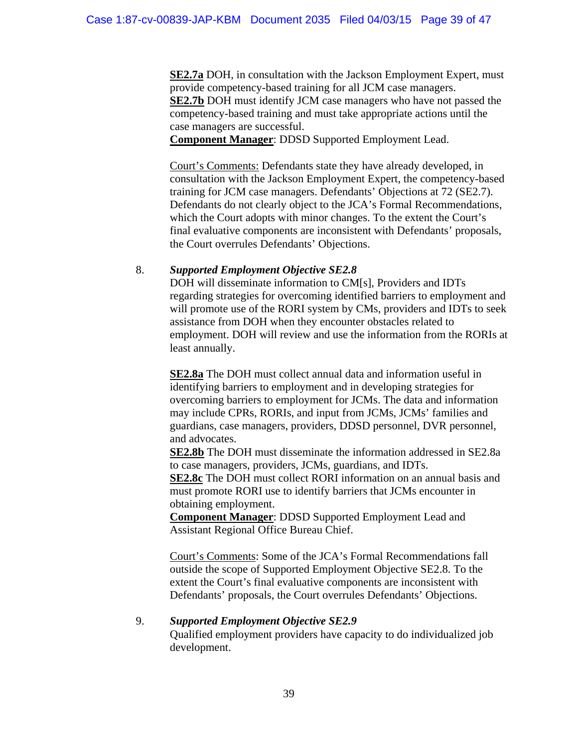**SE2.7a** DOH, in consultation with the Jackson Employment Expert, must provide competency-based training for all JCM case managers. **SE2.7b** DOH must identify JCM case managers who have not passed the competency-based training and must take appropriate actions until the case managers are successful.

**Component Manager**: DDSD Supported Employment Lead.

Court's Comments: Defendants state they have already developed, in consultation with the Jackson Employment Expert, the competency-based training for JCM case managers. Defendants' Objections at 72 (SE2.7). Defendants do not clearly object to the JCA's Formal Recommendations, which the Court adopts with minor changes. To the extent the Court's final evaluative components are inconsistent with Defendants' proposals, the Court overrules Defendants' Objections.

## 8. *Supported Employment Objective SE2.8*

DOH will disseminate information to CM[s], Providers and IDTs regarding strategies for overcoming identified barriers to employment and will promote use of the RORI system by CMs, providers and IDTs to seek assistance from DOH when they encounter obstacles related to employment. DOH will review and use the information from the RORIs at least annually.

**SE2.8a** The DOH must collect annual data and information useful in identifying barriers to employment and in developing strategies for overcoming barriers to employment for JCMs. The data and information may include CPRs, RORIs, and input from JCMs, JCMs' families and guardians, case managers, providers, DDSD personnel, DVR personnel, and advocates.

**SE2.8b** The DOH must disseminate the information addressed in SE2.8a to case managers, providers, JCMs, guardians, and IDTs. **SE2.8c** The DOH must collect RORI information on an annual basis and must promote RORI use to identify barriers that JCMs encounter in

obtaining employment.

**Component Manager**: DDSD Supported Employment Lead and Assistant Regional Office Bureau Chief.

Court's Comments: Some of the JCA's Formal Recommendations fall outside the scope of Supported Employment Objective SE2.8. To the extent the Court's final evaluative components are inconsistent with Defendants' proposals, the Court overrules Defendants' Objections.

## 9. *Supported Employment Objective SE2.9*

 Qualified employment providers have capacity to do individualized job development.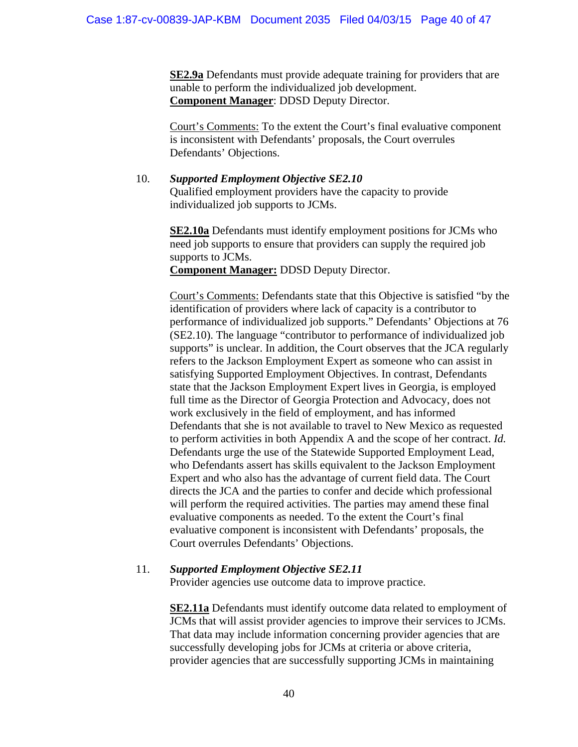**SE2.9a** Defendants must provide adequate training for providers that are unable to perform the individualized job development. **Component Manager**: DDSD Deputy Director.

Court's Comments: To the extent the Court's final evaluative component is inconsistent with Defendants' proposals, the Court overrules Defendants' Objections.

10. *Supported Employment Objective SE2.10* Qualified employment providers have the capacity to provide individualized job supports to JCMs.

> **SE2.10a** Defendants must identify employment positions for JCMs who need job supports to ensure that providers can supply the required job supports to JCMs.

**Component Manager:** DDSD Deputy Director.

 Court's Comments: Defendants state that this Objective is satisfied "by the identification of providers where lack of capacity is a contributor to performance of individualized job supports." Defendants' Objections at 76 (SE2.10). The language "contributor to performance of individualized job supports" is unclear. In addition, the Court observes that the JCA regularly refers to the Jackson Employment Expert as someone who can assist in satisfying Supported Employment Objectives. In contrast, Defendants state that the Jackson Employment Expert lives in Georgia, is employed full time as the Director of Georgia Protection and Advocacy, does not work exclusively in the field of employment, and has informed Defendants that she is not available to travel to New Mexico as requested to perform activities in both Appendix A and the scope of her contract. *Id.* Defendants urge the use of the Statewide Supported Employment Lead, who Defendants assert has skills equivalent to the Jackson Employment Expert and who also has the advantage of current field data. The Court directs the JCA and the parties to confer and decide which professional will perform the required activities. The parties may amend these final evaluative components as needed. To the extent the Court's final evaluative component is inconsistent with Defendants' proposals, the Court overrules Defendants' Objections.

#### 11. *Supported Employment Objective SE2.11* Provider agencies use outcome data to improve practice.

**SE2.11a** Defendants must identify outcome data related to employment of JCMs that will assist provider agencies to improve their services to JCMs. That data may include information concerning provider agencies that are successfully developing jobs for JCMs at criteria or above criteria, provider agencies that are successfully supporting JCMs in maintaining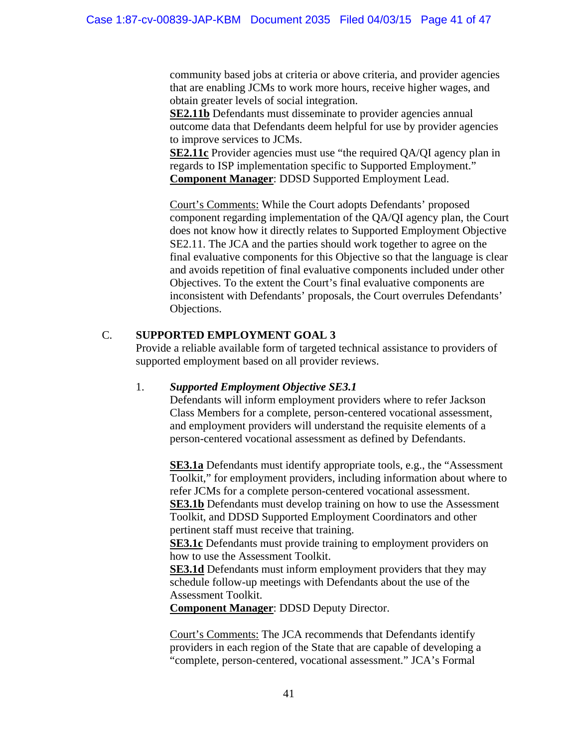community based jobs at criteria or above criteria, and provider agencies that are enabling JCMs to work more hours, receive higher wages, and obtain greater levels of social integration.

**SE2.11b** Defendants must disseminate to provider agencies annual outcome data that Defendants deem helpful for use by provider agencies to improve services to JCMs.

**SE2.11c** Provider agencies must use "the required QA/QI agency plan in regards to ISP implementation specific to Supported Employment." **Component Manager**: DDSD Supported Employment Lead.

Court's Comments: While the Court adopts Defendants' proposed component regarding implementation of the QA/QI agency plan, the Court does not know how it directly relates to Supported Employment Objective SE2.11. The JCA and the parties should work together to agree on the final evaluative components for this Objective so that the language is clear and avoids repetition of final evaluative components included under other Objectives. To the extent the Court's final evaluative components are inconsistent with Defendants' proposals, the Court overrules Defendants' Objections.

# C. **SUPPORTED EMPLOYMENT GOAL 3**

Provide a reliable available form of targeted technical assistance to providers of supported employment based on all provider reviews.

# 1. *Supported Employment Objective SE3.1*

Defendants will inform employment providers where to refer Jackson Class Members for a complete, person-centered vocational assessment, and employment providers will understand the requisite elements of a person-centered vocational assessment as defined by Defendants.

**SE3.1a** Defendants must identify appropriate tools, e.g., the "Assessment" Toolkit," for employment providers, including information about where to refer JCMs for a complete person-centered vocational assessment. **SE3.1b** Defendants must develop training on how to use the Assessment Toolkit, and DDSD Supported Employment Coordinators and other pertinent staff must receive that training.

**SE3.1c** Defendants must provide training to employment providers on how to use the Assessment Toolkit.

**SE3.1d** Defendants must inform employment providers that they may schedule follow-up meetings with Defendants about the use of the Assessment Toolkit.

**Component Manager**: DDSD Deputy Director.

Court's Comments: The JCA recommends that Defendants identify providers in each region of the State that are capable of developing a "complete, person-centered, vocational assessment." JCA's Formal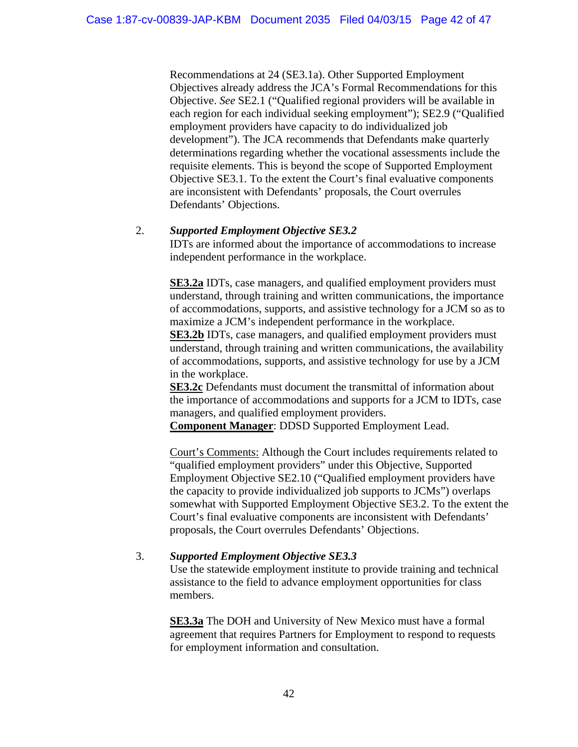Recommendations at 24 (SE3.1a). Other Supported Employment Objectives already address the JCA's Formal Recommendations for this Objective. *See* SE2.1 ("Qualified regional providers will be available in each region for each individual seeking employment"); SE2.9 ("Qualified employment providers have capacity to do individualized job development"). The JCA recommends that Defendants make quarterly determinations regarding whether the vocational assessments include the requisite elements. This is beyond the scope of Supported Employment Objective SE3.1. To the extent the Court's final evaluative components are inconsistent with Defendants' proposals, the Court overrules Defendants' Objections.

# 2. *Supported Employment Objective SE3.2*

IDTs are informed about the importance of accommodations to increase independent performance in the workplace.

**SE3.2a** IDTs, case managers, and qualified employment providers must understand, through training and written communications, the importance of accommodations, supports, and assistive technology for a JCM so as to maximize a JCM's independent performance in the workplace.

**SE3.2b** IDTs, case managers, and qualified employment providers must understand, through training and written communications, the availability of accommodations, supports, and assistive technology for use by a JCM in the workplace.

**SE3.2c** Defendants must document the transmittal of information about the importance of accommodations and supports for a JCM to IDTs, case managers, and qualified employment providers.

**Component Manager**: DDSD Supported Employment Lead.

 Court's Comments: Although the Court includes requirements related to "qualified employment providers" under this Objective, Supported Employment Objective SE2.10 ("Qualified employment providers have the capacity to provide individualized job supports to JCMs") overlaps somewhat with Supported Employment Objective SE3.2. To the extent the Court's final evaluative components are inconsistent with Defendants' proposals, the Court overrules Defendants' Objections.

# 3. *Supported Employment Objective SE3.3*

Use the statewide employment institute to provide training and technical assistance to the field to advance employment opportunities for class members.

**SE3.3a** The DOH and University of New Mexico must have a formal agreement that requires Partners for Employment to respond to requests for employment information and consultation.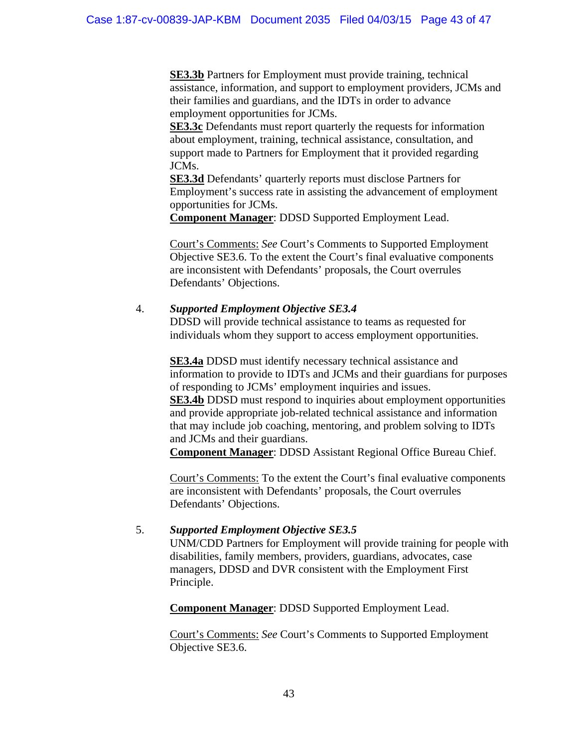**SE3.3b** Partners for Employment must provide training, technical assistance, information, and support to employment providers, JCMs and their families and guardians, and the IDTs in order to advance employment opportunities for JCMs.

**SE3.3c** Defendants must report quarterly the requests for information about employment, training, technical assistance, consultation, and support made to Partners for Employment that it provided regarding JCMs.

**SE3.3d** Defendants' quarterly reports must disclose Partners for Employment's success rate in assisting the advancement of employment opportunities for JCMs.

**Component Manager**: DDSD Supported Employment Lead.

Court's Comments: *See* Court's Comments to Supported Employment Objective SE3.6. To the extent the Court's final evaluative components are inconsistent with Defendants' proposals, the Court overrules Defendants' Objections.

## 4. *Supported Employment Objective SE3.4*

DDSD will provide technical assistance to teams as requested for individuals whom they support to access employment opportunities.

**SE3.4a** DDSD must identify necessary technical assistance and information to provide to IDTs and JCMs and their guardians for purposes of responding to JCMs' employment inquiries and issues.

**SE3.4b** DDSD must respond to inquiries about employment opportunities and provide appropriate job-related technical assistance and information that may include job coaching, mentoring, and problem solving to IDTs and JCMs and their guardians.

**Component Manager**: DDSD Assistant Regional Office Bureau Chief.

Court's Comments: To the extent the Court's final evaluative components are inconsistent with Defendants' proposals, the Court overrules Defendants' Objections.

# 5. *Supported Employment Objective SE3.5*

UNM/CDD Partners for Employment will provide training for people with disabilities, family members, providers, guardians, advocates, case managers, DDSD and DVR consistent with the Employment First Principle.

**Component Manager**: DDSD Supported Employment Lead.

Court's Comments: *See* Court's Comments to Supported Employment Objective SE3.6.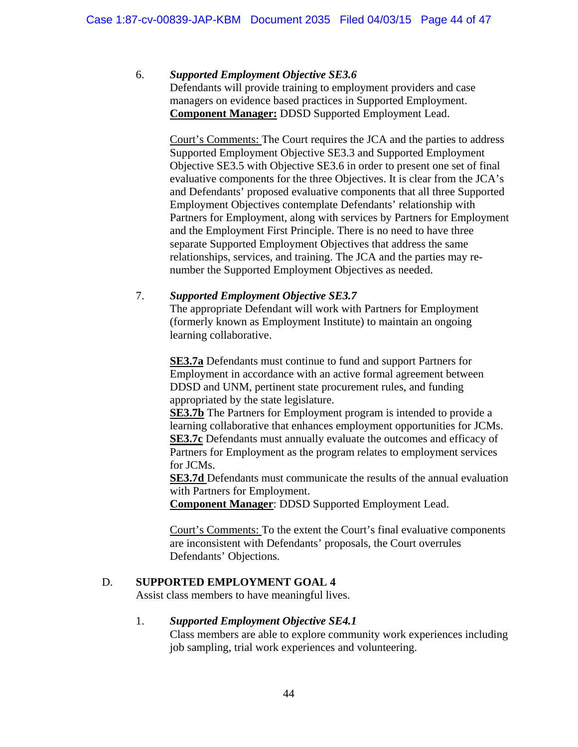# 6. *Supported Employment Objective SE3.6*

Defendants will provide training to employment providers and case managers on evidence based practices in Supported Employment. **Component Manager:** DDSD Supported Employment Lead.

Court's Comments: The Court requires the JCA and the parties to address Supported Employment Objective SE3.3 and Supported Employment Objective SE3.5 with Objective SE3.6 in order to present one set of final evaluative components for the three Objectives. It is clear from the JCA's and Defendants' proposed evaluative components that all three Supported Employment Objectives contemplate Defendants' relationship with Partners for Employment, along with services by Partners for Employment and the Employment First Principle. There is no need to have three separate Supported Employment Objectives that address the same relationships, services, and training. The JCA and the parties may renumber the Supported Employment Objectives as needed.

# 7. *Supported Employment Objective SE3.7*

The appropriate Defendant will work with Partners for Employment (formerly known as Employment Institute) to maintain an ongoing learning collaborative.

**SE3.7a** Defendants must continue to fund and support Partners for Employment in accordance with an active formal agreement between DDSD and UNM, pertinent state procurement rules, and funding appropriated by the state legislature.

**SE3.7b** The Partners for Employment program is intended to provide a learning collaborative that enhances employment opportunities for JCMs. **SE3.7c** Defendants must annually evaluate the outcomes and efficacy of Partners for Employment as the program relates to employment services for JCMs.

**SE3.7d** Defendants must communicate the results of the annual evaluation with Partners for Employment.

**Component Manager**: DDSD Supported Employment Lead.

Court's Comments: To the extent the Court's final evaluative components are inconsistent with Defendants' proposals, the Court overrules Defendants' Objections.

# D. **SUPPORTED EMPLOYMENT GOAL 4**

Assist class members to have meaningful lives.

# 1. *Supported Employment Objective SE4.1*

Class members are able to explore community work experiences including job sampling, trial work experiences and volunteering.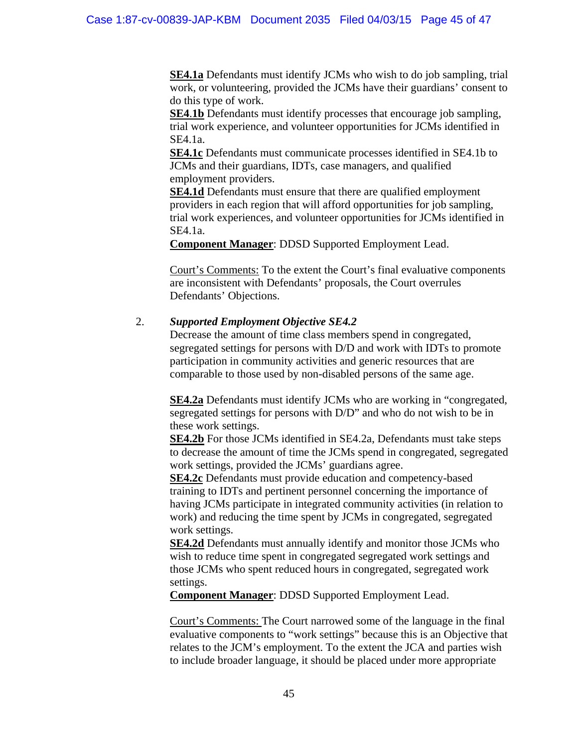**SE4.1a** Defendants must identify JCMs who wish to do job sampling, trial work, or volunteering, provided the JCMs have their guardians' consent to do this type of work.

**SE4.1b** Defendants must identify processes that encourage job sampling, trial work experience, and volunteer opportunities for JCMs identified in SE4.1a.

**SE4.1c** Defendants must communicate processes identified in SE4.1b to JCMs and their guardians, IDTs, case managers, and qualified employment providers.

**SE4.1d** Defendants must ensure that there are qualified employment providers in each region that will afford opportunities for job sampling, trial work experiences, and volunteer opportunities for JCMs identified in SE4.1a.

**Component Manager**: DDSD Supported Employment Lead.

Court's Comments: To the extent the Court's final evaluative components are inconsistent with Defendants' proposals, the Court overrules Defendants' Objections.

# 2. *Supported Employment Objective SE4.2*

Decrease the amount of time class members spend in congregated, segregated settings for persons with D/D and work with IDTs to promote participation in community activities and generic resources that are comparable to those used by non-disabled persons of the same age.

**SE4.2a** Defendants must identify JCMs who are working in "congregated, segregated settings for persons with D/D" and who do not wish to be in these work settings.

**SE4.2b** For those JCMs identified in SE4.2a, Defendants must take steps to decrease the amount of time the JCMs spend in congregated, segregated work settings, provided the JCMs' guardians agree.

**SE4.2c** Defendants must provide education and competency-based training to IDTs and pertinent personnel concerning the importance of having JCMs participate in integrated community activities (in relation to work) and reducing the time spent by JCMs in congregated, segregated work settings.

**SE4.2d** Defendants must annually identify and monitor those JCMs who wish to reduce time spent in congregated segregated work settings and those JCMs who spent reduced hours in congregated, segregated work settings.

**Component Manager**: DDSD Supported Employment Lead.

Court's Comments: The Court narrowed some of the language in the final evaluative components to "work settings" because this is an Objective that relates to the JCM's employment. To the extent the JCA and parties wish to include broader language, it should be placed under more appropriate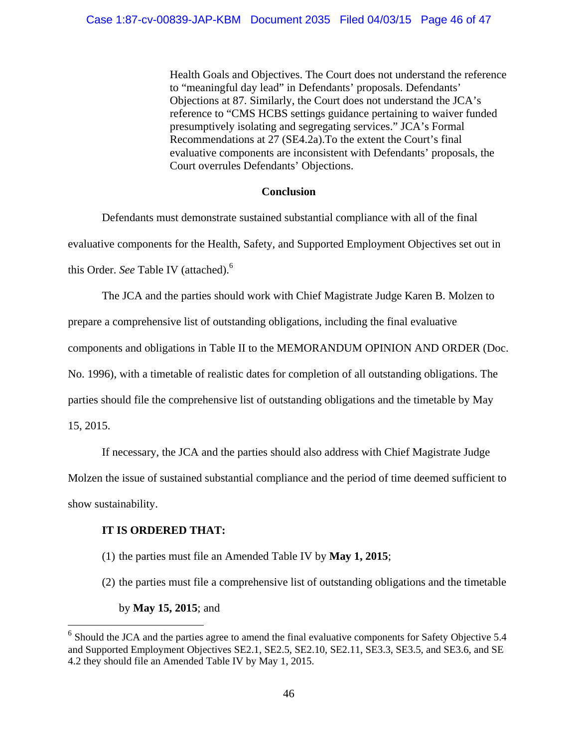Health Goals and Objectives. The Court does not understand the reference to "meaningful day lead" in Defendants' proposals. Defendants' Objections at 87. Similarly, the Court does not understand the JCA's reference to "CMS HCBS settings guidance pertaining to waiver funded presumptively isolating and segregating services." JCA's Formal Recommendations at 27 (SE4.2a).To the extent the Court's final evaluative components are inconsistent with Defendants' proposals, the Court overrules Defendants' Objections.

## **Conclusion**

Defendants must demonstrate sustained substantial compliance with all of the final evaluative components for the Health, Safety, and Supported Employment Objectives set out in this Order. *See* Table IV (attached).6

The JCA and the parties should work with Chief Magistrate Judge Karen B. Molzen to

prepare a comprehensive list of outstanding obligations, including the final evaluative

components and obligations in Table II to the MEMORANDUM OPINION AND ORDER (Doc.

No. 1996), with a timetable of realistic dates for completion of all outstanding obligations. The

parties should file the comprehensive list of outstanding obligations and the timetable by May

15, 2015.

If necessary, the JCA and the parties should also address with Chief Magistrate Judge

Molzen the issue of sustained substantial compliance and the period of time deemed sufficient to

show sustainability.

## **IT IS ORDERED THAT:**

- (1) the parties must file an Amended Table IV by **May 1, 2015**;
- (2) the parties must file a comprehensive list of outstanding obligations and the timetable

by **May 15, 2015**; and

 $6$  Should the JCA and the parties agree to amend the final evaluative components for Safety Objective 5.4 and Supported Employment Objectives SE2.1, SE2.5, SE2.10, SE2.11, SE3.3, SE3.5, and SE3.6, and SE 4.2 they should file an Amended Table IV by May 1, 2015.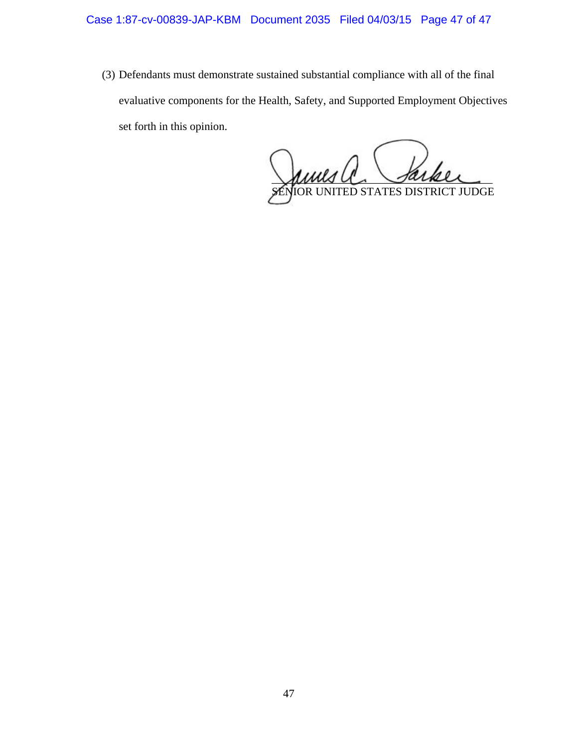(3) Defendants must demonstrate sustained substantial compliance with all of the final evaluative components for the Health, Safety, and Supported Employment Objectives set forth in this opinion.

anns v sarker SENIOR UNITED STATES DISTRICT JUDGE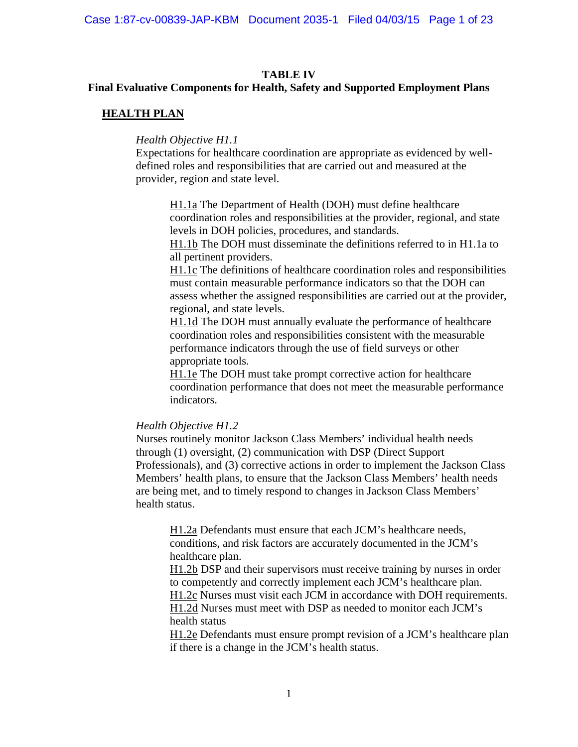## **TABLE IV**

## **Final Evaluative Components for Health, Safety and Supported Employment Plans**

## **HEALTH PLAN**

### *Health Objective H1.1*

Expectations for healthcare coordination are appropriate as evidenced by welldefined roles and responsibilities that are carried out and measured at the provider, region and state level.

H1.1a The Department of Health (DOH) must define healthcare coordination roles and responsibilities at the provider, regional, and state levels in DOH policies, procedures, and standards.

H1.1b The DOH must disseminate the definitions referred to in H1.1a to all pertinent providers.

H1.1c The definitions of healthcare coordination roles and responsibilities must contain measurable performance indicators so that the DOH can assess whether the assigned responsibilities are carried out at the provider, regional, and state levels.

H1.1d The DOH must annually evaluate the performance of healthcare coordination roles and responsibilities consistent with the measurable performance indicators through the use of field surveys or other appropriate tools.

H1.1e The DOH must take prompt corrective action for healthcare coordination performance that does not meet the measurable performance indicators.

## *Health Objective H1.2*

Nurses routinely monitor Jackson Class Members' individual health needs through (1) oversight, (2) communication with DSP (Direct Support Professionals), and (3) corrective actions in order to implement the Jackson Class Members' health plans, to ensure that the Jackson Class Members' health needs are being met, and to timely respond to changes in Jackson Class Members' health status.

H1.2a Defendants must ensure that each JCM's healthcare needs, conditions, and risk factors are accurately documented in the JCM's healthcare plan.

H1.2b DSP and their supervisors must receive training by nurses in order to competently and correctly implement each JCM's healthcare plan.

H1.2c Nurses must visit each JCM in accordance with DOH requirements.

H1.2d Nurses must meet with DSP as needed to monitor each JCM's health status

H1.2e Defendants must ensure prompt revision of a JCM's healthcare plan if there is a change in the JCM's health status.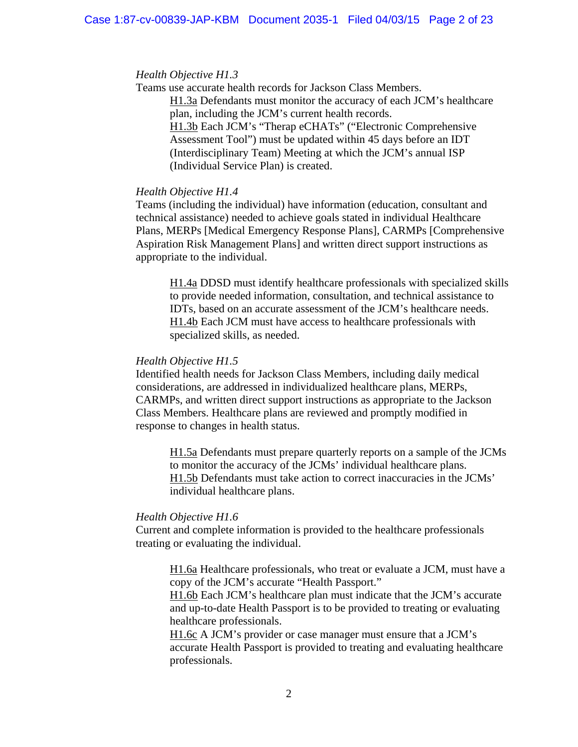#### *Health Objective H1.3*

Teams use accurate health records for Jackson Class Members. H1.3a Defendants must monitor the accuracy of each JCM's healthcare plan, including the JCM's current health records. H1.3b Each JCM's "Therap eCHATs" ("Electronic Comprehensive Assessment Tool") must be updated within 45 days before an IDT (Interdisciplinary Team) Meeting at which the JCM's annual ISP (Individual Service Plan) is created.

### *Health Objective H1.4*

Teams (including the individual) have information (education, consultant and technical assistance) needed to achieve goals stated in individual Healthcare Plans, MERPs [Medical Emergency Response Plans], CARMPs [Comprehensive Aspiration Risk Management Plans] and written direct support instructions as appropriate to the individual.

H1.4a DDSD must identify healthcare professionals with specialized skills to provide needed information, consultation, and technical assistance to IDTs, based on an accurate assessment of the JCM's healthcare needs. H1.4b Each JCM must have access to healthcare professionals with specialized skills, as needed.

#### *Health Objective H1.5*

Identified health needs for Jackson Class Members, including daily medical considerations, are addressed in individualized healthcare plans, MERPs, CARMPs, and written direct support instructions as appropriate to the Jackson Class Members. Healthcare plans are reviewed and promptly modified in response to changes in health status.

 H1.5a Defendants must prepare quarterly reports on a sample of the JCMs to monitor the accuracy of the JCMs' individual healthcare plans. H1.5b Defendants must take action to correct inaccuracies in the JCMs' individual healthcare plans.

## *Health Objective H1.6*

Current and complete information is provided to the healthcare professionals treating or evaluating the individual.

 H1.6a Healthcare professionals, who treat or evaluate a JCM, must have a copy of the JCM's accurate "Health Passport."

 H1.6b Each JCM's healthcare plan must indicate that the JCM's accurate and up-to-date Health Passport is to be provided to treating or evaluating healthcare professionals.

 H1.6c A JCM's provider or case manager must ensure that a JCM's accurate Health Passport is provided to treating and evaluating healthcare professionals.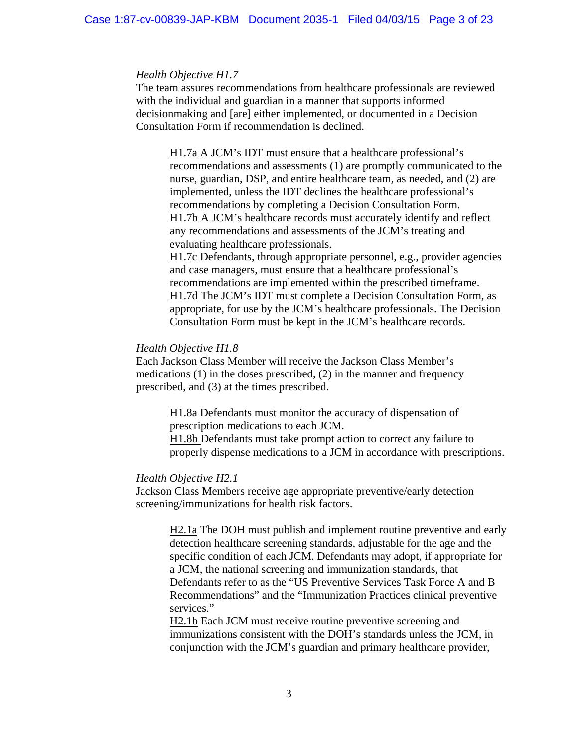#### *Health Objective H1.7*

The team assures recommendations from healthcare professionals are reviewed with the individual and guardian in a manner that supports informed decisionmaking and [are] either implemented, or documented in a Decision Consultation Form if recommendation is declined.

 H1.7a A JCM's IDT must ensure that a healthcare professional's recommendations and assessments (1) are promptly communicated to the nurse, guardian, DSP, and entire healthcare team, as needed, and (2) are implemented, unless the IDT declines the healthcare professional's recommendations by completing a Decision Consultation Form. H1.7b A JCM's healthcare records must accurately identify and reflect any recommendations and assessments of the JCM's treating and evaluating healthcare professionals.

H1.7c Defendants, through appropriate personnel, e.g., provider agencies and case managers, must ensure that a healthcare professional's recommendations are implemented within the prescribed timeframe. H1.7d The JCM's IDT must complete a Decision Consultation Form, as appropriate, for use by the JCM's healthcare professionals. The Decision Consultation Form must be kept in the JCM's healthcare records.

## *Health Objective H1.8*

Each Jackson Class Member will receive the Jackson Class Member's medications (1) in the doses prescribed, (2) in the manner and frequency prescribed, and (3) at the times prescribed.

> H1.8a Defendants must monitor the accuracy of dispensation of prescription medications to each JCM. H1.8b Defendants must take prompt action to correct any failure to

properly dispense medications to a JCM in accordance with prescriptions.

#### *Health Objective H2.1*

Jackson Class Members receive age appropriate preventive/early detection screening/immunizations for health risk factors.

H2.1a The DOH must publish and implement routine preventive and early detection healthcare screening standards, adjustable for the age and the specific condition of each JCM. Defendants may adopt, if appropriate for a JCM, the national screening and immunization standards, that Defendants refer to as the "US Preventive Services Task Force A and B Recommendations" and the "Immunization Practices clinical preventive services."

H2.1b Each JCM must receive routine preventive screening and immunizations consistent with the DOH's standards unless the JCM, in conjunction with the JCM's guardian and primary healthcare provider,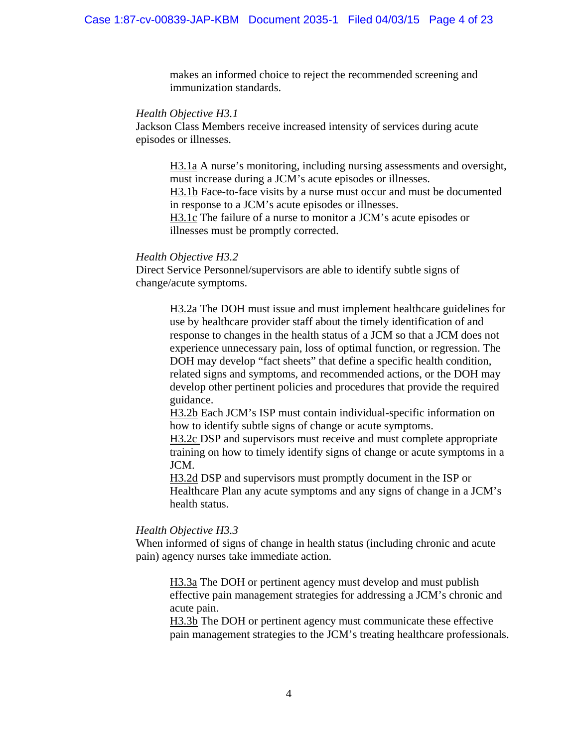makes an informed choice to reject the recommended screening and immunization standards.

#### *Health Objective H3.1*

Jackson Class Members receive increased intensity of services during acute episodes or illnesses.

H3.1a A nurse's monitoring, including nursing assessments and oversight, must increase during a JCM's acute episodes or illnesses. H3.1b Face-to-face visits by a nurse must occur and must be documented in response to a JCM's acute episodes or illnesses. H3.1c The failure of a nurse to monitor a JCM's acute episodes or illnesses must be promptly corrected.

## *Health Objective H3.2*

Direct Service Personnel/supervisors are able to identify subtle signs of change/acute symptoms.

> H3.2a The DOH must issue and must implement healthcare guidelines for use by healthcare provider staff about the timely identification of and response to changes in the health status of a JCM so that a JCM does not experience unnecessary pain, loss of optimal function, or regression. The DOH may develop "fact sheets" that define a specific health condition, related signs and symptoms, and recommended actions, or the DOH may develop other pertinent policies and procedures that provide the required guidance.

H3.2b Each JCM's ISP must contain individual-specific information on how to identify subtle signs of change or acute symptoms.

H3.2c DSP and supervisors must receive and must complete appropriate training on how to timely identify signs of change or acute symptoms in a JCM.

H3.2d DSP and supervisors must promptly document in the ISP or Healthcare Plan any acute symptoms and any signs of change in a JCM's health status.

## *Health Objective H3.3*

When informed of signs of change in health status (including chronic and acute pain) agency nurses take immediate action.

H3.3a The DOH or pertinent agency must develop and must publish effective pain management strategies for addressing a JCM's chronic and acute pain.

H3.3b The DOH or pertinent agency must communicate these effective pain management strategies to the JCM's treating healthcare professionals.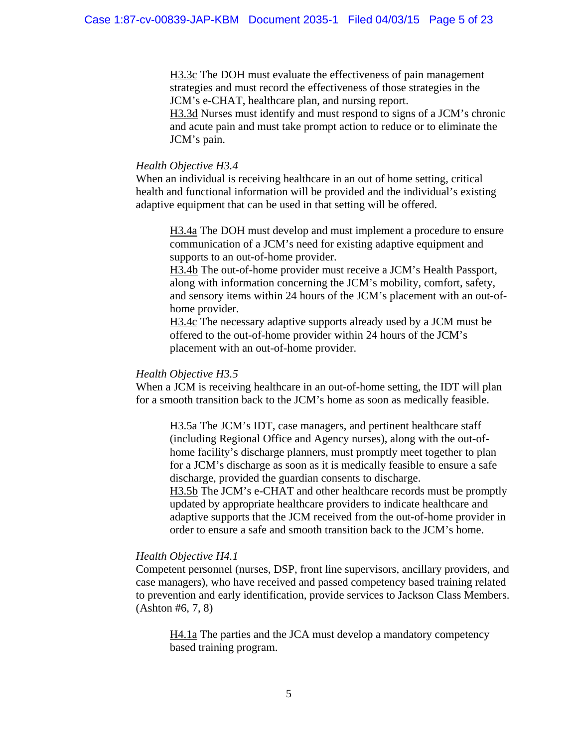H3.3c The DOH must evaluate the effectiveness of pain management strategies and must record the effectiveness of those strategies in the JCM's e-CHAT, healthcare plan, and nursing report.

H3.3d Nurses must identify and must respond to signs of a JCM's chronic and acute pain and must take prompt action to reduce or to eliminate the JCM's pain.

#### *Health Objective H3.4*

When an individual is receiving healthcare in an out of home setting, critical health and functional information will be provided and the individual's existing adaptive equipment that can be used in that setting will be offered.

H3.4a The DOH must develop and must implement a procedure to ensure communication of a JCM's need for existing adaptive equipment and supports to an out-of-home provider.

H3.4b The out-of-home provider must receive a JCM's Health Passport, along with information concerning the JCM's mobility, comfort, safety, and sensory items within 24 hours of the JCM's placement with an out-ofhome provider.

H3.4c The necessary adaptive supports already used by a JCM must be offered to the out-of-home provider within 24 hours of the JCM's placement with an out-of-home provider.

### *Health Objective H3.5*

When a JCM is receiving healthcare in an out-of-home setting, the IDT will plan for a smooth transition back to the JCM's home as soon as medically feasible.

 H3.5a The JCM's IDT, case managers, and pertinent healthcare staff (including Regional Office and Agency nurses), along with the out-ofhome facility's discharge planners, must promptly meet together to plan for a JCM's discharge as soon as it is medically feasible to ensure a safe discharge, provided the guardian consents to discharge.

 H3.5b The JCM's e-CHAT and other healthcare records must be promptly updated by appropriate healthcare providers to indicate healthcare and adaptive supports that the JCM received from the out-of-home provider in order to ensure a safe and smooth transition back to the JCM's home.

#### *Health Objective H4.1*

Competent personnel (nurses, DSP, front line supervisors, ancillary providers, and case managers), who have received and passed competency based training related to prevention and early identification, provide services to Jackson Class Members. (Ashton #6, 7, 8)

H4.1a The parties and the JCA must develop a mandatory competency based training program.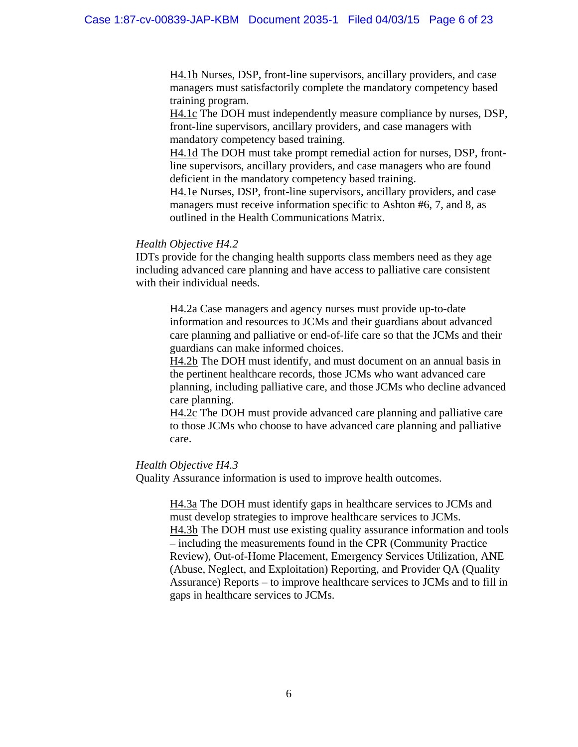H4.1b Nurses, DSP, front-line supervisors, ancillary providers, and case managers must satisfactorily complete the mandatory competency based training program.

H4.1c The DOH must independently measure compliance by nurses, DSP, front-line supervisors, ancillary providers, and case managers with mandatory competency based training.

H4.1d The DOH must take prompt remedial action for nurses, DSP, frontline supervisors, ancillary providers, and case managers who are found deficient in the mandatory competency based training.

H4.1e Nurses, DSP, front-line supervisors, ancillary providers, and case managers must receive information specific to Ashton #6, 7, and 8, as outlined in the Health Communications Matrix.

#### *Health Objective H4.2*

IDTs provide for the changing health supports class members need as they age including advanced care planning and have access to palliative care consistent with their individual needs.

H4.2a Case managers and agency nurses must provide up-to-date information and resources to JCMs and their guardians about advanced care planning and palliative or end-of-life care so that the JCMs and their guardians can make informed choices.

H4.2b The DOH must identify, and must document on an annual basis in the pertinent healthcare records, those JCMs who want advanced care planning, including palliative care, and those JCMs who decline advanced care planning.

H4.2c The DOH must provide advanced care planning and palliative care to those JCMs who choose to have advanced care planning and palliative care.

#### *Health Objective H4.3*

Quality Assurance information is used to improve health outcomes.

H4.3a The DOH must identify gaps in healthcare services to JCMs and must develop strategies to improve healthcare services to JCMs. H4.3b The DOH must use existing quality assurance information and tools – including the measurements found in the CPR (Community Practice Review), Out-of-Home Placement, Emergency Services Utilization, ANE (Abuse, Neglect, and Exploitation) Reporting, and Provider QA (Quality Assurance) Reports – to improve healthcare services to JCMs and to fill in gaps in healthcare services to JCMs.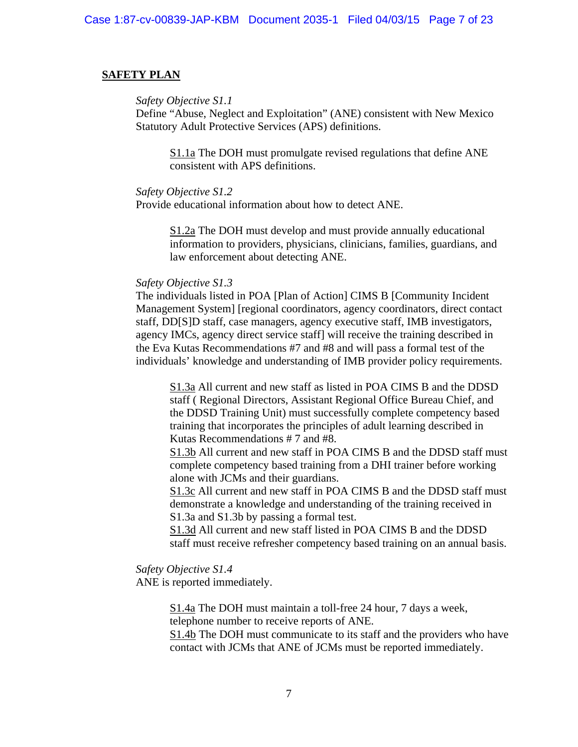#### **SAFETY PLAN**

*Safety Objective S1.1*

Define "Abuse, Neglect and Exploitation" (ANE) consistent with New Mexico Statutory Adult Protective Services (APS) definitions.

S1.1a The DOH must promulgate revised regulations that define ANE consistent with APS definitions.

#### *Safety Objective S1.2*

Provide educational information about how to detect ANE.

S1.2a The DOH must develop and must provide annually educational information to providers, physicians, clinicians, families, guardians, and law enforcement about detecting ANE.

## *Safety Objective S1.3*

The individuals listed in POA [Plan of Action] CIMS B [Community Incident Management System] [regional coordinators, agency coordinators, direct contact staff, DD[S]D staff, case managers, agency executive staff, IMB investigators, agency IMCs, agency direct service staff] will receive the training described in the Eva Kutas Recommendations #7 and #8 and will pass a formal test of the individuals' knowledge and understanding of IMB provider policy requirements.

S1.3a All current and new staff as listed in POA CIMS B and the DDSD staff ( Regional Directors, Assistant Regional Office Bureau Chief, and the DDSD Training Unit) must successfully complete competency based training that incorporates the principles of adult learning described in Kutas Recommendations # 7 and #8.

S1.3b All current and new staff in POA CIMS B and the DDSD staff must complete competency based training from a DHI trainer before working alone with JCMs and their guardians.

S1.3c All current and new staff in POA CIMS B and the DDSD staff must demonstrate a knowledge and understanding of the training received in S1.3a and S1.3b by passing a formal test.

S1.3d All current and new staff listed in POA CIMS B and the DDSD staff must receive refresher competency based training on an annual basis.

*Safety Objective S1.4*

ANE is reported immediately.

S1.4a The DOH must maintain a toll-free 24 hour, 7 days a week, telephone number to receive reports of ANE. S1.4b The DOH must communicate to its staff and the providers who have contact with JCMs that ANE of JCMs must be reported immediately.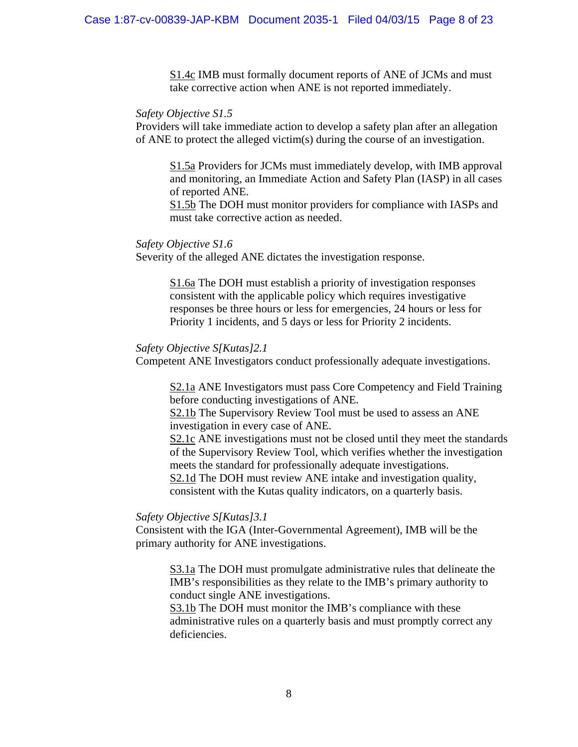S1.4c IMB must formally document reports of ANE of JCMs and must take corrective action when ANE is not reported immediately.

#### *Safety Objective S1.5*

Providers will take immediate action to develop a safety plan after an allegation of ANE to protect the alleged victim(s) during the course of an investigation.

S1.5a Providers for JCMs must immediately develop, with IMB approval and monitoring, an Immediate Action and Safety Plan (IASP) in all cases of reported ANE.

S1.5b The DOH must monitor providers for compliance with IASPs and must take corrective action as needed.

#### *Safety Objective S1.6*

Severity of the alleged ANE dictates the investigation response.

S1.6a The DOH must establish a priority of investigation responses consistent with the applicable policy which requires investigative responses be three hours or less for emergencies, 24 hours or less for Priority 1 incidents, and 5 days or less for Priority 2 incidents.

#### *Safety Objective S[Kutas]2.1*

Competent ANE Investigators conduct professionally adequate investigations.

S2.1a ANE Investigators must pass Core Competency and Field Training before conducting investigations of ANE.

S2.1b The Supervisory Review Tool must be used to assess an ANE investigation in every case of ANE.

S2.1c ANE investigations must not be closed until they meet the standards of the Supervisory Review Tool, which verifies whether the investigation meets the standard for professionally adequate investigations.

S2.1d The DOH must review ANE intake and investigation quality, consistent with the Kutas quality indicators, on a quarterly basis.

#### *Safety Objective S[Kutas]3.1*

Consistent with the IGA (Inter-Governmental Agreement), IMB will be the primary authority for ANE investigations.

S3.1a The DOH must promulgate administrative rules that delineate the IMB's responsibilities as they relate to the IMB's primary authority to conduct single ANE investigations.

S3.1b The DOH must monitor the IMB's compliance with these administrative rules on a quarterly basis and must promptly correct any deficiencies.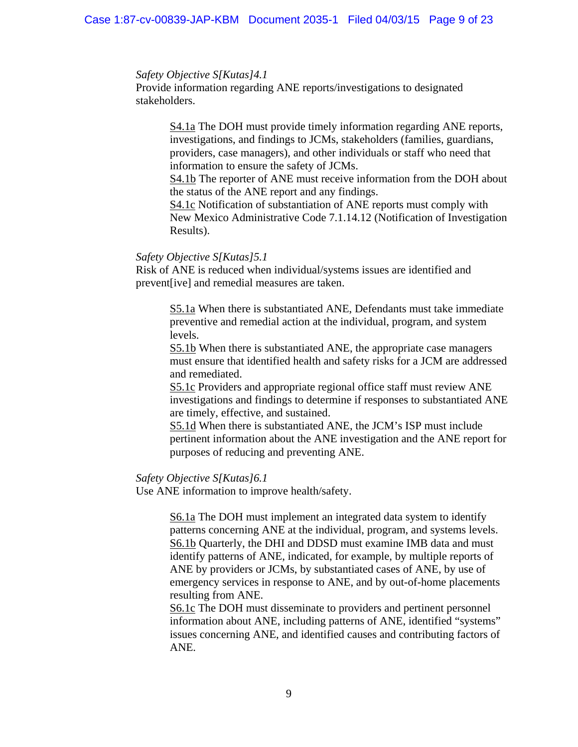#### *Safety Objective S[Kutas]4.1*

Provide information regarding ANE reports/investigations to designated stakeholders.

> S4.1a The DOH must provide timely information regarding ANE reports, investigations, and findings to JCMs, stakeholders (families, guardians, providers, case managers), and other individuals or staff who need that information to ensure the safety of JCMs.

S4.1b The reporter of ANE must receive information from the DOH about the status of the ANE report and any findings.

S4.1c Notification of substantiation of ANE reports must comply with New Mexico Administrative Code 7.1.14.12 (Notification of Investigation Results).

## *Safety Objective S[Kutas]5.1*

Risk of ANE is reduced when individual/systems issues are identified and prevent[ive] and remedial measures are taken.

> S5.1a When there is substantiated ANE, Defendants must take immediate preventive and remedial action at the individual, program, and system levels.

S5.1b When there is substantiated ANE, the appropriate case managers must ensure that identified health and safety risks for a JCM are addressed and remediated.

S5.1c Providers and appropriate regional office staff must review ANE investigations and findings to determine if responses to substantiated ANE are timely, effective, and sustained.

S5.1d When there is substantiated ANE, the JCM's ISP must include pertinent information about the ANE investigation and the ANE report for purposes of reducing and preventing ANE.

## *Safety Objective S[Kutas]6.1*

Use ANE information to improve health/safety.

S6.1a The DOH must implement an integrated data system to identify patterns concerning ANE at the individual, program, and systems levels. S6.1b Quarterly, the DHI and DDSD must examine IMB data and must identify patterns of ANE, indicated, for example, by multiple reports of ANE by providers or JCMs, by substantiated cases of ANE, by use of emergency services in response to ANE, and by out-of-home placements resulting from ANE.

S6.1c The DOH must disseminate to providers and pertinent personnel information about ANE, including patterns of ANE, identified "systems" issues concerning ANE, and identified causes and contributing factors of ANE.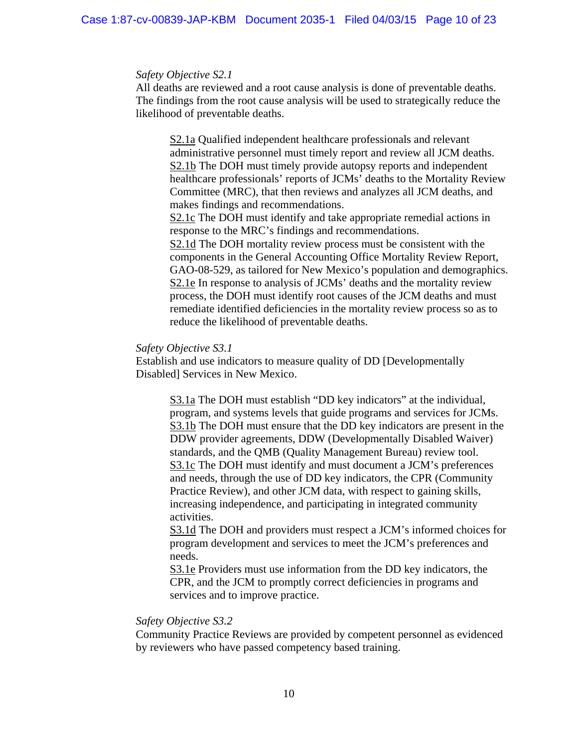#### *Safety Objective S2.1*

All deaths are reviewed and a root cause analysis is done of preventable deaths. The findings from the root cause analysis will be used to strategically reduce the likelihood of preventable deaths.

S2.1a Qualified independent healthcare professionals and relevant administrative personnel must timely report and review all JCM deaths. S2.1b The DOH must timely provide autopsy reports and independent healthcare professionals' reports of JCMs' deaths to the Mortality Review Committee (MRC), that then reviews and analyzes all JCM deaths, and makes findings and recommendations.

S2.1c The DOH must identify and take appropriate remedial actions in response to the MRC's findings and recommendations.

S2.1d The DOH mortality review process must be consistent with the components in the General Accounting Office Mortality Review Report, GAO-08-529, as tailored for New Mexico's population and demographics. S2.1e In response to analysis of JCMs' deaths and the mortality review process, the DOH must identify root causes of the JCM deaths and must remediate identified deficiencies in the mortality review process so as to reduce the likelihood of preventable deaths.

#### *Safety Objective S3.1*

Establish and use indicators to measure quality of DD [Developmentally Disabled] Services in New Mexico.

> S3.1a The DOH must establish "DD key indicators" at the individual, program, and systems levels that guide programs and services for JCMs. S3.1b The DOH must ensure that the DD key indicators are present in the DDW provider agreements, DDW (Developmentally Disabled Waiver) standards, and the QMB (Quality Management Bureau) review tool. S3.1c The DOH must identify and must document a JCM's preferences and needs, through the use of DD key indicators, the CPR (Community Practice Review), and other JCM data, with respect to gaining skills, increasing independence, and participating in integrated community activities.

> S3.1d The DOH and providers must respect a JCM's informed choices for program development and services to meet the JCM's preferences and needs.

S3.1e Providers must use information from the DD key indicators, the CPR, and the JCM to promptly correct deficiencies in programs and services and to improve practice.

#### *Safety Objective S3.2*

Community Practice Reviews are provided by competent personnel as evidenced by reviewers who have passed competency based training.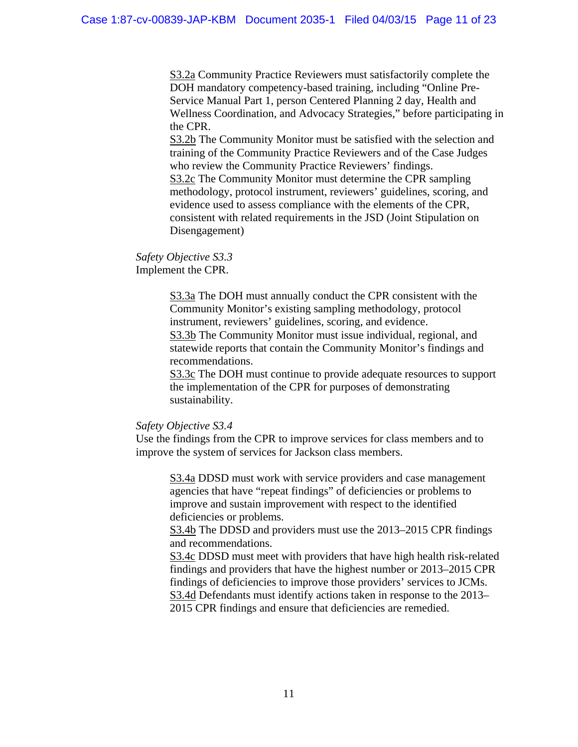S3.2a Community Practice Reviewers must satisfactorily complete the DOH mandatory competency-based training, including "Online Pre-Service Manual Part 1, person Centered Planning 2 day, Health and Wellness Coordination, and Advocacy Strategies," before participating in the CPR.

S3.2b The Community Monitor must be satisfied with the selection and training of the Community Practice Reviewers and of the Case Judges who review the Community Practice Reviewers' findings. S3.2c The Community Monitor must determine the CPR sampling methodology, protocol instrument, reviewers' guidelines, scoring, and evidence used to assess compliance with the elements of the CPR, consistent with related requirements in the JSD (Joint Stipulation on Disengagement)

### *Safety Objective S3.3* Implement the CPR.

S3.3a The DOH must annually conduct the CPR consistent with the Community Monitor's existing sampling methodology, protocol instrument, reviewers' guidelines, scoring, and evidence. S3.3b The Community Monitor must issue individual, regional, and statewide reports that contain the Community Monitor's findings and recommendations.

S3.3c The DOH must continue to provide adequate resources to support the implementation of the CPR for purposes of demonstrating sustainability.

## *Safety Objective S3.4*

Use the findings from the CPR to improve services for class members and to improve the system of services for Jackson class members.

S3.4a DDSD must work with service providers and case management agencies that have "repeat findings" of deficiencies or problems to improve and sustain improvement with respect to the identified deficiencies or problems.

S3.4b The DDSD and providers must use the 2013–2015 CPR findings and recommendations.

S3.4c DDSD must meet with providers that have high health risk-related findings and providers that have the highest number or 2013–2015 CPR findings of deficiencies to improve those providers' services to JCMs. S3.4d Defendants must identify actions taken in response to the 2013– 2015 CPR findings and ensure that deficiencies are remedied.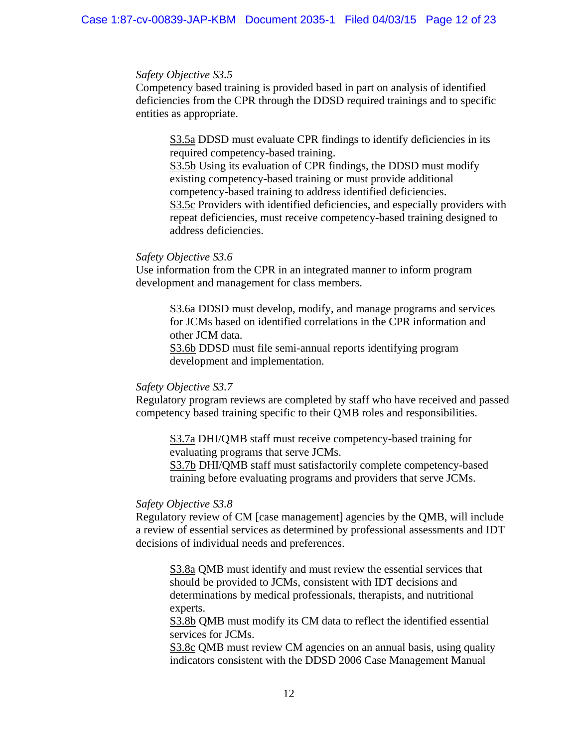#### *Safety Objective S3.5*

Competency based training is provided based in part on analysis of identified deficiencies from the CPR through the DDSD required trainings and to specific entities as appropriate.

S3.5a DDSD must evaluate CPR findings to identify deficiencies in its required competency-based training.

S3.5b Using its evaluation of CPR findings, the DDSD must modify existing competency-based training or must provide additional competency-based training to address identified deficiencies. S3.5c Providers with identified deficiencies, and especially providers with repeat deficiencies, must receive competency-based training designed to address deficiencies.

#### *Safety Objective S3.6*

Use information from the CPR in an integrated manner to inform program development and management for class members.

S3.6a DDSD must develop, modify, and manage programs and services for JCMs based on identified correlations in the CPR information and other JCM data.

S3.6b DDSD must file semi-annual reports identifying program development and implementation.

## *Safety Objective S3.7*

Regulatory program reviews are completed by staff who have received and passed competency based training specific to their QMB roles and responsibilities.

S3.7a DHI/QMB staff must receive competency-based training for evaluating programs that serve JCMs.

S3.7b DHI/QMB staff must satisfactorily complete competency-based training before evaluating programs and providers that serve JCMs.

#### *Safety Objective S3.8*

Regulatory review of CM [case management] agencies by the QMB, will include a review of essential services as determined by professional assessments and IDT decisions of individual needs and preferences.

S3.8a QMB must identify and must review the essential services that should be provided to JCMs, consistent with IDT decisions and determinations by medical professionals, therapists, and nutritional experts.

S3.8b QMB must modify its CM data to reflect the identified essential services for JCMs.

S3.8c QMB must review CM agencies on an annual basis, using quality indicators consistent with the DDSD 2006 Case Management Manual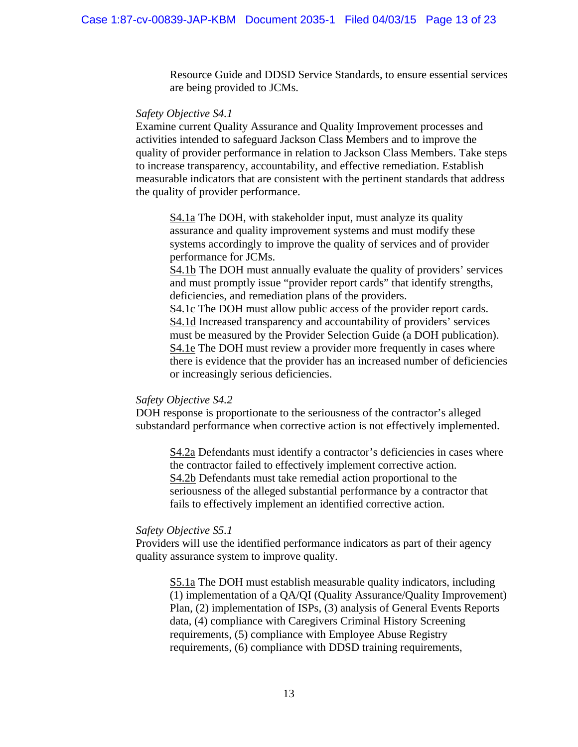Resource Guide and DDSD Service Standards, to ensure essential services are being provided to JCMs.

#### *Safety Objective S4.1*

Examine current Quality Assurance and Quality Improvement processes and activities intended to safeguard Jackson Class Members and to improve the quality of provider performance in relation to Jackson Class Members. Take steps to increase transparency, accountability, and effective remediation. Establish measurable indicators that are consistent with the pertinent standards that address the quality of provider performance.

S4.1a The DOH, with stakeholder input, must analyze its quality assurance and quality improvement systems and must modify these systems accordingly to improve the quality of services and of provider performance for JCMs.

S4.1b The DOH must annually evaluate the quality of providers' services and must promptly issue "provider report cards" that identify strengths, deficiencies, and remediation plans of the providers.

S4.1c The DOH must allow public access of the provider report cards. S4.1d Increased transparency and accountability of providers' services must be measured by the Provider Selection Guide (a DOH publication). S4.1e The DOH must review a provider more frequently in cases where there is evidence that the provider has an increased number of deficiencies or increasingly serious deficiencies.

#### *Safety Objective S4.2*

DOH response is proportionate to the seriousness of the contractor's alleged substandard performance when corrective action is not effectively implemented.

S4.2a Defendants must identify a contractor's deficiencies in cases where the contractor failed to effectively implement corrective action. S4.2b Defendants must take remedial action proportional to the seriousness of the alleged substantial performance by a contractor that fails to effectively implement an identified corrective action.

#### *Safety Objective S5.1*

Providers will use the identified performance indicators as part of their agency quality assurance system to improve quality.

S5.1a The DOH must establish measurable quality indicators, including (1) implementation of a QA/QI (Quality Assurance/Quality Improvement) Plan, (2) implementation of ISPs, (3) analysis of General Events Reports data, (4) compliance with Caregivers Criminal History Screening requirements, (5) compliance with Employee Abuse Registry requirements, (6) compliance with DDSD training requirements,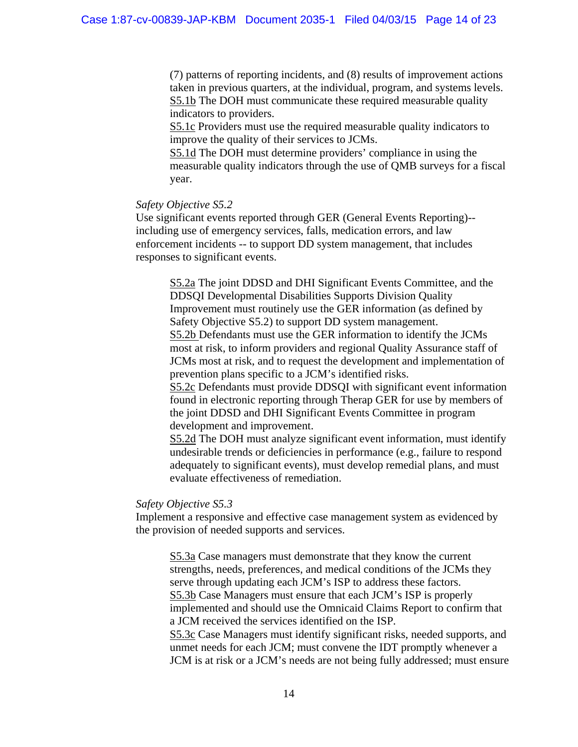(7) patterns of reporting incidents, and (8) results of improvement actions taken in previous quarters, at the individual, program, and systems levels. S5.1b The DOH must communicate these required measurable quality indicators to providers.

S5.1c Providers must use the required measurable quality indicators to improve the quality of their services to JCMs.

S5.1d The DOH must determine providers' compliance in using the measurable quality indicators through the use of QMB surveys for a fiscal year.

#### *Safety Objective S5.2*

Use significant events reported through GER (General Events Reporting)- including use of emergency services, falls, medication errors, and law enforcement incidents -- to support DD system management, that includes responses to significant events.

S5.2a The joint DDSD and DHI Significant Events Committee, and the DDSQI Developmental Disabilities Supports Division Quality Improvement must routinely use the GER information (as defined by Safety Objective S5.2) to support DD system management. S5.2b Defendants must use the GER information to identify the JCMs most at risk, to inform providers and regional Quality Assurance staff of JCMs most at risk, and to request the development and implementation of prevention plans specific to a JCM's identified risks.

S5.2c Defendants must provide DDSQI with significant event information found in electronic reporting through Therap GER for use by members of the joint DDSD and DHI Significant Events Committee in program development and improvement.

S5.2d The DOH must analyze significant event information, must identify undesirable trends or deficiencies in performance (e.g., failure to respond adequately to significant events), must develop remedial plans, and must evaluate effectiveness of remediation.

## *Safety Objective S5.3*

Implement a responsive and effective case management system as evidenced by the provision of needed supports and services.

S5.3a Case managers must demonstrate that they know the current strengths, needs, preferences, and medical conditions of the JCMs they serve through updating each JCM's ISP to address these factors. S5.3b Case Managers must ensure that each JCM's ISP is properly implemented and should use the Omnicaid Claims Report to confirm that a JCM received the services identified on the ISP. S5.3c Case Managers must identify significant risks, needed supports, and unmet needs for each JCM; must convene the IDT promptly whenever a JCM is at risk or a JCM's needs are not being fully addressed; must ensure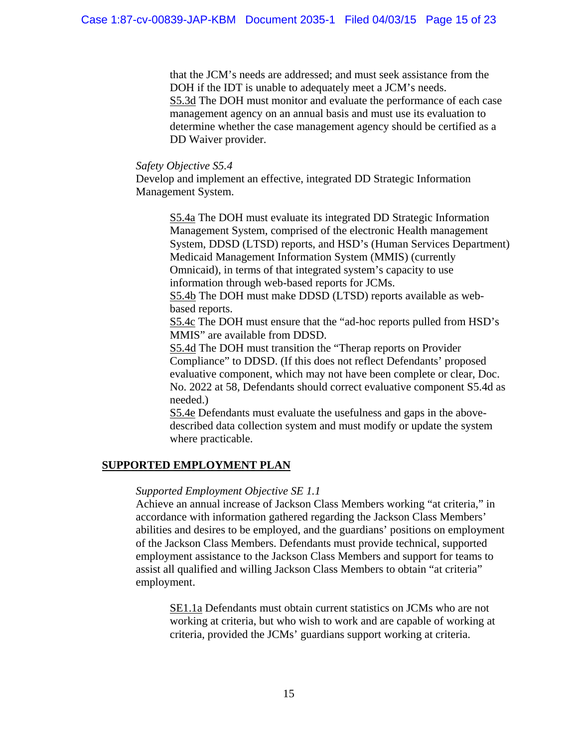that the JCM's needs are addressed; and must seek assistance from the DOH if the IDT is unable to adequately meet a JCM's needs. S5.3d The DOH must monitor and evaluate the performance of each case management agency on an annual basis and must use its evaluation to determine whether the case management agency should be certified as a DD Waiver provider.

### *Safety Objective S5.4*

Develop and implement an effective, integrated DD Strategic Information Management System.

> S5.4a The DOH must evaluate its integrated DD Strategic Information Management System, comprised of the electronic Health management System, DDSD (LTSD) reports, and HSD's (Human Services Department) Medicaid Management Information System (MMIS) (currently Omnicaid), in terms of that integrated system's capacity to use information through web-based reports for JCMs.

S5.4b The DOH must make DDSD (LTSD) reports available as webbased reports.

S5.4c The DOH must ensure that the "ad-hoc reports pulled from HSD's MMIS" are available from DDSD.

S5.4d The DOH must transition the "Therap reports on Provider Compliance" to DDSD. (If this does not reflect Defendants' proposed evaluative component, which may not have been complete or clear, Doc. No. 2022 at 58, Defendants should correct evaluative component S5.4d as needed.)

S5.4e Defendants must evaluate the usefulness and gaps in the abovedescribed data collection system and must modify or update the system where practicable.

## **SUPPORTED EMPLOYMENT PLAN**

## *Supported Employment Objective SE 1.1*

Achieve an annual increase of Jackson Class Members working "at criteria," in accordance with information gathered regarding the Jackson Class Members' abilities and desires to be employed, and the guardians' positions on employment of the Jackson Class Members. Defendants must provide technical, supported employment assistance to the Jackson Class Members and support for teams to assist all qualified and willing Jackson Class Members to obtain "at criteria" employment.

SE1.1a Defendants must obtain current statistics on JCMs who are not working at criteria, but who wish to work and are capable of working at criteria, provided the JCMs' guardians support working at criteria.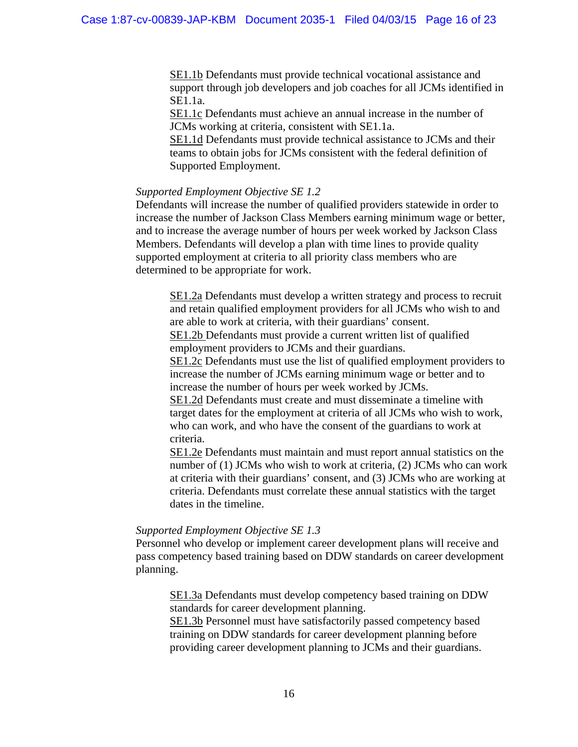SE1.1b Defendants must provide technical vocational assistance and support through job developers and job coaches for all JCMs identified in SE1.1a.

SE1.1c Defendants must achieve an annual increase in the number of JCMs working at criteria, consistent with SE1.1a.

SE1.1d Defendants must provide technical assistance to JCMs and their teams to obtain jobs for JCMs consistent with the federal definition of Supported Employment.

#### *Supported Employment Objective SE 1.2*

Defendants will increase the number of qualified providers statewide in order to increase the number of Jackson Class Members earning minimum wage or better, and to increase the average number of hours per week worked by Jackson Class Members. Defendants will develop a plan with time lines to provide quality supported employment at criteria to all priority class members who are determined to be appropriate for work.

SE1.2a Defendants must develop a written strategy and process to recruit and retain qualified employment providers for all JCMs who wish to and are able to work at criteria, with their guardians' consent.

SE1.2b Defendants must provide a current written list of qualified employment providers to JCMs and their guardians.

SE1.2c Defendants must use the list of qualified employment providers to increase the number of JCMs earning minimum wage or better and to increase the number of hours per week worked by JCMs.

SE1.2d Defendants must create and must disseminate a timeline with target dates for the employment at criteria of all JCMs who wish to work, who can work, and who have the consent of the guardians to work at criteria.

SE1.2e Defendants must maintain and must report annual statistics on the number of (1) JCMs who wish to work at criteria, (2) JCMs who can work at criteria with their guardians' consent, and (3) JCMs who are working at criteria. Defendants must correlate these annual statistics with the target dates in the timeline.

#### *Supported Employment Objective SE 1.3*

Personnel who develop or implement career development plans will receive and pass competency based training based on DDW standards on career development planning.

SE1.3a Defendants must develop competency based training on DDW standards for career development planning.

SE1.3b Personnel must have satisfactorily passed competency based training on DDW standards for career development planning before providing career development planning to JCMs and their guardians.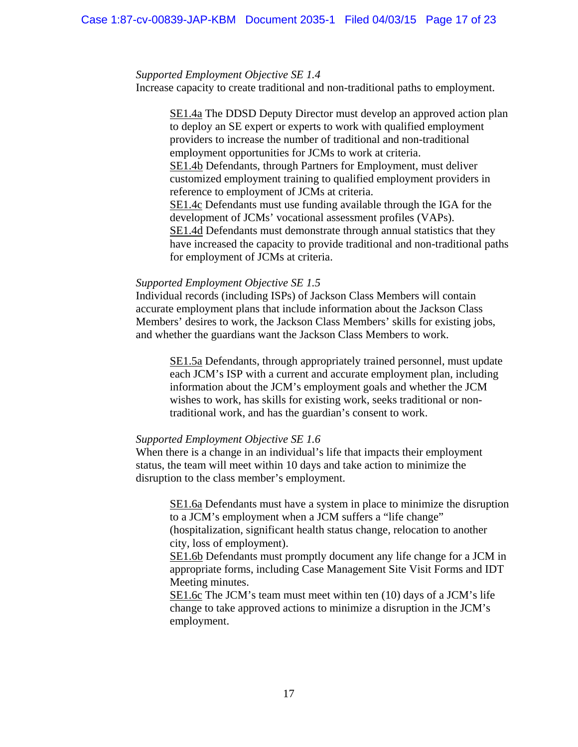#### *Supported Employment Objective SE 1.4*

Increase capacity to create traditional and non-traditional paths to employment.

SE1.4a The DDSD Deputy Director must develop an approved action plan to deploy an SE expert or experts to work with qualified employment providers to increase the number of traditional and non-traditional employment opportunities for JCMs to work at criteria. SE1.4b Defendants, through Partners for Employment, must deliver customized employment training to qualified employment providers in reference to employment of JCMs at criteria. SE1.4c Defendants must use funding available through the IGA for the development of JCMs' vocational assessment profiles (VAPs). SE1.4d Defendants must demonstrate through annual statistics that they have increased the capacity to provide traditional and non-traditional paths for employment of JCMs at criteria.

#### *Supported Employment Objective SE 1.5*

Individual records (including ISPs) of Jackson Class Members will contain accurate employment plans that include information about the Jackson Class Members' desires to work, the Jackson Class Members' skills for existing jobs, and whether the guardians want the Jackson Class Members to work.

SE1.5a Defendants, through appropriately trained personnel, must update each JCM's ISP with a current and accurate employment plan, including information about the JCM's employment goals and whether the JCM wishes to work, has skills for existing work, seeks traditional or nontraditional work, and has the guardian's consent to work.

#### *Supported Employment Objective SE 1.6*

When there is a change in an individual's life that impacts their employment status, the team will meet within 10 days and take action to minimize the disruption to the class member's employment.

 SE1.6a Defendants must have a system in place to minimize the disruption to a JCM's employment when a JCM suffers a "life change" (hospitalization, significant health status change, relocation to another city, loss of employment).

 SE1.6b Defendants must promptly document any life change for a JCM in appropriate forms, including Case Management Site Visit Forms and IDT Meeting minutes.

 SE1.6c The JCM's team must meet within ten (10) days of a JCM's life change to take approved actions to minimize a disruption in the JCM's employment.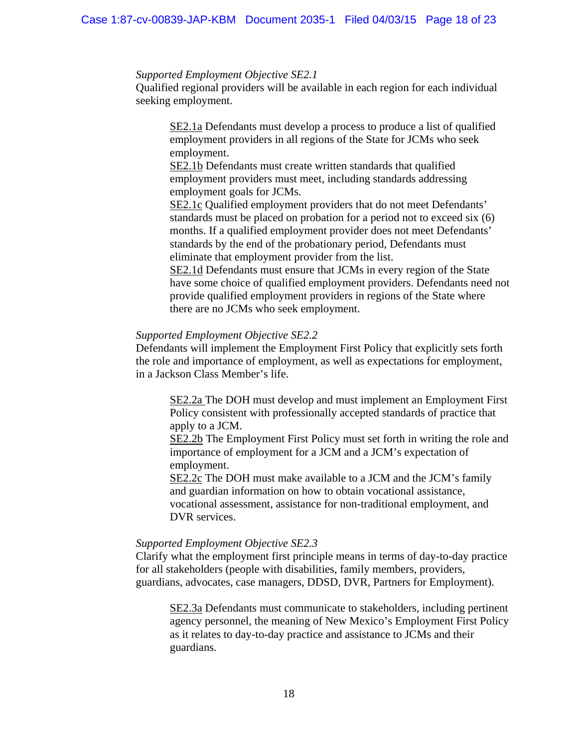#### *Supported Employment Objective SE2.1*

Qualified regional providers will be available in each region for each individual seeking employment.

SE2.1a Defendants must develop a process to produce a list of qualified employment providers in all regions of the State for JCMs who seek employment.

SE2.1b Defendants must create written standards that qualified employment providers must meet, including standards addressing employment goals for JCMs.

SE2.1c Qualified employment providers that do not meet Defendants' standards must be placed on probation for a period not to exceed six (6) months. If a qualified employment provider does not meet Defendants' standards by the end of the probationary period, Defendants must eliminate that employment provider from the list.

SE2.1d Defendants must ensure that JCMs in every region of the State have some choice of qualified employment providers. Defendants need not provide qualified employment providers in regions of the State where there are no JCMs who seek employment.

#### *Supported Employment Objective SE2.2*

Defendants will implement the Employment First Policy that explicitly sets forth the role and importance of employment, as well as expectations for employment, in a Jackson Class Member's life.

SE2.2a The DOH must develop and must implement an Employment First Policy consistent with professionally accepted standards of practice that apply to a JCM.

SE2.2b The Employment First Policy must set forth in writing the role and importance of employment for a JCM and a JCM's expectation of employment.

SE2.2c The DOH must make available to a JCM and the JCM's family and guardian information on how to obtain vocational assistance, vocational assessment, assistance for non-traditional employment, and DVR services.

## *Supported Employment Objective SE2.3*

Clarify what the employment first principle means in terms of day-to-day practice for all stakeholders (people with disabilities, family members, providers, guardians, advocates, case managers, DDSD, DVR, Partners for Employment).

SE2.3a Defendants must communicate to stakeholders, including pertinent agency personnel, the meaning of New Mexico's Employment First Policy as it relates to day-to-day practice and assistance to JCMs and their guardians.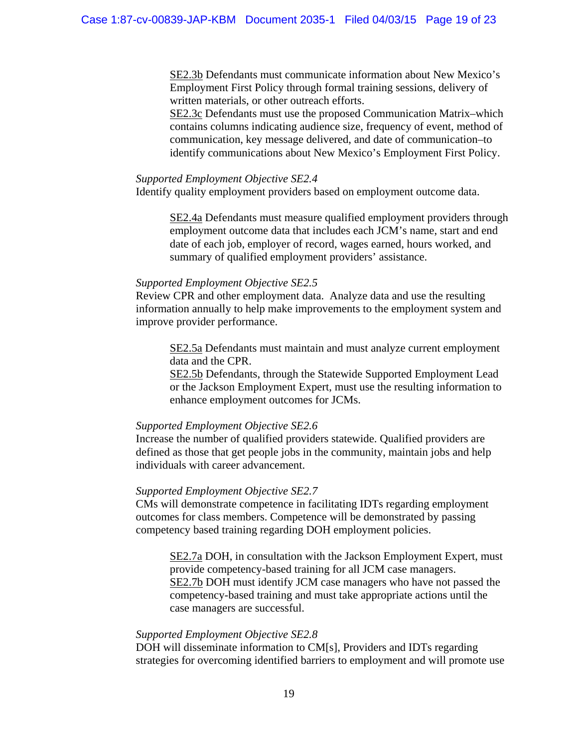SE2.3b Defendants must communicate information about New Mexico's Employment First Policy through formal training sessions, delivery of written materials, or other outreach efforts.

SE2.3c Defendants must use the proposed Communication Matrix–which contains columns indicating audience size, frequency of event, method of communication, key message delivered, and date of communication–to identify communications about New Mexico's Employment First Policy.

#### *Supported Employment Objective SE2.4*

Identify quality employment providers based on employment outcome data.

SE2.4a Defendants must measure qualified employment providers through employment outcome data that includes each JCM's name, start and end date of each job, employer of record, wages earned, hours worked, and summary of qualified employment providers' assistance.

#### *Supported Employment Objective SE2.5*

Review CPR and other employment data. Analyze data and use the resulting information annually to help make improvements to the employment system and improve provider performance.

SE2.5a Defendants must maintain and must analyze current employment data and the CPR.

SE2.5b Defendants, through the Statewide Supported Employment Lead or the Jackson Employment Expert, must use the resulting information to enhance employment outcomes for JCMs.

#### *Supported Employment Objective SE2.6*

Increase the number of qualified providers statewide. Qualified providers are defined as those that get people jobs in the community, maintain jobs and help individuals with career advancement.

#### *Supported Employment Objective SE2.7*

CMs will demonstrate competence in facilitating IDTs regarding employment outcomes for class members. Competence will be demonstrated by passing competency based training regarding DOH employment policies.

SE2.7a DOH, in consultation with the Jackson Employment Expert, must provide competency-based training for all JCM case managers. SE2.7b DOH must identify JCM case managers who have not passed the competency-based training and must take appropriate actions until the case managers are successful.

#### *Supported Employment Objective SE2.8*

DOH will disseminate information to CM[s], Providers and IDTs regarding strategies for overcoming identified barriers to employment and will promote use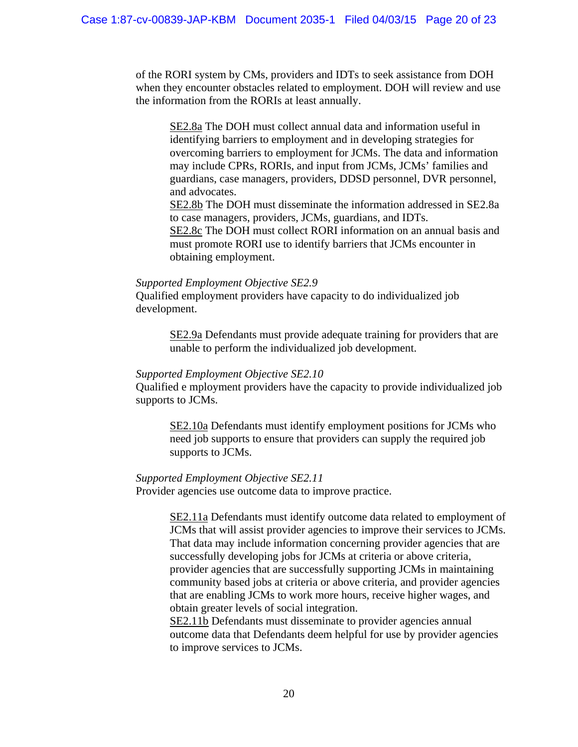of the RORI system by CMs, providers and IDTs to seek assistance from DOH when they encounter obstacles related to employment. DOH will review and use the information from the RORIs at least annually.

SE2.8a The DOH must collect annual data and information useful in identifying barriers to employment and in developing strategies for overcoming barriers to employment for JCMs. The data and information may include CPRs, RORIs, and input from JCMs, JCMs' families and guardians, case managers, providers, DDSD personnel, DVR personnel, and advocates.

SE2.8b The DOH must disseminate the information addressed in SE2.8a to case managers, providers, JCMs, guardians, and IDTs. SE2.8c The DOH must collect RORI information on an annual basis and must promote RORI use to identify barriers that JCMs encounter in obtaining employment.

#### *Supported Employment Objective SE2.9*

Qualified employment providers have capacity to do individualized job development.

> SE2.9a Defendants must provide adequate training for providers that are unable to perform the individualized job development.

## *Supported Employment Objective SE2.10*

Qualified e mployment providers have the capacity to provide individualized job supports to JCMs.

 SE2.10a Defendants must identify employment positions for JCMs who need job supports to ensure that providers can supply the required job supports to JCMs.

#### *Supported Employment Objective SE2.11*

Provider agencies use outcome data to improve practice.

 SE2.11a Defendants must identify outcome data related to employment of JCMs that will assist provider agencies to improve their services to JCMs. That data may include information concerning provider agencies that are successfully developing jobs for JCMs at criteria or above criteria, provider agencies that are successfully supporting JCMs in maintaining community based jobs at criteria or above criteria, and provider agencies that are enabling JCMs to work more hours, receive higher wages, and obtain greater levels of social integration.

SE2.11b Defendants must disseminate to provider agencies annual outcome data that Defendants deem helpful for use by provider agencies to improve services to JCMs.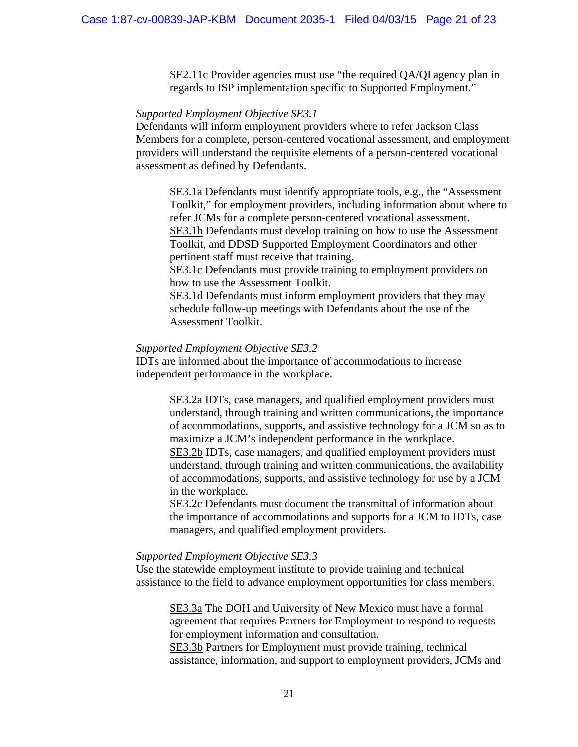SE2.11c Provider agencies must use "the required QA/QI agency plan in regards to ISP implementation specific to Supported Employment."

## *Supported Employment Objective SE3.1*

Defendants will inform employment providers where to refer Jackson Class Members for a complete, person-centered vocational assessment, and employment providers will understand the requisite elements of a person-centered vocational assessment as defined by Defendants.

SE3.1a Defendants must identify appropriate tools, e.g., the "Assessment Toolkit," for employment providers, including information about where to refer JCMs for a complete person-centered vocational assessment. SE3.1b Defendants must develop training on how to use the Assessment Toolkit, and DDSD Supported Employment Coordinators and other pertinent staff must receive that training.

SE3.1c Defendants must provide training to employment providers on how to use the Assessment Toolkit.

SE3.1d Defendants must inform employment providers that they may schedule follow-up meetings with Defendants about the use of the Assessment Toolkit.

#### *Supported Employment Objective SE3.2*

IDTs are informed about the importance of accommodations to increase independent performance in the workplace.

> SE3.2a IDTs, case managers, and qualified employment providers must understand, through training and written communications, the importance of accommodations, supports, and assistive technology for a JCM so as to maximize a JCM's independent performance in the workplace. SE3.2b IDTs, case managers, and qualified employment providers must understand, through training and written communications, the availability of accommodations, supports, and assistive technology for use by a JCM in the workplace.

SE3.2c Defendants must document the transmittal of information about the importance of accommodations and supports for a JCM to IDTs, case managers, and qualified employment providers.

#### *Supported Employment Objective SE3.3*

Use the statewide employment institute to provide training and technical assistance to the field to advance employment opportunities for class members.

SE3.3a The DOH and University of New Mexico must have a formal agreement that requires Partners for Employment to respond to requests for employment information and consultation.

SE3.3b Partners for Employment must provide training, technical assistance, information, and support to employment providers, JCMs and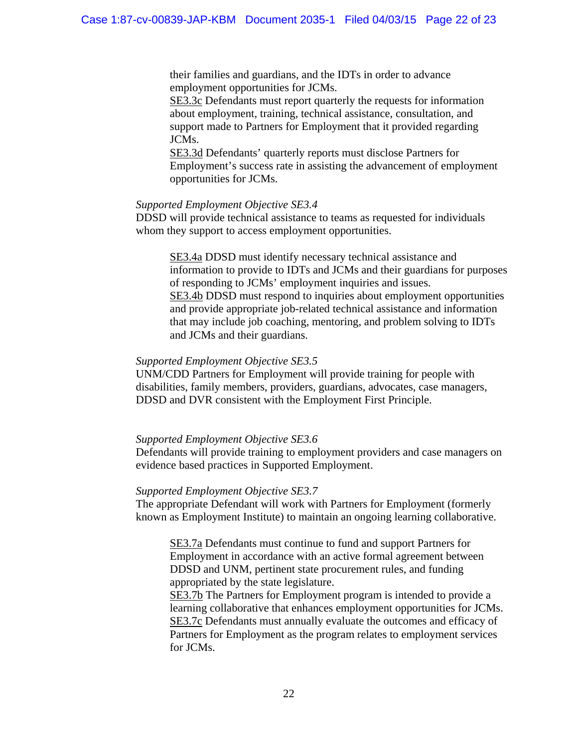their families and guardians, and the IDTs in order to advance employment opportunities for JCMs.

SE3.3c Defendants must report quarterly the requests for information about employment, training, technical assistance, consultation, and support made to Partners for Employment that it provided regarding JCMs.

SE3.3d Defendants' quarterly reports must disclose Partners for Employment's success rate in assisting the advancement of employment opportunities for JCMs.

#### *Supported Employment Objective SE3.4*

DDSD will provide technical assistance to teams as requested for individuals whom they support to access employment opportunities.

SE3.4a DDSD must identify necessary technical assistance and information to provide to IDTs and JCMs and their guardians for purposes of responding to JCMs' employment inquiries and issues. SE3.4b DDSD must respond to inquiries about employment opportunities and provide appropriate job-related technical assistance and information that may include job coaching, mentoring, and problem solving to IDTs and JCMs and their guardians.

## *Supported Employment Objective SE3.5*

UNM/CDD Partners for Employment will provide training for people with disabilities, family members, providers, guardians, advocates, case managers, DDSD and DVR consistent with the Employment First Principle.

## *Supported Employment Objective SE3.6*

Defendants will provide training to employment providers and case managers on evidence based practices in Supported Employment.

## *Supported Employment Objective SE3.7*

The appropriate Defendant will work with Partners for Employment (formerly known as Employment Institute) to maintain an ongoing learning collaborative.

SE3.7a Defendants must continue to fund and support Partners for Employment in accordance with an active formal agreement between DDSD and UNM, pertinent state procurement rules, and funding appropriated by the state legislature.

SE3.7b The Partners for Employment program is intended to provide a learning collaborative that enhances employment opportunities for JCMs. SE3.7c Defendants must annually evaluate the outcomes and efficacy of Partners for Employment as the program relates to employment services for JCMs.